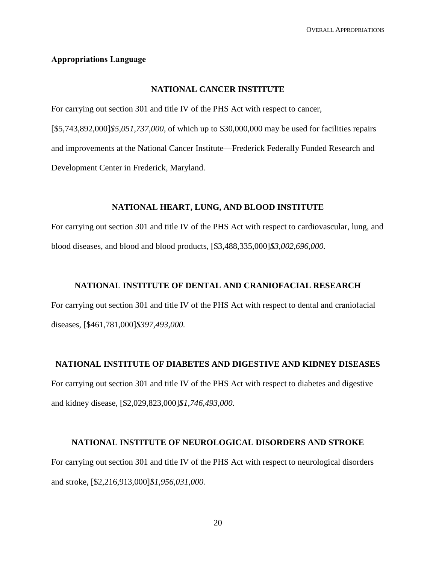#### **Appropriations Language**

#### **NATIONAL CANCER INSTITUTE**

For carrying out section 301 and title IV of the PHS Act with respect to cancer, [\$5,743,892,000]*\$5,051,737,000*, of which up to \$30,000,000 may be used for facilities repairs and improvements at the National Cancer Institute—Frederick Federally Funded Research and Development Center in Frederick, Maryland.

## **NATIONAL HEART, LUNG, AND BLOOD INSTITUTE**

For carrying out section 301 and title IV of the PHS Act with respect to cardiovascular, lung, and blood diseases, and blood and blood products, [\$3,488,335,000]*\$3,002,696,000.*

#### **NATIONAL INSTITUTE OF DENTAL AND CRANIOFACIAL RESEARCH**

For carrying out section 301 and title IV of the PHS Act with respect to dental and craniofacial diseases, [\$461,781,000]*\$397,493,000.*

## **NATIONAL INSTITUTE OF DIABETES AND DIGESTIVE AND KIDNEY DISEASES**

For carrying out section 301 and title IV of the PHS Act with respect to diabetes and digestive and kidney disease, [\$2,029,823,000]*\$1,746,493,000.*

#### **NATIONAL INSTITUTE OF NEUROLOGICAL DISORDERS AND STROKE**

For carrying out section 301 and title IV of the PHS Act with respect to neurological disorders and stroke, [\$2,216,913,000]*\$1,956,031,000.*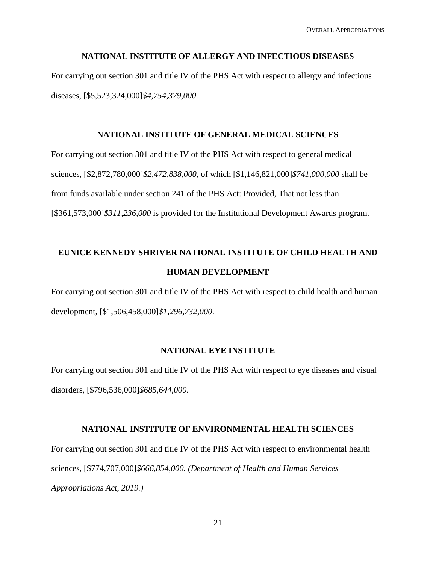#### **NATIONAL INSTITUTE OF ALLERGY AND INFECTIOUS DISEASES**

For carrying out section 301 and title IV of the PHS Act with respect to allergy and infectious diseases, [\$5,523,324,000]*\$4,754,379,000*.

#### **NATIONAL INSTITUTE OF GENERAL MEDICAL SCIENCES**

For carrying out section 301 and title IV of the PHS Act with respect to general medical sciences, [\$2,872,780,000]*\$2,472,838,000*, of which [\$1,146,821,000]*\$741,000,000* shall be from funds available under section 241 of the PHS Act: Provided, That not less than [\$361,573,000]*\$311,236,000* is provided for the Institutional Development Awards program.

# **EUNICE KENNEDY SHRIVER NATIONAL INSTITUTE OF CHILD HEALTH AND HUMAN DEVELOPMENT**

For carrying out section 301 and title IV of the PHS Act with respect to child health and human development, [\$1,506,458,000]*\$1,296,732,000*.

#### **NATIONAL EYE INSTITUTE**

For carrying out section 301 and title IV of the PHS Act with respect to eye diseases and visual disorders, [\$796,536,000]*\$685,644,000*.

#### **NATIONAL INSTITUTE OF ENVIRONMENTAL HEALTH SCIENCES**

For carrying out section 301 and title IV of the PHS Act with respect to environmental health sciences, [\$774,707,000]*\$666,854,000. (Department of Health and Human Services Appropriations Act, 2019.)*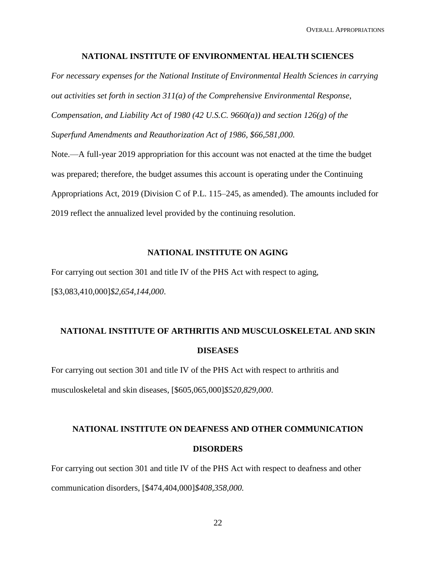OVERALL APPROPRIATIONS

#### **NATIONAL INSTITUTE OF ENVIRONMENTAL HEALTH SCIENCES**

*For necessary expenses for the National Institute of Environmental Health Sciences in carrying out activities set forth in section 311(a) of the Comprehensive Environmental Response, Compensation, and Liability Act of 1980 (42 U.S.C. 9660(a)) and section 126(g) of the Superfund Amendments and Reauthorization Act of 1986, \$66,581,000.* 

Note.—A full-year 2019 appropriation for this account was not enacted at the time the budget was prepared; therefore, the budget assumes this account is operating under the Continuing Appropriations Act, 2019 (Division C of P.L. 115–245, as amended). The amounts included for 2019 reflect the annualized level provided by the continuing resolution.

#### **NATIONAL INSTITUTE ON AGING**

For carrying out section 301 and title IV of the PHS Act with respect to aging, [\$3,083,410,000]*\$2,654,144,000*.

# **NATIONAL INSTITUTE OF ARTHRITIS AND MUSCULOSKELETAL AND SKIN DISEASES**

For carrying out section 301 and title IV of the PHS Act with respect to arthritis and musculoskeletal and skin diseases, [\$605,065,000]*\$520,829,000*.

# **NATIONAL INSTITUTE ON DEAFNESS AND OTHER COMMUNICATION DISORDERS**

For carrying out section 301 and title IV of the PHS Act with respect to deafness and other communication disorders, [\$474,404,000]*\$408,358,000.*

22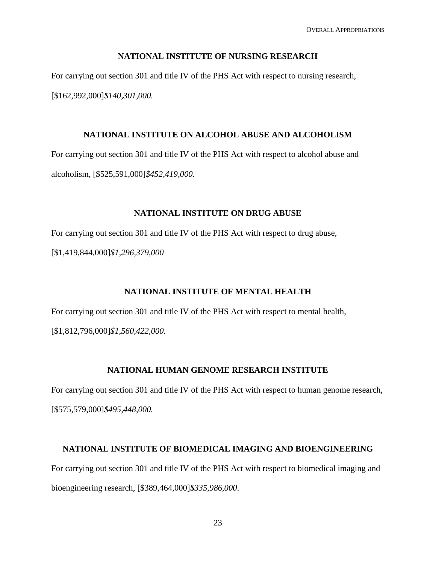#### **NATIONAL INSTITUTE OF NURSING RESEARCH**

For carrying out section 301 and title IV of the PHS Act with respect to nursing research, [\$162,992,000]*\$140,301,000.*

#### **NATIONAL INSTITUTE ON ALCOHOL ABUSE AND ALCOHOLISM**

For carrying out section 301 and title IV of the PHS Act with respect to alcohol abuse and alcoholism, [\$525,591,000]*\$452,419,000.*

#### **NATIONAL INSTITUTE ON DRUG ABUSE**

For carrying out section 301 and title IV of the PHS Act with respect to drug abuse, [\$1,419,844,000]*\$1,296,379,000*

#### **NATIONAL INSTITUTE OF MENTAL HEALTH**

For carrying out section 301 and title IV of the PHS Act with respect to mental health, [\$1,812,796,000]*\$1,560,422,000.*

### **NATIONAL HUMAN GENOME RESEARCH INSTITUTE**

For carrying out section 301 and title IV of the PHS Act with respect to human genome research, [\$575,579,000]*\$495,448,000.*

#### **NATIONAL INSTITUTE OF BIOMEDICAL IMAGING AND BIOENGINEERING**

For carrying out section 301 and title IV of the PHS Act with respect to biomedical imaging and bioengineering research, [\$389,464,000]*\$335,986,000*.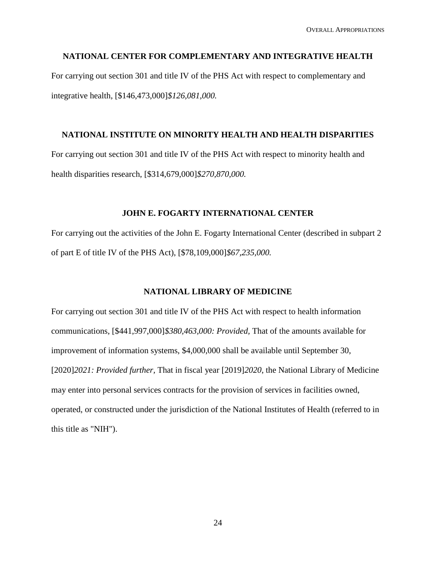#### **NATIONAL CENTER FOR COMPLEMENTARY AND INTEGRATIVE HEALTH**

For carrying out section 301 and title IV of the PHS Act with respect to complementary and integrative health, [\$146,473,000]*\$126,081,000.*

## **NATIONAL INSTITUTE ON MINORITY HEALTH AND HEALTH DISPARITIES**

For carrying out section 301 and title IV of the PHS Act with respect to minority health and health disparities research, [\$314,679,000]*\$270,870,000.*

#### **JOHN E. FOGARTY INTERNATIONAL CENTER**

For carrying out the activities of the John E. Fogarty International Center (described in subpart 2 of part E of title IV of the PHS Act), [\$78,109,000]*\$67,235,000.*

#### **NATIONAL LIBRARY OF MEDICINE**

For carrying out section 301 and title IV of the PHS Act with respect to health information communications, [\$441,997,000]*\$380,463,000: Provided,* That of the amounts available for improvement of information systems, \$4,000,000 shall be available until September 30, [2020]*2021: Provided further,* That in fiscal year [2019]*2020*, the National Library of Medicine may enter into personal services contracts for the provision of services in facilities owned, operated, or constructed under the jurisdiction of the National Institutes of Health (referred to in this title as "NIH").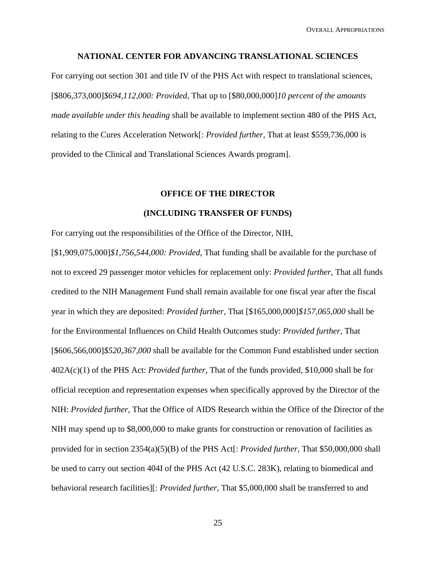#### **NATIONAL CENTER FOR ADVANCING TRANSLATIONAL SCIENCES**

For carrying out section 301 and title IV of the PHS Act with respect to translational sciences, [\$806,373,000]*\$694,112,000: Provided,* That up to [\$80,000,000]*10 percent of the amounts made available under this heading* shall be available to implement section 480 of the PHS Act, relating to the Cures Acceleration Network[: *Provided further,* That at least \$559,736,000 is provided to the Clinical and Translational Sciences Awards program].

#### **OFFICE OF THE DIRECTOR**

#### **(INCLUDING TRANSFER OF FUNDS)**

For carrying out the responsibilities of the Office of the Director, NIH,

[\$1,909,075,000]*\$1,756,544,000: Provided,* That funding shall be available for the purchase of not to exceed 29 passenger motor vehicles for replacement only: *Provided further,* That all funds credited to the NIH Management Fund shall remain available for one fiscal year after the fiscal year in which they are deposited: *Provided further,* That [\$165,000,000]*\$157,065,000* shall be for the Environmental Influences on Child Health Outcomes study: *Provided further,* That [\$606,566,000]*\$520,367,000* shall be available for the Common Fund established under section 402A(c)(1) of the PHS Act: *Provided further,* That of the funds provided, \$10,000 shall be for official reception and representation expenses when specifically approved by the Director of the NIH: *Provided further,* That the Office of AIDS Research within the Office of the Director of the NIH may spend up to \$8,000,000 to make grants for construction or renovation of facilities as provided for in section 2354(a)(5)(B) of the PHS Act[: *Provided further,* That \$50,000,000 shall be used to carry out section 404I of the PHS Act (42 U.S.C. 283K), relating to biomedical and behavioral research facilities][: *Provided further,* That \$5,000,000 shall be transferred to and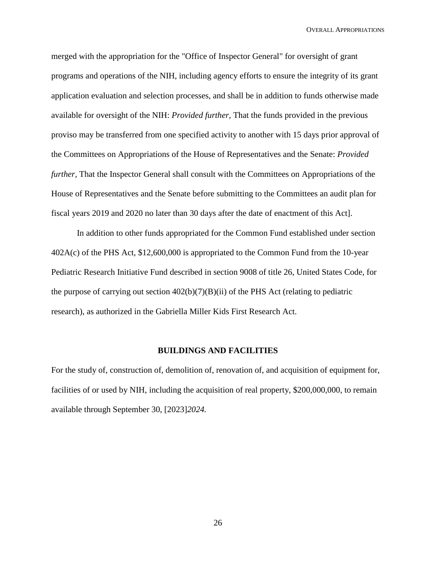OVERALL APPROPRIATIONS

merged with the appropriation for the "Office of Inspector General" for oversight of grant programs and operations of the NIH, including agency efforts to ensure the integrity of its grant application evaluation and selection processes, and shall be in addition to funds otherwise made available for oversight of the NIH: *Provided further,* That the funds provided in the previous proviso may be transferred from one specified activity to another with 15 days prior approval of the Committees on Appropriations of the House of Representatives and the Senate: *Provided further,* That the Inspector General shall consult with the Committees on Appropriations of the House of Representatives and the Senate before submitting to the Committees an audit plan for fiscal years 2019 and 2020 no later than 30 days after the date of enactment of this Act].

In addition to other funds appropriated for the Common Fund established under section 402A(c) of the PHS Act, \$12,600,000 is appropriated to the Common Fund from the 10-year Pediatric Research Initiative Fund described in section 9008 of title 26, United States Code, for the purpose of carrying out section  $402(b)(7)(B)(ii)$  of the PHS Act (relating to pediatric research), as authorized in the Gabriella Miller Kids First Research Act.

#### **BUILDINGS AND FACILITIES**

For the study of, construction of, demolition of, renovation of, and acquisition of equipment for, facilities of or used by NIH, including the acquisition of real property, \$200,000,000, to remain available through September 30, [2023]*2024.*

26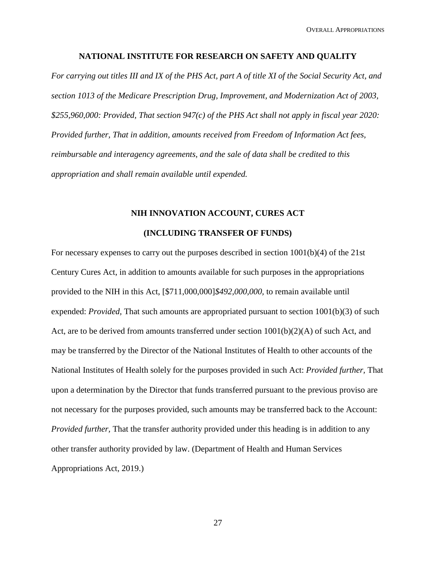#### **NATIONAL INSTITUTE FOR RESEARCH ON SAFETY AND QUALITY**

*For carrying out titles III and IX of the PHS Act, part A of title XI of the Social Security Act, and section 1013 of the Medicare Prescription Drug, Improvement, and Modernization Act of 2003, \$255,960,000: Provided, That section 947(c) of the PHS Act shall not apply in fiscal year 2020: Provided further, That in addition, amounts received from Freedom of Information Act fees, reimbursable and interagency agreements, and the sale of data shall be credited to this appropriation and shall remain available until expended.*

## **NIH INNOVATION ACCOUNT, CURES ACT (INCLUDING TRANSFER OF FUNDS)**

For necessary expenses to carry out the purposes described in section  $1001(b)(4)$  of the 21st Century Cures Act, in addition to amounts available for such purposes in the appropriations provided to the NIH in this Act, [\$711,000,000]*\$492,000,000,* to remain available until expended: *Provided,* That such amounts are appropriated pursuant to section 1001(b)(3) of such Act, are to be derived from amounts transferred under section  $1001(b)(2)(A)$  of such Act, and may be transferred by the Director of the National Institutes of Health to other accounts of the National Institutes of Health solely for the purposes provided in such Act: *Provided further,* That upon a determination by the Director that funds transferred pursuant to the previous proviso are not necessary for the purposes provided, such amounts may be transferred back to the Account: *Provided further,* That the transfer authority provided under this heading is in addition to any other transfer authority provided by law. (Department of Health and Human Services Appropriations Act, 2019.)

27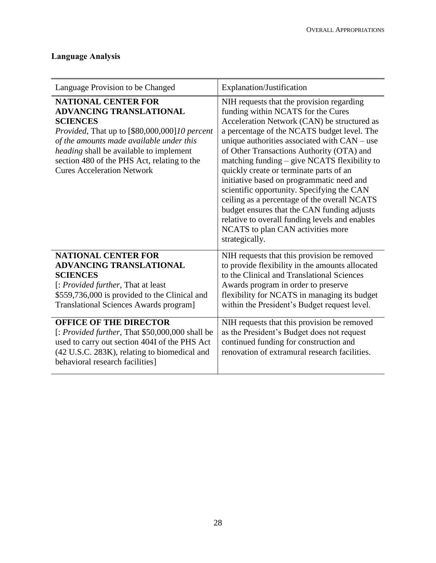## **Language Analysis**

| Language Provision to be Changed                                                                                                                                                                                                                                                                            | Explanation/Justification                                                                                                                                                                                                                                                                                                                                                                                                                                                                                                                                                                                                                                                |
|-------------------------------------------------------------------------------------------------------------------------------------------------------------------------------------------------------------------------------------------------------------------------------------------------------------|--------------------------------------------------------------------------------------------------------------------------------------------------------------------------------------------------------------------------------------------------------------------------------------------------------------------------------------------------------------------------------------------------------------------------------------------------------------------------------------------------------------------------------------------------------------------------------------------------------------------------------------------------------------------------|
| <b>NATIONAL CENTER FOR</b><br><b>ADVANCING TRANSLATIONAL</b><br><b>SCIENCES</b><br>Provided, That up to [\$80,000,000]10 percent<br>of the amounts made available under this<br>heading shall be available to implement<br>section 480 of the PHS Act, relating to the<br><b>Cures Acceleration Network</b> | NIH requests that the provision regarding<br>funding within NCATS for the Cures<br>Acceleration Network (CAN) be structured as<br>a percentage of the NCATS budget level. The<br>unique authorities associated with CAN – use<br>of Other Transactions Authority (OTA) and<br>matching funding - give NCATS flexibility to<br>quickly create or terminate parts of an<br>initiative based on programmatic need and<br>scientific opportunity. Specifying the CAN<br>ceiling as a percentage of the overall NCATS<br>budget ensures that the CAN funding adjusts<br>relative to overall funding levels and enables<br>NCATS to plan CAN activities more<br>strategically. |
| <b>NATIONAL CENTER FOR</b><br><b>ADVANCING TRANSLATIONAL</b><br><b>SCIENCES</b><br>[: Provided further, That at least<br>\$559,736,000 is provided to the Clinical and<br><b>Translational Sciences Awards program]</b>                                                                                     | NIH requests that this provision be removed<br>to provide flexibility in the amounts allocated<br>to the Clinical and Translational Sciences<br>Awards program in order to preserve<br>flexibility for NCATS in managing its budget<br>within the President's Budget request level.                                                                                                                                                                                                                                                                                                                                                                                      |
| <b>OFFICE OF THE DIRECTOR</b><br>[: Provided further, That \$50,000,000 shall be<br>used to carry out section 404I of the PHS Act<br>(42 U.S.C. 283K), relating to biomedical and<br>behavioral research facilities]                                                                                        | NIH requests that this provision be removed<br>as the President's Budget does not request<br>continued funding for construction and<br>renovation of extramural research facilities.                                                                                                                                                                                                                                                                                                                                                                                                                                                                                     |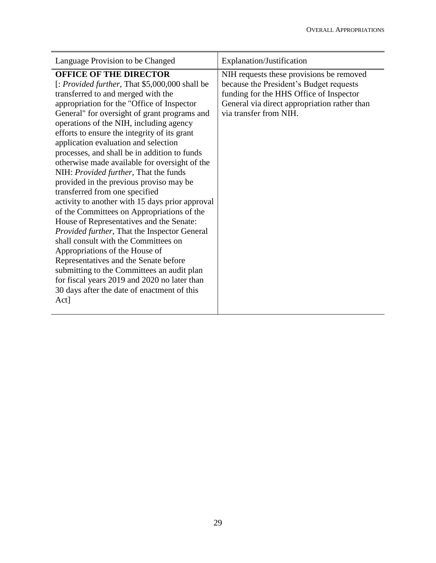| Language Provision to be Changed                                                                                                                                                                                                                                                                                                                                                                                                                                                                                                                                                                                                                                                                                                                                                                                                                                                                                                                                                                                                                           | Explanation/Justification                                                                                                                                                                                |
|------------------------------------------------------------------------------------------------------------------------------------------------------------------------------------------------------------------------------------------------------------------------------------------------------------------------------------------------------------------------------------------------------------------------------------------------------------------------------------------------------------------------------------------------------------------------------------------------------------------------------------------------------------------------------------------------------------------------------------------------------------------------------------------------------------------------------------------------------------------------------------------------------------------------------------------------------------------------------------------------------------------------------------------------------------|----------------------------------------------------------------------------------------------------------------------------------------------------------------------------------------------------------|
| <b>OFFICE OF THE DIRECTOR</b><br>[: Provided further, That \$5,000,000 shall be<br>transferred to and merged with the<br>appropriation for the "Office of Inspector<br>General" for oversight of grant programs and<br>operations of the NIH, including agency<br>efforts to ensure the integrity of its grant<br>application evaluation and selection<br>processes, and shall be in addition to funds<br>otherwise made available for oversight of the<br>NIH: <i>Provided further</i> , That the funds<br>provided in the previous proviso may be<br>transferred from one specified<br>activity to another with 15 days prior approval<br>of the Committees on Appropriations of the<br>House of Representatives and the Senate:<br>Provided further, That the Inspector General<br>shall consult with the Committees on<br>Appropriations of the House of<br>Representatives and the Senate before<br>submitting to the Committees an audit plan<br>for fiscal years 2019 and 2020 no later than<br>30 days after the date of enactment of this<br>Act] | NIH requests these provisions be removed<br>because the President's Budget requests<br>funding for the HHS Office of Inspector<br>General via direct appropriation rather than<br>via transfer from NIH. |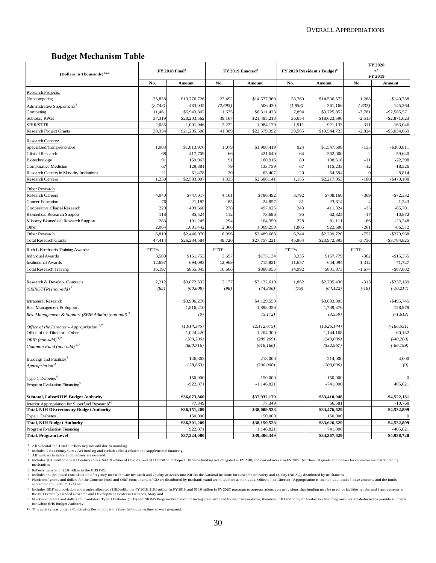## **Budget Mechanism Table**

|                                                               |              |                                   |              |                              |              |                                         | <b>FY 2020</b> |                  |
|---------------------------------------------------------------|--------------|-----------------------------------|--------------|------------------------------|--------------|-----------------------------------------|----------------|------------------|
| (Dollars in Thousands) <sup>1,2,3</sup>                       |              | <b>FY 2018 Final</b> <sup>4</sup> |              | FY 2019 Enacted <sup>5</sup> |              | FY 2020 President's Budget <sup>6</sup> |                | $+/-$<br>FY 2019 |
|                                                               | No.          | Amount                            | No.          | Amount                       | No.          | Amount                                  |                | Amount           |
| Research Projects:                                            |              |                                   |              |                              |              |                                         |                |                  |
| Noncompeting                                                  | 25,858       | \$13,776,726                      | 27,492       | \$14,677,360                 | 28,760       | \$14,536,572                            | 1,268          | $-$140.788$      |
| Administrative Supplements <sup>3</sup>                       | (2,743)      | 483,035                           | (2, 695)     | 506,430                      | (1,858)      | 361,166                                 | $(-837)$       | $-145,264$       |
| Competing                                                     | 11,461       | \$5,943,802                       | 11,675       | \$6,311,423                  | 7,894        | \$3,725,852                             | $-3,781$       | $-$ \$2,585,571  |
| Subtotal, RPGs                                                | 37,319       | \$20,203,562                      | 39,167       | \$21,495,213                 | 36,654       | \$18,623,590                            | $-2,513$       | $-$ \$2,871,623  |
| <b>SBIR/STTR</b>                                              | 2,035        | 1,001,946                         | 2,222        | 1,084,179                    | 1,911        | 921,133                                 | $-311$         | $-163,046$       |
| <b>Research Project Grants</b>                                | 39,354       | \$21,205,508                      | 41,389       | \$22,579,392                 | 38,565       | \$19,544,723                            | $-2,824$       | $-$ \$3,034,669  |
| <b>Research Centers:</b>                                      |              |                                   |              |                              |              |                                         |                |                  |
| Specialized/Comprehensive                                     | 1,003        | \$1,813,976                       | 1,079        | \$1,908,419                  | 924          | \$1,547,608                             | $-155$         | $-$ \$360,811    |
| Clinical Research                                             | 68           | 417,709                           | 66           | 421,640                      | 64           | 362,000                                 | $-2$           | $-59,640$        |
| Biotechnology                                                 | 91           | 159,963                           | 91           | 160,916                      | 80           | 138,518                                 | $-11$          | $-22,398$        |
| Comparative Medicine                                          | 67           | 129,881                           | 79           | 133,759                      | 67           | 115,233                                 | $-12$          | $-18,526$        |
| Research Centers in Minority Institutions                     | 21           | 61,478                            | 20           | 63,407                       | 20           | 54,594                                  | $\epsilon$     | $-8,814$         |
| <b>Research Centers</b>                                       | 1,250        | \$2,583,007                       | 1,335        | \$2,688,141                  | 1,155        | \$2,217,953                             | $-180$         | $-$ \$470,188    |
| Other Research:                                               |              |                                   |              |                              |              |                                         |                |                  |
| <b>Research Careers</b>                                       | 4,040        | \$747,017                         | 4,161        | \$780,492                    | 3,792        | \$708,160                               | $-369$         | $-$72,332$       |
| <b>Cancer Education</b>                                       | 76           | 21,182                            | 85           | 24,857                       | 81           | 23,614                                  | $-4$           | $-1,243$         |
| Cooperative Clinical Research                                 | 229          | 409,660                           | 278          | 497,025                      | 243          | 411,324                                 | $-35$          | $-85,701$        |
| <b>Biomedical Research Support</b>                            | 118          | 85,524                            | 112          | 73,696                       | 95           | 62,825                                  | $-17$          | $-10,872$        |
| Minority Biomedical Research Support                          | 283          | 101,245                           | 294          | 104,359                      | 228          | 81,111                                  | -66            | $-23,248$        |
| Other                                                         | 2,064        | 1,081,442                         | 2,066        | 1,009,259                    | 1,805        | 922,686                                 | $-261$         | $-86,572$        |
| Other Research                                                | 6,810        | \$2,446,070                       | 6,996        | \$2,489,688                  | 6,244        | \$2,209,720                             | $-752$         | $-$ \$279,968    |
| <b>Total Research Grants</b>                                  | 47,414       | \$26,234,584                      | 49,720       | \$27,757,221                 | 45,964       | \$23,972,395                            | $-3,756$       | $- $3,784,825$   |
| Ruth L Kirchstein Training Awards:                            | <b>FTTPs</b> |                                   | <b>FTTPs</b> |                              | <b>FTTPs</b> |                                         | <b>FTTPs</b>   |                  |
| <b>Individual Awards</b>                                      | 3,500        | \$161,753                         | 3,697        | \$173,134                    | 3,335        | \$157,779                               | $-362$         | $-$15,355$       |
| <b>Institutional Awards</b>                                   | 12,697       | 694,093                           | 12,969       | 715,821                      | 11,657       | 644,094                                 | $-1,312$       | $-71,727$        |
| <b>Total Research Training</b>                                | 16,197       | \$855,845                         | 16,666       | \$888,955                    | 14,992       | \$801,873                               | $-1,674$       | $-$ \$87,082     |
|                                                               |              |                                   |              |                              |              |                                         |                |                  |
| Research & Develop. Contracts                                 | 2,212        | \$3,072,532                       | 2,177        | \$3,132,619                  | 1,862        | \$2,795,430                             | $-315$         | $-$ \$337,189    |
| 'SBIR/STTR) (non-add) <sup>3</sup>                            | (85)         | (60, 608)                         | (98)         | (74, 336)                    | (79)         | (64, 122)                               | $(-19)$        | $(-10, 214)$     |
|                                                               |              |                                   |              |                              |              |                                         |                |                  |
| <b>Intramural Research</b>                                    |              | \$3,996,276                       |              | \$4,129,550                  |              | \$3,633,805                             |                | $-$ \$495,745    |
| Res. Management & Support                                     |              | 1,816,210                         |              | 1,898,356                    |              | 1,739,376                               |                | $-158,979$       |
| Res. Management & Support (SBIR Admin) (non-add) <sup>3</sup> |              | (0)                               |              | (5,172)                      |              | (3, 559)                                |                | $(-1, 613)$      |
| Office of the Director - Appropriation <sup>3,7</sup>         |              | (1, 914, 345)                     |              | (2,112,675)                  |              | (1, 926, 144)                           |                | $(-186, 531)$    |
| Office of the Director - Other                                |              | 1,024,420                         |              | 1,204,300                    |              | 1,144,168                               |                | $-60,132$        |
| ORIP (non-add) $3,7$                                          |              | (289, 209)                        |              | (289, 209)                   |              | (249,009)                               |                | $(-40, 200)$     |
| Common Fund (non-add) <sup>3,7</sup>                          |              | (600, 716)                        |              | (619, 166)                   |              | (532, 967)                              |                | $(-86, 199)$     |
|                                                               |              |                                   |              |                              |              |                                         |                |                  |
| Buildings and Facilities <sup>8</sup>                         |              | 146,863                           |              | 218,000                      |              | 214,000                                 |                | $-4,000$         |
| Appropriation <sup>3</sup>                                    |              | (128, 863)                        |              | (200,000)                    |              | (200,000)                               |                | (0)              |
|                                                               |              |                                   |              |                              |              |                                         |                |                  |
| Type 1 Diabetes <sup>9</sup>                                  |              | $-150,000$                        |              | $-150,000$                   |              | $-150,000$                              |                | $\mathbf{0}$     |
| Program Evaluation Financing <sup>9</sup>                     |              | $-922,871$                        |              | $-1,146,821$                 |              | $-741,000$                              |                | 405,821          |
| <b>Subtotal, Labor/HHS Budget Authority</b>                   |              | \$36,073,860                      |              | \$37,932,179                 |              | \$33,410,048                            |                | $-$4,522,131$    |
| Interior Appropriation for Superfund Research <sup>10</sup>   |              | 77,349                            |              | 77,349                       |              | 66,581                                  |                | $-10,768$        |
| <b>Total, NIH Discretionary Budget Authority</b>              |              | \$36,151,209                      |              | \$38,009,528                 |              | \$33,476,629                            |                | -\$4,532,899     |
| Type 1 Diabetes                                               |              | 150,000                           |              | 150,000                      |              | 150,000                                 |                | $\overline{0}$   |
| <b>Total, NIH Budget Authority</b>                            |              | \$36,301,209                      |              | \$38,159,528                 |              | \$33,626,629                            |                | -\$4,532,899     |
| Program Evaluation Financing                                  |              | 922,871                           |              | 1,146,821                    |              | 741,000                                 |                | $-405,821$       |
| <b>Total, Program Level</b>                                   |              | \$37,224,080                      |              | \$39,306,349                 |              | \$34,367,629                            |                | -\$4,938,720     |

1 2 3

All Subtotal and Total numbers may not add due to rounding. Includes 21st Century Cures Act funding and excludes Ebola-related and supplemental financing. All numbers in italics and brackets are non-add.

4 Includes \$63.3 million of 21st Century Cures, \$428.9 million of Opioids, and \$123.7 million of Type 1 Diabetes funding not obligated in FY 2018, and carried over into FY 2019. Numbers of grants and dollars for carryover mechanism.

5 Reflects transfer of \$5.0 million to the HHS OIG.

6 Includes the proposed consolidation of Agency for Healthcare Research and Quality activities into NIH as the National Institute for Research on Safety and Quality (NIRSQ), distributed by mechanism. Number of grants and t

8 Includes B&F appropriation and monies allocated (\$18.0 million in FY 2018, \$18.0 million in FY 2019, and \$14.0 million in FY 2020) pursuant to appropriations acts provisions that funding may be used for facilities repair 0 7 8 9 10

9 Number of grants and dollars for mandatory Type 1 Diabetes (T1D) and NIGMS Program Evaluation financing are distributed by mechanism above; therefore, T1D and Program Evaluation financing amounts are deducted to provide for Labor/HHS Budget Authority.

10 This activity was under a Continuing Resolution at the time the budget estimates were prepared.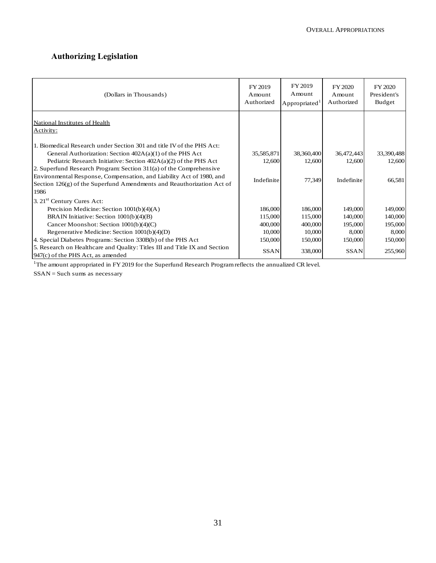## **Authorizing Legislation**

| (Dollars in Thousands)                                                                                                                                                                                                        | FY 2019<br>Amount<br>Authorized | FY 2019<br>Amount<br>Appropriated <sup>1</sup> | FY 2020<br>Amount<br>Authorized | FY 2020<br>President's<br>Budget |
|-------------------------------------------------------------------------------------------------------------------------------------------------------------------------------------------------------------------------------|---------------------------------|------------------------------------------------|---------------------------------|----------------------------------|
| National Institutes of Health<br>Activity:                                                                                                                                                                                    |                                 |                                                |                                 |                                  |
| 1. Biomedical Research under Section 301 and title IV of the PHS Act:<br>General Authorization: Section $402A(a)(1)$ of the PHS Act<br>Pediatric Research Initiative: Section $402A(a)(2)$ of the PHS Act                     | 35,585,871<br>12,600            | 38,360,400<br>12,600                           | 36,472,443<br>12,600            | 33,390,488<br>12,600             |
| 2. Superfund Research Program: Section 311(a) of the Comprehensive<br>Environmental Response, Compensation, and Liability Act of 1980, and<br>Section $126(g)$ of the Superfund Amendments and Reauthorization Act of<br>1986 | Indefinite                      | 77,349                                         | Indefinite                      | 66,581                           |
| 3. 21 <sup>st</sup> Century Cures Act:                                                                                                                                                                                        |                                 |                                                |                                 |                                  |
| Precision Medicine: Section $1001(b)(4)(A)$                                                                                                                                                                                   | 186,000                         | 186,000                                        | 149,000                         | 149,000                          |
| BRAIN Initiative: Section 1001(b)(4)(B)                                                                                                                                                                                       | 115,000                         | 115,000                                        | 140,000                         | 140,000                          |
| Cancer Moonshot: Section 1001(b)(4)(C)                                                                                                                                                                                        | 400,000                         | 400,000                                        | 195,000                         | 195,000                          |
| Regenerative Medicine: Section 1001(b)(4)(D)                                                                                                                                                                                  | 10,000                          | 10,000                                         | 8,000                           | 8,000                            |
| 4. Special Diabetes Programs: Section 330B(b) of the PHS Act                                                                                                                                                                  | 150,000                         | 150,000                                        | 150,000                         | 150,000                          |
| 5. Research on Healthcare and Quality: Titles III and Title IX and Section<br>947(c) of the PHS Act, as amended                                                                                                               | <b>SSAN</b>                     | 338,000                                        | <b>SSAN</b>                     | 255,960                          |

<sup>1</sup>The amount appropriated in FY 2019 for the Superfund Research Program reflects the annualized CR level.

SSAN = Such sums as necessary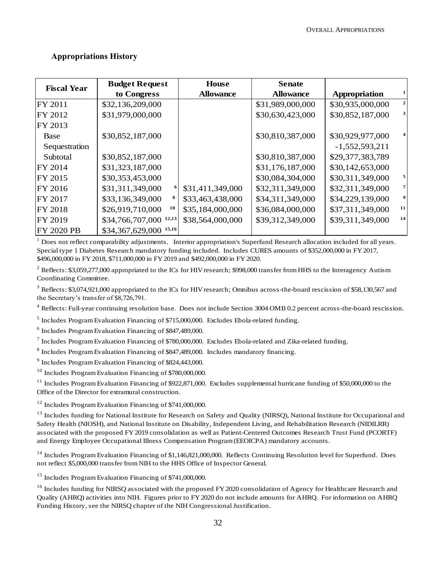## **Appropriations History**

| <b>Fiscal Year</b> | <b>Budget Request</b>              | House            | <b>Senate</b>    |                  |                |
|--------------------|------------------------------------|------------------|------------------|------------------|----------------|
|                    | to Congress                        | <b>Allowance</b> | <b>Allowance</b> | Appropriation    |                |
| FY 2011            | \$32,136,209,000                   |                  | \$31,989,000,000 | \$30,935,000,000 | $\mathbf{2}$   |
| FY 2012            | \$31,979,000,000                   |                  | \$30,630,423,000 | \$30,852,187,000 | $\mathbf{3}$   |
| FY 2013            |                                    |                  |                  |                  |                |
| <b>Base</b>        | \$30,852,187,000                   |                  | \$30,810,387,000 | \$30,929,977,000 |                |
| Sequestration      |                                    |                  |                  | $-1,552,593,211$ |                |
| Subtotal           | \$30,852,187,000                   |                  | \$30,810,387,000 | \$29,377,383,789 |                |
| FY 2014            | \$31,323,187,000                   |                  | \$31,176,187,000 | \$30,142,653,000 |                |
| FY 2015            | \$30,353,453,000                   |                  | \$30,084,304,000 | \$30,311,349,000 | $\mathbf{5}$   |
| FY 2016            | \$31,311,349,000<br>6              | \$31,411,349,000 | \$32,311,349,000 | \$32,311,349,000 | $\overline{7}$ |
| FY 2017            | \$33,136,349,000                   | \$33,463,438,000 | \$34,311,349,000 | \$34,229,139,000 | 9              |
| <b>FY 2018</b>     | \$26,919,710,000<br>10             | \$35,184,000,000 | \$36,084,000,000 | \$37,311,349,000 | 11             |
| FY 2019            | $$34,766,707,000$ <sup>12,13</sup> | \$38,564,000,000 | \$39,312,349,000 | \$39,311,349,000 | 14             |
| <b>FY 2020 PB</b>  | \$34,367,629,000 15,16             |                  |                  |                  |                |

<sup>1</sup> Does not reflect comparability adjustments. Interior appropriation's Superfund Research allocation included for all years. Special type 1 Diabetes Research mandatory funding included. Includes CURES amounts of \$352,000,000 in FY 2017, \$496,000,000 in FY 2018, \$711,000,000 in FY 2019 and \$492,000,000 in FY 2020.

 $2^2$  Reflects: \$3,059,277,000 appropriated to the ICs for HIV research; \$998,000 transfer from HHS to the Interagency Autism Coordinating Committee.

<sup>3</sup> Reflects: \$3,074,921,000 appropriated to the ICs for HIV research; Omnibus across-the-board rescission of \$58,130,567 and the Secretary's transfer of \$8,726,791.

<sup>4</sup> Reflects: Full-year continuing resolution base. Does not include Section 3004 OMB 0.2 percent across-the-board rescission.

<sup>5</sup> Includes Program Evaluation Financing of \$715,000,000. Excludes Ebola-related funding.

6 Includes Program Evaluation Financing of \$847,489,000.

 $^7$  Includes Program Evaluation Financing of \$780,000,000. Excludes Ebola-related and Zika-related funding.

<sup>8</sup> Includes Program Evaluation Financing of \$847,489,000. Includes mandatory financing.

<sup>9</sup> Includes Program Evaluation Financing of \$824,443,000.

 $10$  Includes Program Evaluation Financing of \$780,000,000.

 $11$  Includes Program Evaluation Financing of \$922,871,000. Excludes supplemental hurricane funding of \$50,000,000 to the Office of the Director for extramural construction.

<sup>12</sup> Includes Program Evaluation Financing of \$741,000,000.

<sup>13</sup> Includes funding for National Institute for Research on Safety and Quality (NIRSQ), National Institute for Occupational and Safety Health (NIOSH), and National Institute on Disability, Independent Living, and Rehabilitation Research (NIDILRR) associated with the proposed FY 2019 consolidation as well as Patient-Centered Outcomes Research Trust Fund (PCORTF) and Energy Employee Occupational Illness Compensation Program (EEOICPA) mandatory accounts.

 $14$  Includes Program Evaluation Financing of \$1,146,821,000,000. Reflects Continuing Resolution level for Superfund. Does not reflect \$5,000,000 transfer from NIH to the HHS Office of Inspector General.

<sup>15</sup> Includes Program Evaluation Financing of \$741,000,000.

<sup>16</sup> Includes funding for NIRSQ associated with the proposed FY 2020 consolidation of Agency for Healthcare Research and Quality (AHRQ) activities into NIH. Figures prior to FY 2020 do not include amounts for AHRQ. For information on AHRQ Funding History, see the NIRSQ chapter of the NIH Congressional Justification.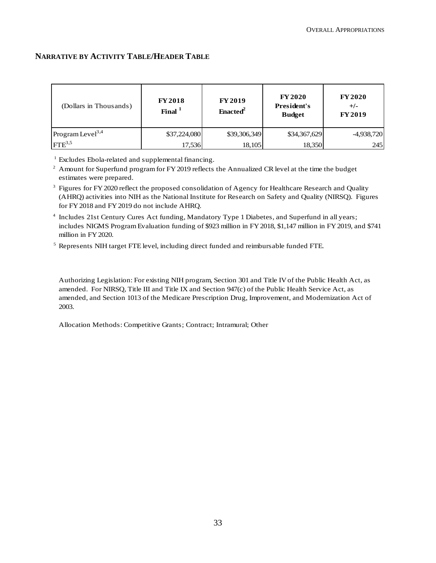## **NARRATIVE BY ACTIVITY TABLE/HEADER TABLE**

| (Dollars in Thousands)       | <b>FY 2018</b><br>Final $1$ | <b>FY 2019</b><br>Enacted <sup>2</sup> | <b>FY 2020</b><br>President's<br><b>Budget</b> | <b>FY2020</b><br>$+/-$<br><b>FY2019</b> |
|------------------------------|-----------------------------|----------------------------------------|------------------------------------------------|-----------------------------------------|
| Program Level <sup>3,4</sup> | \$37,224,080                | \$39,306,349                           | \$34,367,629                                   | $-4,938,720$                            |
| $FTE^{3,5}$                  | 17.536                      | 18,105                                 | 18,350                                         | 245                                     |

<sup>1</sup> Excludes Ebola-related and supplemental financing.

 $2$  Amount for Superfund program for FY 2019 reflects the Annualized CR level at the time the budget estimates were prepared.

- <sup>3</sup> Figures for FY 2020 reflect the proposed consolidation of Agency for Healthcare Research and Quality (AHRQ) activities into NIH as the National Institute for Research on Safety and Quality (NIRSQ). Figures for FY 2018 and FY 2019 do not include AHRQ.
- <sup>4</sup> Includes 21st Century Cures Act funding, Mandatory Type 1 Diabetes, and Superfund in all years; includes NIGMS Program Evaluation funding of \$923 million in FY 2018, \$1,147 million in FY 2019, and \$741 million in FY 2020.
- <sup>5</sup> Represents NIH target FTE level, including direct funded and reimbursable funded FTE.

Authorizing Legislation: For existing NIH program, Section 301 and Title IV of the Public Health Act, as amended. For NIRSQ, Title III and Title IX and Section 947(c) of the Public Health Service Act, as amended, and Section 1013 of the Medicare Prescription Drug, Improvement, and Modernization Act of 2003.

Allocation Methods: Competitive Grants; Contract; Intramural; Other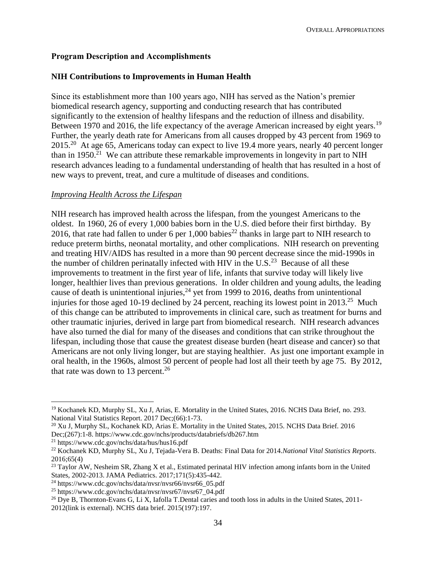## **Program Description and Accomplishments**

## **NIH Contributions to Improvements in Human Health**

Since its establishment more than 100 years ago, NIH has served as the Nation's premier biomedical research agency, supporting and conducting research that has contributed significantly to the extension of healthy lifespans and the reduction of illness and disability. Between 1970 and 2016, the life expectancy of the average American increased by eight years.<sup>19</sup> Further, the yearly death rate for Americans from all causes dropped by 43 percent from 1969 to 2015<sup>20</sup> At age 65, Americans today can expect to live 19.4 more years, nearly 40 percent longer than in 1950.<sup>21</sup> We can attribute these remarkable improvements in longevity in part to NIH research advances leading to a fundamental understanding of health that has resulted in a host of new ways to prevent, treat, and cure a multitude of diseases and conditions.

#### *Improving Health Across the Lifespan*

NIH research has improved health across the lifespan, from the youngest Americans to the oldest. In 1960, 26 of every 1,000 babies born in the U.S. died before their first birthday. By 2016, that rate had fallen to under 6 per 1,000 babies<sup>22</sup> thanks in large part to NIH research to reduce preterm births, neonatal mortality, and other complications.NIH research on preventing and treating HIV/AIDS has resulted in a more than 90 percent decrease since the mid-1990s in the number of children perinatally infected with HIV in the U.S.<sup>23</sup> Because of all these improvements to treatment in the first year of life, infants that survive today will likely live longer, healthier lives than previous generations. In older children and young adults, the leading cause of death is unintentional injuries,  $24$  yet from 1999 to 2016, deaths from unintentional injuries for those aged 10-19 declined by 24 percent, reaching its lowest point in  $2013.^{25}$  Much of this change can be attributed to improvements in clinical care, such as treatment for burns and other traumatic injuries, derived in large part from biomedical research. NIH research advances have also turned the dial for many of the diseases and conditions that can strike throughout the lifespan, including those that cause the greatest disease burden (heart disease and cancer) so that Americans are not only living longer, but are staying healthier. As just one important example in oral health, in the 1960s, almost 50 percent of people had lost all their teeth by age 75. By 2012, that rate was down to 13 percent.<sup>26</sup>

 $\overline{a}$ 

<sup>&</sup>lt;sup>19</sup> Kochanek KD, Murphy SL, Xu J, Arias, E. Mortality in the United States, 2016. NCHS Data Brief, no. 293. National Vital Statistics Report. 2017 Dec;(66):1-73.

<sup>20</sup> Xu J, Murphy SL, Kochanek KD, Arias E. Mortality in the United States, 2015. NCHS Data Brief. 2016 Dec;(267):1-8. https://www.cdc.gov/nchs/products/databriefs/db267.htm

<sup>21</sup> https://www.cdc.gov/nchs/data/hus/hus16.pdf

<sup>22</sup> Kochanek KD, Murphy SL, Xu J, Tejada-Vera B. Deaths: Final Data for 2014.*National Vital Statistics Reports*. 2016;65(4)

<sup>&</sup>lt;sup>23</sup> Taylor AW, Nesheim SR, Zhang X et al., Estimated perinatal HIV infection among infants born in the United States, 2002-2013. JAMA Pediatrics. 2017;171(5):435-442.

 $^{24}$  https://www.cdc.gov/nchs/data/nvsr/nvsr66/nvsr66\_05.pdf

<sup>25</sup> https://www.cdc.gov/nchs/data/nvsr/nvsr67/nvsr67\_04.pdf

<sup>&</sup>lt;sup>26</sup> Dye B, Thornton-Evans G, Li X, Iafolla T[.Dental caries and tooth loss in adults in the United States, 2011-](http://www.cdc.gov/nchs/data/databriefs/db197.pdf) [2012\(link is external\).](http://www.cdc.gov/nchs/data/databriefs/db197.pdf) NCHS data brief. 2015(197):197.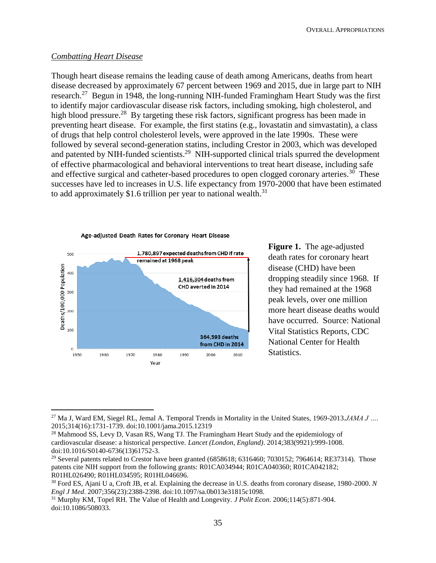#### *Combatting Heart Disease*

 $\overline{a}$ 

Though heart disease remains the leading cause of death among Americans, deaths from heart disease decreased by approximately 67 percent between 1969 and 2015, due in large part to NIH research.<sup>27</sup> Begun in 1948, the long-running NIH-funded Framingham Heart Study was the first to identify major cardiovascular disease risk factors, including smoking, high cholesterol, and high blood pressure.<sup>28</sup> By targeting these risk factors, significant progress has been made in preventing heart disease. For example, the first statins (e.g., lovastatin and simvastatin), a class of drugs that help control cholesterol levels, were approved in the late 1990s. These were followed by several second-generation statins, including Crestor in 2003, which was developed and patented by NIH-funded scientists.<sup>29</sup> NIH-supported clinical trials spurred the development of effective pharmacological and behavioral interventions to treat heart disease, including safe and effective surgical and catheter-based procedures to open clogged coronary arteries.<sup>30</sup> These successes have led to increases in U.S. life expectancy from 1970-2000 that have been estimated to add approximately \$1.6 trillion per year to national wealth.<sup>31</sup>



**Figure 1.** The age-adjusted death rates for coronary heart disease (CHD) have been dropping steadily since 1968. If they had remained at the 1968 peak levels, over one million more heart disease deaths would have occurred. Source: National Vital Statistics Reports, CDC National Center for Health Statistics.

<sup>27</sup> Ma J, Ward EM, Siegel RL, Jemal A. Temporal Trends in Mortality in the United States, 1969-2013.*JAMA J …*. 2015;314(16):1731-1739. doi:10.1001/jama.2015.12319

<sup>&</sup>lt;sup>28</sup> Mahmood SS, Levy D, Vasan RS, Wang TJ. The Framingham Heart Study and the epidemiology of cardiovascular disease: a historical perspective. *Lancet (London, England)*. 2014;383(9921):999-1008. doi:10.1016/S0140-6736(13)61752-3.

<sup>&</sup>lt;sup>29</sup> Several patents related to Crestor have been granted (6858618; 6316460; 7030152; 7964614; RE37314). Those patents cite NIH support from the following grants: R01CA034944; R01CA040360; R01CA042182; R01HL026490; R01HL034595; R01HL046696.

<sup>30</sup> Ford ES, Ajani U a, Croft JB, et al. Explaining the decrease in U.S. deaths from coronary disease, 1980-2000. *N Engl J Med*. 2007;356(23):2388-2398. doi:10.1097/sa.0b013e31815c1098.

<sup>31</sup> Murphy KM, Topel RH. The Value of Health and Longevity. *J Polit Econ*. 2006;114(5):871-904. doi:10.1086/508033.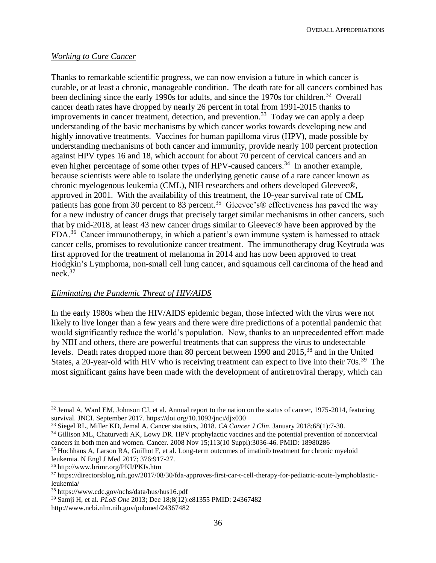OVERALL APPROPRIATIONS

## *Working to Cure Cancer*

Thanks to remarkable scientific progress, we can now envision a future in which cancer is curable, or at least a chronic, manageable condition. The death rate for all cancers combined has been declining since the early 1990s for adults, and since the 1970s for children.<sup>32</sup> Overall cancer death rates have dropped by nearly 26 percent in total from 1991-2015 thanks to improvements in cancer treatment, detection, and prevention.<sup>33</sup> Today we can apply a deep understanding of the basic mechanisms by which cancer works towards developing new and highly innovative treatments. Vaccines for human papilloma virus (HPV), made possible by understanding mechanisms of both cancer and immunity, provide nearly 100 percent protection against HPV types 16 and 18, which account for about 70 percent of cervical cancers and an even higher percentage of some other types of HPV-caused cancers.<sup>34</sup> In another example, because scientists were able to isolate the underlying genetic cause of a rare cancer known as chronic myelogenous leukemia (CML), NIH researchers and others developed Gleevec®, approved in 2001. With the availability of this treatment, the 10-year survival rate of CML patients has gone from 30 percent to 83 percent.<sup>35</sup> Gleevec's® effectiveness has paved the way for a new industry of cancer drugs that precisely target similar mechanisms in other cancers, such that by mid-2018, at least 43 new cancer drugs similar to Gleevec® have been approved by the FDA.<sup>36</sup> Cancer immunotherapy, in which a patient's own immune system is harnessed to attack cancer cells, promises to revolutionize cancer treatment. The immunotherapy drug Keytruda was first approved for the treatment of melanoma in 2014 and has now been approved to treat Hodgkin's Lymphoma, non-small cell lung cancer, and squamous cell carcinoma of the head and neck. 37

## *Eliminating the Pandemic Threat of HIV/AIDS*

In the early 1980s when the HIV/AIDS epidemic began, those infected with the virus were not likely to live longer than a few years and there were dire predictions of a potential pandemic that would significantly reduce the world's population. Now, thanks to an unprecedented effort made by NIH and others, there are powerful treatments that can suppress the virus to undetectable levels. Death rates dropped more than 80 percent between 1990 and 2015,<sup>38</sup> and in the United States, a 20-year-old with HIV who is receiving treatment can expect to live into their 70s.<sup>39</sup> The most significant gains have been made with the development of antiretroviral therapy, which can

 $\overline{a}$ 

<sup>&</sup>lt;sup>32</sup> Jemal A, Ward EM, Johnson CJ, et al. Annual report to the nation on the status of cancer, 1975-2014, featuring survival. JNCI. September 2017. https://doi.org/10.1093/jnci/djx030

<sup>33</sup> Siegel RL, Miller KD, Jemal A. Cancer statistics, 2018. *CA Cancer J Clin*. January 2018;68(1):7-30.

<sup>&</sup>lt;sup>34</sup> Gillison ML, Chaturvedi AK, Lowy DR. HPV prophylactic vaccines and the potential prevention of noncervical cancers in both men and women. Cancer. 2008 Nov 15;113(10 Suppl):3036-46. PMID: 18980286

<sup>35</sup> Hochhaus A, Larson RA, Guilhot F, et al. Long-term outcomes of imatinib treatment for chronic myeloid leukemia. N Engl J Med 2017; 376:917-27.

<sup>36</sup> http://www.brimr.org/PKI/PKIs.htm

<sup>37</sup> [https://directorsblog.nih.gov/2017/08/30/fda-approves-first-car-t-cell-therapy-for-pediatric-acute-lymphoblastic](https://directorsblog.nih.gov/2017/08/30/fda-approves-first-car-t-cell-therapy-for-pediatric-acute-lymphoblastic-leukemia/)[leukemia/](https://directorsblog.nih.gov/2017/08/30/fda-approves-first-car-t-cell-therapy-for-pediatric-acute-lymphoblastic-leukemia/)

<sup>38</sup> <https://www.cdc.gov/nchs/data/hus/hus16.pdf>

<sup>39</sup> Samji H, et al. *PLoS One* 2013; Dec 18;8(12):e81355 PMID: 24367482

<http://www.ncbi.nlm.nih.gov/pubmed/24367482>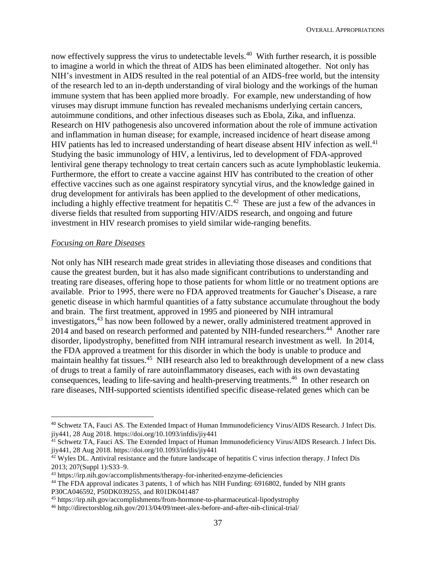now effectively suppress the virus to undetectable levels.<sup>40</sup> With further research, it is possible to imagine a world in which the threat of AIDS has been eliminated altogether. Not only has NIH's investment in AIDS resulted in the real potential of an AIDS-free world, but the intensity of the research led to an in-depth understanding of viral biology and the workings of the human immune system that has been applied more broadly. For example, new understanding of how viruses may disrupt immune function has revealed mechanisms underlying certain cancers, autoimmune conditions, and other infectious diseases such as Ebola, Zika, and influenza. Research on HIV pathogenesis also uncovered information about the role of immune activation and inflammation in human disease; for example, increased incidence of heart disease among HIV patients has led to increased understanding of heart disease absent HIV infection as well.<sup>41</sup> Studying the basic immunology of HIV, a lentivirus, led to development of FDA-approved lentiviral gene therapy technology to treat certain cancers such as acute lymphoblastic leukemia. Furthermore, the effort to create a vaccine against HIV has contributed to the creation of other effective vaccines such as one against respiratory syncytial virus, and the knowledge gained in drug development for antivirals has been applied to the development of other medications, including a highly effective treatment for hepatitis  $C^{42}$ . These are just a few of the advances in diverse fields that resulted from supporting HIV/AIDS research, and ongoing and future investment in HIV research promises to yield similar wide-ranging benefits.

#### *Focusing on Rare Diseases*

 $\overline{a}$ 

Not only has NIH research made great strides in alleviating those diseases and conditions that cause the greatest burden, but it has also made significant contributions to understanding and treating rare diseases, offering hope to those patients for whom little or no treatment options are available. Prior to 1995, there were no FDA approved treatments for Gaucher's Disease, a rare genetic disease in which harmful quantities of a fatty substance accumulate throughout the body and brain. The first treatment, approved in 1995 and pioneered by NIH intramural investigators,<sup>43</sup> has now been followed by a newer, orally administered treatment approved in 2014 and based on research performed and patented by NIH-funded researchers.<sup>44</sup> Another rare disorder, lipodystrophy, benefitted from NIH intramural research investment as well. In 2014, the FDA approved a treatment for this disorder in which the body is unable to produce and maintain healthy fat tissues.<sup>45</sup> NIH research also led to breakthrough development of a new class of drugs to treat a family of rare autoinflammatory diseases, each with its own devastating consequences, leading to life-saving and health-preserving treatments. <sup>46</sup> In other research on rare diseases, NIH-supported scientists identified specific disease-related genes which can be

<sup>40</sup> Schwetz TA, Fauci AS. The Extended Impact of Human Immunodeficiency Virus/AIDS Research. J Infect Dis. jiy441, 28 Aug 2018. https://doi.org/10.1093/infdis/jiy441

<sup>&</sup>lt;sup>41</sup> Schwetz TA, Fauci AS. The Extended Impact of Human Immunodeficiency Virus/AIDS Research. J Infect Dis. jiy441, 28 Aug 2018. https://doi.org/10.1093/infdis/jiy441

<sup>&</sup>lt;sup>42</sup> Wyles DL. Antiviral resistance and the future landscape of hepatitis C virus infection therapy. J Infect Dis 2013; 207(Suppl 1):S33–9.

<sup>43</sup> https://irp.nih.gov/accomplishments/therapy-for-inherited-enzyme-deficiencies

<sup>44</sup> The FDA approval indicates 3 patents, 1 of which has NIH Funding: 6916802, funded by NIH grants P30CA046592, P50DK039255, and R01DK041487

<sup>45</sup> https://irp.nih.gov/accomplishments/from-hormone-to-pharmaceutical-lipodystrophy

<sup>46</sup> http://directorsblog.nih.gov/2013/04/09/meet-alex-before-and-after-nih-clinical-trial/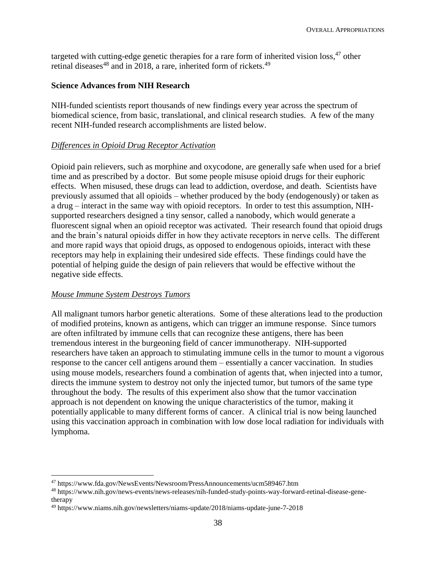targeted with cutting-edge genetic therapies for a rare form of inherited vision loss, <sup>47</sup> other retinal diseases<sup>48</sup> and in 2018, a rare, inherited form of rickets.<sup>49</sup>

## **Science Advances from NIH Research**

NIH-funded scientists report thousands of new findings every year across the spectrum of biomedical science, from basic, translational, and clinical research studies. A few of the many recent NIH-funded research accomplishments are listed below.

## *Differences in Opioid Drug Receptor Activation*

Opioid pain relievers, such as morphine and oxycodone, are generally safe when used for a brief time and as prescribed by a doctor. But some people misuse opioid drugs for their euphoric effects. When misused, these drugs can lead to addiction, overdose, and death. Scientists have previously assumed that all opioids – whether produced by the body (endogenously) or taken as a drug – interact in the same way with opioid receptors. In order to test this assumption, NIHsupported researchers designed a tiny sensor, called a nanobody, which would generate a fluorescent signal when an opioid receptor was activated. Their research found that opioid drugs and the brain's natural opioids differ in how they activate receptors in nerve cells. The different and more rapid ways that opioid drugs, as opposed to endogenous opioids, interact with these receptors may help in explaining their undesired side effects. These findings could have the potential of helping guide the design of pain relievers that would be effective without the negative side effects.

## *Mouse Immune System Destroys Tumors*

 $\overline{a}$ 

All malignant tumors harbor genetic alterations. Some of these alterations lead to the production of modified proteins, known as antigens, which can trigger an immune response. Since tumors are often infiltrated by immune cells that can recognize these antigens, there has been tremendous interest in the burgeoning field of cancer immunotherapy. NIH-supported researchers have taken an approach to stimulating immune cells in the tumor to mount a vigorous response to the cancer cell antigens around them – essentially a cancer vaccination. In studies using mouse models, researchers found a combination of agents that, when injected into a tumor, directs the immune system to destroy not only the injected tumor, but tumors of the same type throughout the body. The results of this experiment also show that the tumor vaccination approach is not dependent on knowing the unique characteristics of the tumor, making it potentially applicable to many different forms of cancer. A clinical trial is now being launched using this vaccination approach in combination with low dose local radiation for individuals with lymphoma.

<sup>47</sup> https://www.fda.gov/NewsEvents/Newsroom/PressAnnouncements/ucm589467.htm

<sup>48</sup> https://www.nih.gov/news-events/news-releases/nih-funded-study-points-way-forward-retinal-disease-genetherapy

<sup>49</sup> https://www.niams.nih.gov/newsletters/niams-update/2018/niams-update-june-7-2018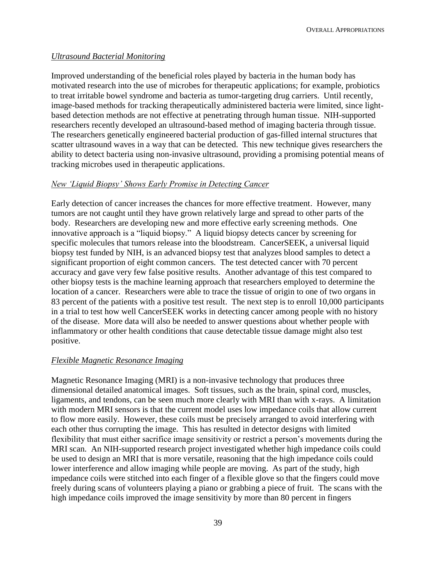## *Ultrasound Bacterial Monitoring*

Improved understanding of the beneficial roles played by bacteria in the human body has motivated research into the use of microbes for therapeutic applications; for example, probiotics to treat irritable bowel syndrome and bacteria as tumor-targeting drug carriers. Until recently, image-based methods for tracking therapeutically administered bacteria were limited, since lightbased detection methods are not effective at penetrating through human tissue. NIH-supported researchers recently developed an ultrasound-based method of imaging bacteria through tissue. The researchers genetically engineered bacterial production of gas-filled internal structures that scatter ultrasound waves in a way that can be detected. This new technique gives researchers the ability to detect bacteria using non-invasive ultrasound, providing a promising potential means of tracking microbes used in therapeutic applications.

## *[New 'Liquid Biopsy' Shows Early Promise in Detecting Cancer](https://directorsblog.nih.gov/2018/01/30/new-liquid-biopsy-shows-early-promise-in-detecting-cancer/)*

Early detection of cancer increases the chances for more effective treatment. However, many tumors are not caught until they have grown relatively large and spread to other parts of the body. Researchers are developing new and more effective early screening methods. One innovative approach is a "liquid biopsy." A liquid biopsy detects cancer by screening for specific molecules that tumors release into the bloodstream. CancerSEEK, a universal liquid biopsy test funded by NIH, is an advanced biopsy test that analyzes blood samples to detect a significant proportion of eight common cancers. The test detected cancer with 70 percent accuracy and gave very few false positive results. Another advantage of this test compared to other biopsy tests is the machine learning approach that researchers employed to determine the location of a cancer. Researchers were able to trace the tissue of origin to one of two organs in 83 percent of the patients with a positive test result. The next step is to enroll 10,000 participants in a trial to test how well CancerSEEK works in detecting cancer among people with no history of the disease. More data will also be needed to answer questions about whether people with inflammatory or other health conditions that cause detectable tissue damage might also test positive.

#### *Flexible Magnetic Resonance Imaging*

Magnetic Resonance Imaging (MRI) is a non-invasive technology that produces three dimensional detailed anatomical images. Soft tissues, such as the brain, spinal cord, muscles, ligaments, and tendons, can be seen much more clearly with MRI than with x-rays. A limitation with modern MRI sensors is that the current model uses low impedance coils that allow current to flow more easily. However, these coils must be precisely arranged to avoid interfering with each other thus corrupting the image. This has resulted in detector designs with limited flexibility that must either sacrifice image sensitivity or restrict a person's movements during the MRI scan. An NIH-supported research project investigated whether high impedance coils could be used to design an MRI that is more versatile, reasoning that the high impedance coils could lower interference and allow imaging while people are moving. As part of the study, high impedance coils were stitched into each finger of a flexible glove so that the fingers could move freely during scans of volunteers playing a piano or grabbing a piece of fruit. The scans with the high impedance coils improved the image sensitivity by more than 80 percent in fingers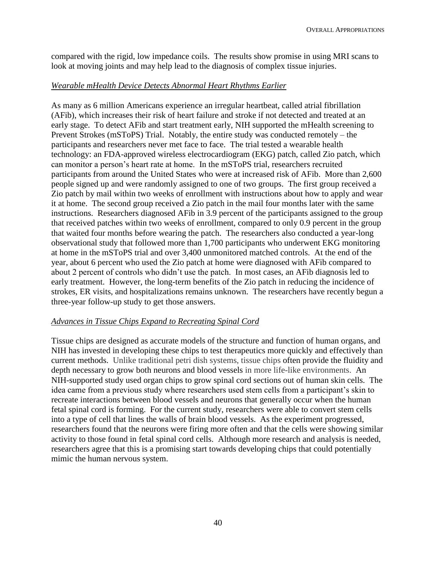compared with the rigid, low impedance coils. The results show promise in using MRI scans to look at moving joints and may help lead to the diagnosis of complex tissue injuries.

## *Wearable mHealth Device Detects Abnormal Heart Rhythms Earlier*

As many as 6 million Americans experience an irregular heartbeat, called atrial fibrillation (AFib), which increases their risk of heart failure and stroke if not detected and treated at an early stage. To detect AFib and start treatment early, NIH supported the mHealth screening to Prevent Strokes (mSToPS) Trial. Notably, the entire study was conducted remotely – the participants and researchers never met face to face. The trial tested a wearable health technology: an FDA-approved wireless electrocardiogram (EKG) patch, called Zio patch, which can monitor a person's heart rate at home. In the mSToPS trial, researchers recruited participants from around the United States who were at increased risk of AFib. More than 2,600 people signed up and were randomly assigned to one of two groups. The first group received a Zio patch by mail within two weeks of enrollment with instructions about how to apply and wear it at home. The second group received a Zio patch in the mail four months later with the same instructions. Researchers diagnosed AFib in 3.9 percent of the participants assigned to the group that received patches within two weeks of enrollment, compared to only 0.9 percent in the group that waited four months before wearing the patch. The researchers also conducted a year-long observational study that followed more than 1,700 participants who underwent EKG monitoring at home in the mSToPS trial and over 3,400 unmonitored matched controls. At the end of the year, about 6 percent who used the Zio patch at home were diagnosed with AFib compared to about 2 percent of controls who didn't use the patch. In most cases, an AFib diagnosis led to early treatment. However, the long-term benefits of the Zio patch in reducing the incidence of strokes, ER visits, and hospitalizations remains unknown. The researchers have recently begun a three-year follow-up study to get those answers.

## *Advances in Tissue Chips Expand to Recreating Spinal Cord*

Tissue chips are designed as accurate models of the structure and function of human organs, and NIH has invested in developing these chips to test therapeutics more quickly and effectively than current methods. Unlike traditional petri dish systems, tissue chips often provide the fluidity and depth necessary to grow both neurons and blood vessels in more life-like environments. An NIH-supported study used organ chips to grow spinal cord sections out of human skin cells. The idea came from a previous study where researchers used stem cells from a participant's skin to recreate interactions between blood vessels and neurons that generally occur when the human fetal spinal cord is forming. For the current study, researchers were able to convert stem cells into a type of cell that lines the walls of brain blood vessels. As the experiment progressed, researchers found that the neurons were firing more often and that the cells were showing similar activity to those found in fetal spinal cord cells. Although more research and analysis is needed, researchers agree that this is a promising start towards developing chips that could potentially mimic the human nervous system.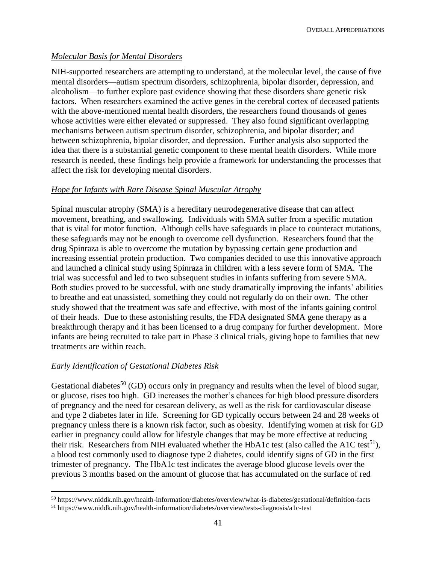## *Molecular Basis for Mental Disorders*

NIH-supported researchers are attempting to understand, at the molecular level, the cause of five mental disorders—autism spectrum disorders, schizophrenia, bipolar disorder, depression, and alcoholism—to further explore past evidence showing that these disorders share genetic risk factors. When researchers examined the active genes in the cerebral cortex of deceased patients with the above-mentioned mental health disorders, the researchers found thousands of genes whose activities were either elevated or suppressed. They also found significant overlapping mechanisms between autism spectrum disorder, schizophrenia, and bipolar disorder; and between schizophrenia, bipolar disorder, and depression. Further analysis also supported the idea that there is a substantial genetic component to these mental health disorders. While more research is needed, these findings help provide a framework for understanding the processes that affect the risk for developing mental disorders.

## *Hope for Infants with Rare Disease Spinal Muscular Atrophy*

Spinal muscular atrophy (SMA) is a hereditary neurodegenerative disease that can affect movement, breathing, and swallowing. Individuals with SMA suffer from a specific mutation that is vital for motor function. Although cells have safeguards in place to counteract mutations, these safeguards may not be enough to overcome cell dysfunction. Researchers found that the drug Spinraza is able to overcome the mutation by bypassing certain gene production and increasing essential protein production. Two companies decided to use this innovative approach and launched a clinical study using Spinraza in children with a less severe form of SMA. The trial was successful and led to two subsequent studies in infants suffering from severe SMA. Both studies proved to be successful, with one study dramatically improving the infants' abilities to breathe and eat unassisted, something they could not regularly do on their own. The other study showed that the treatment was safe and effective, with most of the infants gaining control of their heads. Due to these astonishing results, the FDA designated SMA gene therapy as a breakthrough therapy and it has been licensed to a drug company for further development. More infants are being recruited to take part in Phase 3 clinical trials, giving hope to families that new treatments are within reach.

## *Early Identification of Gestational Diabetes Risk*

 $\overline{a}$ 

Gestational diabetes<sup>50</sup> (GD) occurs only in pregnancy and results when the level of blood sugar, or glucose, rises too high. GD increases the mother's chances for high blood pressure disorders of pregnancy and the need for cesarean delivery, as well as the risk for cardiovascular disease and type 2 diabetes later in life. Screening for GD typically occurs between 24 and 28 weeks of pregnancy unless there is a known risk factor, such as obesity. Identifying women at risk for GD earlier in pregnancy could allow for lifestyle changes that may be more effective at reducing their risk. Researchers from NIH evaluated whether the HbA1c test (also called the A1C test<sup>51</sup>), a blood test commonly used to diagnose type 2 diabetes, could identify signs of GD in the first trimester of pregnancy. The HbA1c test indicates the average blood glucose levels over the previous 3 months based on the amount of glucose that has accumulated on the surface of red

<sup>50</sup> https://www.niddk.nih.gov/health-information/diabetes/overview/what-is-diabetes/gestational/definition-facts

<sup>51</sup> https://www.niddk.nih.gov/health-information/diabetes/overview/tests-diagnosis/a1c-test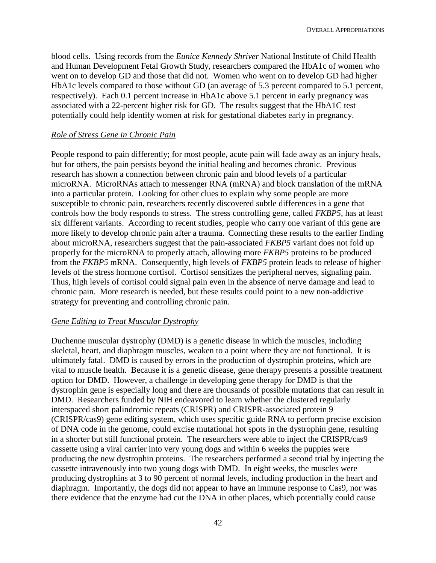blood cells. Using records from the *Eunice Kennedy Shriver* National Institute of Child Health and Human Development Fetal Growth Study, researchers compared the HbA1c of women who went on to develop GD and those that did not. Women who went on to develop GD had higher HbA1c levels compared to those without GD (an average of 5.3 percent compared to 5.1 percent, respectively). Each 0.1 percent increase in HbA1c above 5.1 percent in early pregnancy was associated with a 22-percent higher risk for GD. The results suggest that the HbA1C test potentially could help identify women at risk for gestational diabetes early in pregnancy.

#### *Role of Stress Gene in Chronic Pain*

People respond to pain differently; for most people, acute pain will fade away as an injury heals, but for others, the pain persists beyond the initial healing and becomes chronic. Previous research has shown a connection between chronic pain and blood levels of a particular microRNA. MicroRNAs attach to messenger RNA (mRNA) and block translation of the mRNA into a particular protein. Looking for other clues to explain why some people are more susceptible to chronic pain, researchers recently discovered subtle differences in a gene that controls how the body responds to stress. The stress controlling gene, called *FKBP5*, has at least six different variants. According to recent studies, people who carry one variant of this gene are more likely to develop chronic pain after a trauma. Connecting these results to the earlier finding about microRNA, researchers suggest that the pain-associated *FKBP5* variant does not fold up properly for the microRNA to properly attach, allowing more *FKBP5* proteins to be produced from the *FKBP5* mRNA. Consequently, high levels of *FKBP5* protein leads to release of higher levels of the stress hormone cortisol. Cortisol sensitizes the peripheral nerves, signaling pain. Thus, high levels of cortisol could signal pain even in the absence of nerve damage and lead to chronic pain. More research is needed, but these results could point to a new non-addictive strategy for preventing and controlling chronic pain.

#### *Gene Editing to Treat Muscular Dystrophy*

Duchenne muscular dystrophy (DMD) is a genetic disease in which the muscles, including skeletal, heart, and diaphragm muscles, weaken to a point where they are not functional. It is ultimately fatal. DMD is caused by errors in the production of dystrophin proteins, which are vital to muscle health. Because it is a genetic disease, gene therapy presents a possible treatment option for DMD. However, a challenge in developing gene therapy for DMD is that the dystrophin gene is especially long and there are thousands of possible mutations that can result in DMD. Researchers funded by NIH endeavored to learn whether the clustered regularly interspaced short palindromic repeats (CRISPR) and CRISPR-associated protein 9 (CRISPR/cas9) gene editing system, which uses specific guide RNA to perform precise excision of DNA code in the genome, could excise mutational hot spots in the dystrophin gene, resulting in a shorter but still functional protein. The researchers were able to inject the CRISPR/cas9 cassette using a viral carrier into very young dogs and within 6 weeks the puppies were producing the new dystrophin proteins. The researchers performed a second trial by injecting the cassette intravenously into two young dogs with DMD. In eight weeks, the muscles were producing dystrophins at 3 to 90 percent of normal levels, including production in the heart and diaphragm. Importantly, the dogs did not appear to have an immune response to Cas9, nor was there evidence that the enzyme had cut the DNA in other places, which potentially could cause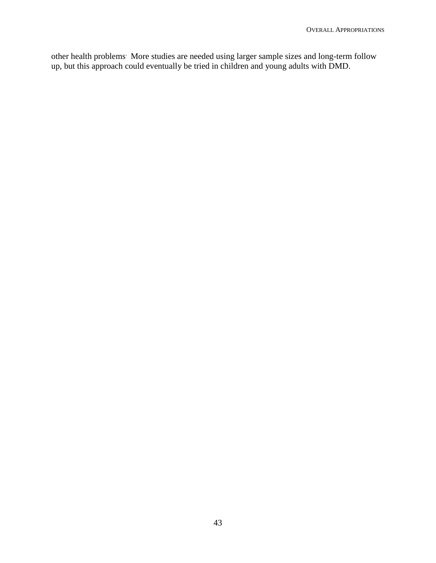other health problems. More studies are needed using larger sample sizes and long-term follow up, but this approach could eventually be tried in children and young adults with DMD.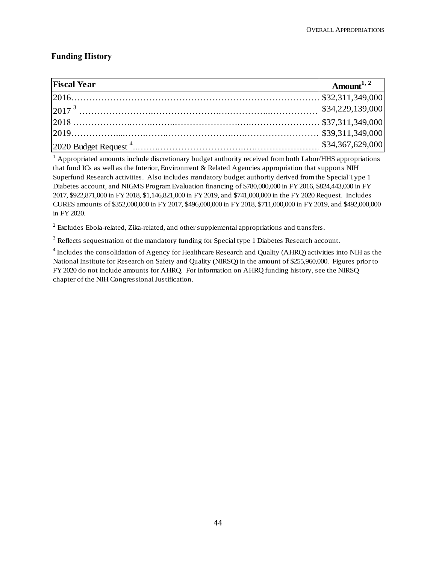## **Funding History**

| <b>Fiscal Year</b>                                                                                                                                                                                                                                                                                                        | Amount <sup>1, 2</sup>                     |
|---------------------------------------------------------------------------------------------------------------------------------------------------------------------------------------------------------------------------------------------------------------------------------------------------------------------------|--------------------------------------------|
|                                                                                                                                                                                                                                                                                                                           |                                            |
|                                                                                                                                                                                                                                                                                                                           | \$34,229,139,000                           |
| $\begin{bmatrix} 2017 & 0 & 0 & 0 & 0 \\ 2018 & 0 & 0 & 0 & 0 \\ 0 & 0 & 0 & 0 & 0 \\ 0 & 0 & 0 & 0 & 0 \\ 0 & 0 & 0 & 0 & 0 \\ 0 & 0 & 0 & 0 & 0 \\ 0 & 0 & 0 & 0 & 0 \\ 0 & 0 & 0 & 0 & 0 \\ 0 & 0 & 0 & 0 & 0 \\ 0 & 0 & 0 & 0 & 0 \\ 0 & 0 & 0 & 0 & 0 \\ 0 & 0 & 0 & 0 & 0 & 0 \\ 0 & 0 & 0 & 0 & 0 & 0 \\ 0 & 0 & $ |                                            |
|                                                                                                                                                                                                                                                                                                                           |                                            |
|                                                                                                                                                                                                                                                                                                                           | $\left  \frac{$34,367,629,000}{2} \right $ |

<sup>1</sup> Appropriated amounts include discretionary budget authority received from both Labor/HHS appropriations that fund ICs as well as the Interior, Environment & Related Agencies appropriation that supports NIH Superfund Research activities. Also includes mandatory budget authority derived from the Special Type 1 Diabetes account, and NIGMS Program Evaluation financing of \$780,000,000 in FY 2016, \$824,443,000 in FY 2017, \$922,871,000 in FY 2018, \$1,146,821,000 in FY 2019, and \$741,000,000 in the FY 2020 Request. Includes CURES amounts of \$352,000,000 in FY 2017, \$496,000,000 in FY 2018, \$711,000,000 in FY 2019, and \$492,000,000 in FY 2020.

 $2^{2}$  Excludes Ebola-related, Zika-related, and other supplemental appropriations and transfers.

 $3$  Reflects sequestration of the mandatory funding for Special type 1 Diabetes Research account.

 $^2$  Excludes Ebola-related, Zika-related, and other supplemental appropriations and transfers.<br><sup>3</sup> Reflects sequestration of the mandatory funding for Special type 1 Diabetes Research account.<br><sup>4</sup> Includes the consolidat National Institute for Research on Safety and Quality (NIRSQ) in the amount of \$255,960,000. Figures prior to FY 2020 do not include amounts for AHRQ. For information on AHRQ funding history, see the NIRSQ chapter of the NIH Congressional Justification.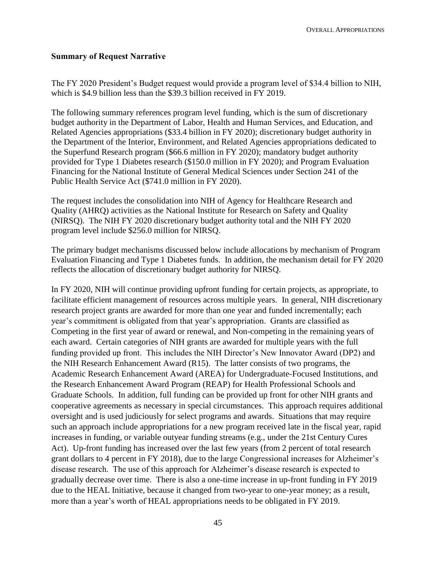## **Summary of Request Narrative**

The FY 2020 President's Budget request would provide a program level of \$34.4 billion to NIH, which is \$4.9 billion less than the \$39.3 billion received in FY 2019.

The following summary references program level funding, which is the sum of discretionary budget authority in the Department of Labor, Health and Human Services, and Education, and Related Agencies appropriations (\$33.4 billion in FY 2020); discretionary budget authority in the Department of the Interior, Environment, and Related Agencies appropriations dedicated to the Superfund Research program (\$66.6 million in FY 2020); mandatory budget authority provided for Type 1 Diabetes research (\$150.0 million in FY 2020); and Program Evaluation Financing for the National Institute of General Medical Sciences under Section 241 of the Public Health Service Act (\$741.0 million in FY 2020).

The request includes the consolidation into NIH of Agency for Healthcare Research and Quality (AHRQ) activities as the National Institute for Research on Safety and Quality (NIRSQ). The NIH FY 2020 discretionary budget authority total and the NIH FY 2020 program level include \$256.0 million for NIRSQ.

The primary budget mechanisms discussed below include allocations by mechanism of Program Evaluation Financing and Type 1 Diabetes funds. In addition, the mechanism detail for FY 2020 reflects the allocation of discretionary budget authority for NIRSQ.

In FY 2020, NIH will continue providing upfront funding for certain projects, as appropriate, to facilitate efficient management of resources across multiple years. In general, NIH discretionary research project grants are awarded for more than one year and funded incrementally; each year's commitment is obligated from that year's appropriation. Grants are classified as Competing in the first year of award or renewal, and Non-competing in the remaining years of each award. Certain categories of NIH grants are awarded for multiple years with the full funding provided up front. This includes the NIH Director's New Innovator Award (DP2) and the NIH Research Enhancement Award (R15). The latter consists of two programs, the Academic Research Enhancement Award (AREA) for Undergraduate-Focused Institutions, and the Research Enhancement Award Program (REAP) for Health Professional Schools and Graduate Schools. In addition, full funding can be provided up front for other NIH grants and cooperative agreements as necessary in special circumstances. This approach requires additional oversight and is used judiciously for select programs and awards. Situations that may require such an approach include appropriations for a new program received late in the fiscal year, rapid increases in funding, or variable outyear funding streams (e.g., under the 21st Century Cures Act). Up-front funding has increased over the last few years (from 2 percent of total research grant dollars to 4 percent in FY 2018), due to the large Congressional increases for Alzheimer's disease research. The use of this approach for Alzheimer's disease research is expected to gradually decrease over time. There is also a one-time increase in up-front funding in FY 2019 due to the HEAL Initiative, because it changed from two-year to one-year money; as a result, more than a year's worth of HEAL appropriations needs to be obligated in FY 2019.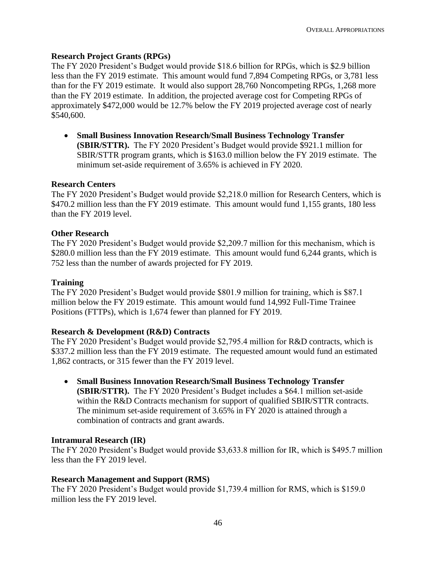## **Research Project Grants (RPGs)**

The FY 2020 President's Budget would provide \$18.6 billion for RPGs, which is \$2.9 billion less than the FY 2019 estimate. This amount would fund 7,894 Competing RPGs, or 3,781 less than for the FY 2019 estimate. It would also support 28,760 Noncompeting RPGs, 1,268 more than the FY 2019 estimate. In addition, the projected average cost for Competing RPGs of approximately \$472,000 would be 12.7% below the FY 2019 projected average cost of nearly \$540,600.

• **Small Business Innovation Research/Small Business Technology Transfer (SBIR/STTR).** The FY 2020 President's Budget would provide \$921.1 million for SBIR/STTR program grants, which is \$163.0 million below the FY 2019 estimate. The minimum set-aside requirement of 3.65% is achieved in FY 2020.

## **Research Centers**

The FY 2020 President's Budget would provide \$2,218.0 million for Research Centers, which is \$470.2 million less than the FY 2019 estimate. This amount would fund 1,155 grants, 180 less than the FY 2019 level.

## **Other Research**

The FY 2020 President's Budget would provide \$2,209.7 million for this mechanism, which is \$280.0 million less than the FY 2019 estimate. This amount would fund 6,244 grants, which is 752 less than the number of awards projected for FY 2019.

## **Training**

The FY 2020 President's Budget would provide \$801.9 million for training, which is \$87.1 million below the FY 2019 estimate. This amount would fund 14,992 Full-Time Trainee Positions (FTTPs), which is 1,674 fewer than planned for FY 2019.

## **Research & Development (R&D) Contracts**

The FY 2020 President's Budget would provide \$2,795.4 million for R&D contracts, which is \$337.2 million less than the FY 2019 estimate. The requested amount would fund an estimated 1,862 contracts, or 315 fewer than the FY 2019 level.

• **Small Business Innovation Research/Small Business Technology Transfer (SBIR/STTR).** The FY 2020 President's Budget includes a \$64.1 million set-aside within the R&D Contracts mechanism for support of qualified SBIR/STTR contracts. The minimum set-aside requirement of 3.65% in FY 2020 is attained through a combination of contracts and grant awards.

## **Intramural Research (IR)**

The FY 2020 President's Budget would provide \$3,633.8 million for IR, which is \$495.7 million less than the FY 2019 level.

## **Research Management and Support (RMS)**

The FY 2020 President's Budget would provide \$1,739.4 million for RMS, which is \$159.0 million less the FY 2019 level.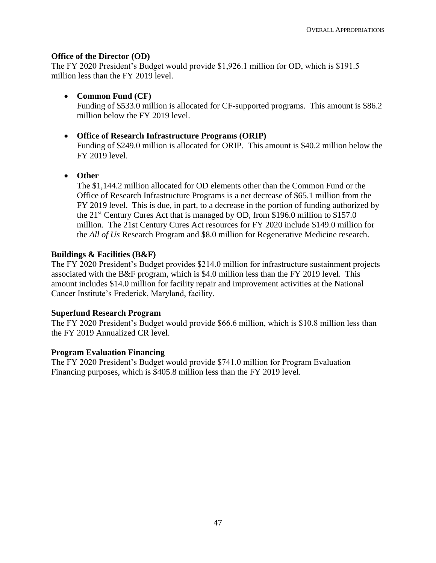## **Office of the Director (OD)**

The FY 2020 President's Budget would provide \$1,926.1 million for OD, which is \$191.5 million less than the FY 2019 level.

• **Common Fund (CF)** 

Funding of \$533.0 million is allocated for CF-supported programs. This amount is \$86.2 million below the FY 2019 level.

## • **Office of Research Infrastructure Programs (ORIP)**

Funding of \$249.0 million is allocated for ORIP. This amount is \$40.2 million below the FY 2019 level.

• **Other** 

The \$1,144.2 million allocated for OD elements other than the Common Fund or the Office of Research Infrastructure Programs is a net decrease of \$65.1 million from the FY 2019 level. This is due, in part, to a decrease in the portion of funding authorized by the 21st Century Cures Act that is managed by OD, from \$196.0 million to \$157.0 million. The 21st Century Cures Act resources for FY 2020 include \$149.0 million for the *All of Us* Research Program and \$8.0 million for Regenerative Medicine research.

## **Buildings & Facilities (B&F)**

The FY 2020 President's Budget provides \$214.0 million for infrastructure sustainment projects associated with the B&F program, which is \$4.0 million less than the FY 2019 level. This amount includes \$14.0 million for facility repair and improvement activities at the National Cancer Institute's Frederick, Maryland, facility.

## **Superfund Research Program**

The FY 2020 President's Budget would provide \$66.6 million, which is \$10.8 million less than the FY 2019 Annualized CR level.

## **Program Evaluation Financing**

The FY 2020 President's Budget would provide \$741.0 million for Program Evaluation Financing purposes, which is \$405.8 million less than the FY 2019 level.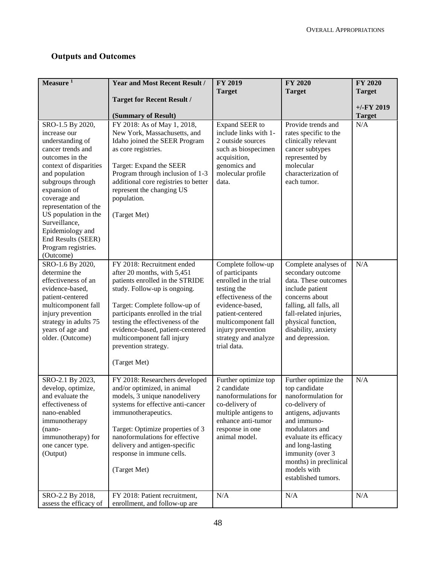## **Outputs and Outcomes**

| Measure <sup>1</sup>                                                                                                                                                                                                                                                                                                                          | <b>Year and Most Recent Result /</b>                                                                                                                                                                                                                                                                                                              | FY 2019                                                                                                                                                                                                                         | <b>FY 2020</b>                                                                                                                                                                                                                                                          | <b>FY 2020</b> |
|-----------------------------------------------------------------------------------------------------------------------------------------------------------------------------------------------------------------------------------------------------------------------------------------------------------------------------------------------|---------------------------------------------------------------------------------------------------------------------------------------------------------------------------------------------------------------------------------------------------------------------------------------------------------------------------------------------------|---------------------------------------------------------------------------------------------------------------------------------------------------------------------------------------------------------------------------------|-------------------------------------------------------------------------------------------------------------------------------------------------------------------------------------------------------------------------------------------------------------------------|----------------|
|                                                                                                                                                                                                                                                                                                                                               | <b>Target for Recent Result /</b>                                                                                                                                                                                                                                                                                                                 | <b>Target</b>                                                                                                                                                                                                                   | <b>Target</b>                                                                                                                                                                                                                                                           | <b>Target</b>  |
|                                                                                                                                                                                                                                                                                                                                               |                                                                                                                                                                                                                                                                                                                                                   |                                                                                                                                                                                                                                 |                                                                                                                                                                                                                                                                         | $+/-$ FY 2019  |
|                                                                                                                                                                                                                                                                                                                                               | (Summary of Result)                                                                                                                                                                                                                                                                                                                               |                                                                                                                                                                                                                                 |                                                                                                                                                                                                                                                                         | <b>Target</b>  |
| SRO-1.5 By 2020,<br>increase our<br>understanding of<br>cancer trends and<br>outcomes in the<br>context of disparities<br>and population<br>subgroups through<br>expansion of<br>coverage and<br>representation of the<br>US population in the<br>Surveillance,<br>Epidemiology and<br>End Results (SEER)<br>Program registries.<br>(Outcome) | FY 2018: As of May 1, 2018,<br>New York, Massachusetts, and<br>Idaho joined the SEER Program<br>as core registries.<br>Target: Expand the SEER<br>Program through inclusion of 1-3<br>additional core registries to better<br>represent the changing US<br>population.<br>(Target Met)                                                            | Expand SEER to<br>include links with 1-<br>2 outside sources<br>such as biospecimen<br>acquisition,<br>genomics and<br>molecular profile<br>data.                                                                               | Provide trends and<br>rates specific to the<br>clinically relevant<br>cancer subtypes<br>represented by<br>molecular<br>characterization of<br>each tumor.                                                                                                              | N/A            |
| SRO-1.6 By 2020,<br>determine the<br>effectiveness of an<br>evidence-based,<br>patient-centered<br>multicomponent fall<br>injury prevention<br>strategy in adults 75<br>years of age and<br>older. (Outcome)                                                                                                                                  | FY 2018: Recruitment ended<br>after 20 months, with 5,451<br>patients enrolled in the STRIDE<br>study. Follow-up is ongoing.<br>Target: Complete follow-up of<br>participants enrolled in the trial<br>testing the effectiveness of the<br>evidence-based, patient-centered<br>multicomponent fall injury<br>prevention strategy.<br>(Target Met) | Complete follow-up<br>of participants<br>enrolled in the trial<br>testing the<br>effectiveness of the<br>evidence-based,<br>patient-centered<br>multicomponent fall<br>injury prevention<br>strategy and analyze<br>trial data. | Complete analyses of<br>secondary outcome<br>data. These outcomes<br>include patient<br>concerns about<br>falling, all falls, all<br>fall-related injuries,<br>physical function,<br>disability, anxiety<br>and depression.                                             | N/A            |
| SRO-2.1 By 2023,<br>develop, optimize,<br>and evaluate the<br>effectiveness of<br>nano-enabled<br>immunotherapy<br>$(nano-$<br>immunotherapy) for<br>one cancer type.<br>(Output)                                                                                                                                                             | FY 2018: Researchers developed<br>and/or optimized, in animal<br>models, 3 unique nanodelivery<br>systems for effective anti-cancer<br>immunotherapeutics.<br>Target: Optimize properties of 3<br>nanoformulations for effective<br>delivery and antigen-specific<br>response in immune cells.<br>(Target Met)                                    | Further optimize top<br>2 candidate<br>nanoformulations for<br>co-delivery of<br>multiple antigens to<br>enhance anti-tumor<br>response in one<br>animal model.                                                                 | Further optimize the<br>top candidate<br>nanoformulation for<br>co-delivery of<br>antigens, adjuvants<br>and immuno-<br>modulators and<br>evaluate its efficacy<br>and long-lasting<br>immunity (over 3<br>months) in preclinical<br>models with<br>established tumors. | N/A            |
| SRO-2.2 By 2018,<br>assess the efficacy of                                                                                                                                                                                                                                                                                                    | FY 2018: Patient recruitment,<br>enrollment, and follow-up are                                                                                                                                                                                                                                                                                    | N/A                                                                                                                                                                                                                             | N/A                                                                                                                                                                                                                                                                     | N/A            |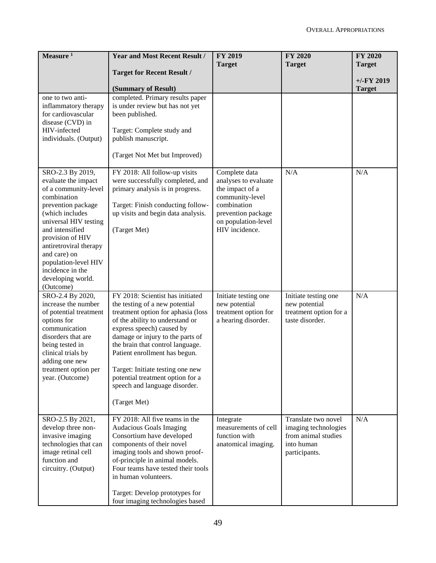| Measure $1$                                                                                                                                                                                                                                                                                                     | <b>Year and Most Recent Result /</b>                                                                                                                                                                                                                                                                                                                                                                       | <b>FY 2019</b><br><b>Target</b>                                                                                                                           | <b>FY 2020</b><br><b>Target</b>                                                                   | <b>FY 2020</b><br><b>Target</b> |
|-----------------------------------------------------------------------------------------------------------------------------------------------------------------------------------------------------------------------------------------------------------------------------------------------------------------|------------------------------------------------------------------------------------------------------------------------------------------------------------------------------------------------------------------------------------------------------------------------------------------------------------------------------------------------------------------------------------------------------------|-----------------------------------------------------------------------------------------------------------------------------------------------------------|---------------------------------------------------------------------------------------------------|---------------------------------|
|                                                                                                                                                                                                                                                                                                                 | <b>Target for Recent Result /</b>                                                                                                                                                                                                                                                                                                                                                                          |                                                                                                                                                           |                                                                                                   |                                 |
|                                                                                                                                                                                                                                                                                                                 | (Summary of Result)                                                                                                                                                                                                                                                                                                                                                                                        |                                                                                                                                                           |                                                                                                   | $+/-$ FY 2019<br><b>Target</b>  |
| one to two anti-<br>inflammatory therapy<br>for cardiovascular<br>disease (CVD) in<br>HIV-infected<br>individuals. (Output)                                                                                                                                                                                     | completed. Primary results paper<br>is under review but has not yet<br>been published.<br>Target: Complete study and<br>publish manuscript.<br>(Target Not Met but Improved)                                                                                                                                                                                                                               |                                                                                                                                                           |                                                                                                   |                                 |
| SRO-2.3 By 2019,<br>evaluate the impact<br>of a community-level<br>combination<br>prevention package<br>(which includes<br>universal HIV testing<br>and intensified<br>provision of HIV<br>antiretroviral therapy<br>and care) on<br>population-level HIV<br>incidence in the<br>developing world.<br>(Outcome) | FY 2018: All follow-up visits<br>were successfully completed, and<br>primary analysis is in progress.<br>Target: Finish conducting follow-<br>up visits and begin data analysis.<br>(Target Met)                                                                                                                                                                                                           | Complete data<br>analyses to evaluate<br>the impact of a<br>community-level<br>combination<br>prevention package<br>on population-level<br>HIV incidence. | N/A                                                                                               | N/A                             |
| SRO-2.4 By 2020,<br>increase the number<br>of potential treatment<br>options for<br>communication<br>disorders that are<br>being tested in<br>clinical trials by<br>adding one new<br>treatment option per<br>year. (Outcome)                                                                                   | FY 2018: Scientist has initiated<br>the testing of a new potential<br>treatment option for aphasia (loss<br>of the ability to understand or<br>express speech) caused by<br>damage or injury to the parts of<br>the brain that control language.<br>Patient enrollment has begun.<br>Target: Initiate testing one new<br>potential treatment option for a<br>speech and language disorder.<br>(Target Met) | Initiate testing one<br>new potential<br>treatment option for<br>a hearing disorder.                                                                      | Initiate testing one<br>new potential<br>treatment option for a<br>taste disorder.                | N/A                             |
| SRO-2.5 By 2021,<br>develop three non-<br>invasive imaging<br>technologies that can<br>image retinal cell<br>function and<br>circuitry. (Output)                                                                                                                                                                | FY 2018: All five teams in the<br><b>Audacious Goals Imaging</b><br>Consortium have developed<br>components of their novel<br>imaging tools and shown proof-<br>of-principle in animal models.<br>Four teams have tested their tools<br>in human volunteers.<br>Target: Develop prototypes for<br>four imaging technologies based                                                                          | Integrate<br>measurements of cell<br>function with<br>anatomical imaging.                                                                                 | Translate two novel<br>imaging technologies<br>from animal studies<br>into human<br>participants. | N/A                             |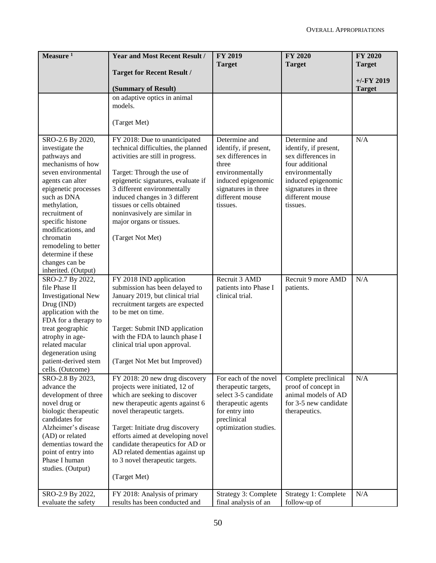| Measure $1$                                 | <b>Year and Most Recent Result /</b>                                | <b>FY 2019</b>                         | <b>FY 2020</b>                         | <b>FY 2020</b> |
|---------------------------------------------|---------------------------------------------------------------------|----------------------------------------|----------------------------------------|----------------|
|                                             | <b>Target for Recent Result /</b>                                   | <b>Target</b>                          | <b>Target</b>                          | <b>Target</b>  |
|                                             |                                                                     |                                        |                                        | $+/-$ FY 2019  |
|                                             | (Summary of Result)                                                 |                                        |                                        | <b>Target</b>  |
|                                             | on adaptive optics in animal                                        |                                        |                                        |                |
|                                             | models.                                                             |                                        |                                        |                |
|                                             |                                                                     |                                        |                                        |                |
|                                             | (Target Met)                                                        |                                        |                                        |                |
| SRO-2.6 By 2020,                            | FY 2018: Due to unanticipated                                       | Determine and                          | Determine and                          | N/A            |
| investigate the                             | technical difficulties, the planned                                 | identify, if present,                  | identify, if present,                  |                |
| pathways and                                | activities are still in progress.                                   | sex differences in                     | sex differences in                     |                |
| mechanisms of how                           |                                                                     | three                                  | four additional                        |                |
| seven environmental                         | Target: Through the use of                                          | environmentally                        | environmentally                        |                |
| agents can alter                            | epigenetic signatures, evaluate if                                  | induced epigenomic                     | induced epigenomic                     |                |
| epigenetic processes<br>such as DNA         | 3 different environmentally<br>induced changes in 3 different       | signatures in three<br>different mouse | signatures in three<br>different mouse |                |
| methylation,                                | tissues or cells obtained                                           | tissues.                               | tissues.                               |                |
| recruitment of                              | noninvasively are similar in                                        |                                        |                                        |                |
| specific histone                            | major organs or tissues.                                            |                                        |                                        |                |
| modifications, and                          |                                                                     |                                        |                                        |                |
| chromatin                                   | (Target Not Met)                                                    |                                        |                                        |                |
| remodeling to better                        |                                                                     |                                        |                                        |                |
| determine if these                          |                                                                     |                                        |                                        |                |
| changes can be                              |                                                                     |                                        |                                        |                |
| inherited. (Output)<br>SRO-2.7 By 2022,     | FY 2018 IND application                                             | Recruit 3 AMD                          | Recruit 9 more AMD                     | N/A            |
| file Phase II                               | submission has been delayed to                                      | patients into Phase I                  | patients.                              |                |
| <b>Investigational New</b>                  | January 2019, but clinical trial                                    | clinical trial.                        |                                        |                |
| Drug (IND)                                  | recruitment targets are expected                                    |                                        |                                        |                |
| application with the                        | to be met on time.                                                  |                                        |                                        |                |
| FDA for a therapy to                        |                                                                     |                                        |                                        |                |
| treat geographic                            | Target: Submit IND application                                      |                                        |                                        |                |
| atrophy in age-                             | with the FDA to launch phase I                                      |                                        |                                        |                |
| related macular                             | clinical trial upon approval.                                       |                                        |                                        |                |
| degeneration using                          |                                                                     |                                        |                                        |                |
| patient-derived stem<br>cells. (Outcome)    | (Target Not Met but Improved)                                       |                                        |                                        |                |
| SRO-2.8 By 2023,                            | FY 2018: 20 new drug discovery                                      | For each of the novel                  | Complete preclinical                   | N/A            |
| advance the                                 | projects were initiated, 12 of                                      | therapeutic targets,                   | proof of concept in                    |                |
| development of three                        | which are seeking to discover                                       | select 3-5 candidate                   | animal models of AD                    |                |
| novel drug or                               | new therapeutic agents against 6                                    | therapeutic agents                     | for 3-5 new candidate                  |                |
| biologic therapeutic                        | novel therapeutic targets.                                          | for entry into                         | therapeutics.                          |                |
| candidates for                              |                                                                     | preclinical                            |                                        |                |
| Alzheimer's disease                         | Target: Initiate drug discovery                                     | optimization studies.                  |                                        |                |
| (AD) or related                             | efforts aimed at developing novel                                   |                                        |                                        |                |
| dementias toward the<br>point of entry into | candidate therapeutics for AD or<br>AD related dementias against up |                                        |                                        |                |
| Phase I human                               | to 3 novel therapeutic targets.                                     |                                        |                                        |                |
| studies. (Output)                           |                                                                     |                                        |                                        |                |
|                                             | (Target Met)                                                        |                                        |                                        |                |
|                                             |                                                                     |                                        |                                        |                |
| SRO-2.9 By 2022,                            | FY 2018: Analysis of primary                                        | Strategy 3: Complete                   | Strategy 1: Complete                   | N/A            |
| evaluate the safety                         | results has been conducted and                                      | final analysis of an                   | follow-up of                           |                |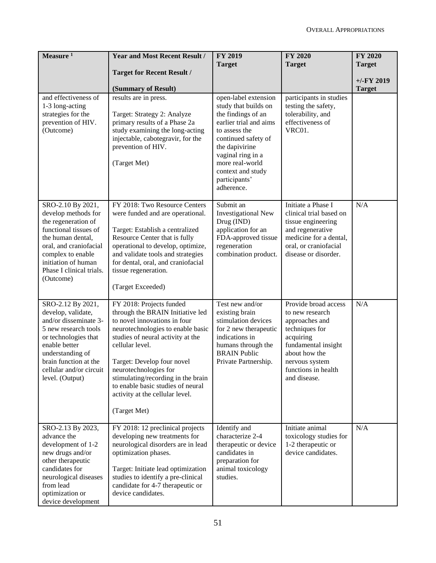| Measure $1$                                                                                                                                                                                                                  | <b>Year and Most Recent Result /</b>                                                                                                                                                                                                                                                                                                                                           | <b>FY 2019</b><br><b>Target</b>                                                                                                                                                                                                                    | <b>FY 2020</b><br><b>Target</b>                                                                                                                                                           | FY 2020<br><b>Target</b> |
|------------------------------------------------------------------------------------------------------------------------------------------------------------------------------------------------------------------------------|--------------------------------------------------------------------------------------------------------------------------------------------------------------------------------------------------------------------------------------------------------------------------------------------------------------------------------------------------------------------------------|----------------------------------------------------------------------------------------------------------------------------------------------------------------------------------------------------------------------------------------------------|-------------------------------------------------------------------------------------------------------------------------------------------------------------------------------------------|--------------------------|
|                                                                                                                                                                                                                              | <b>Target for Recent Result /</b>                                                                                                                                                                                                                                                                                                                                              |                                                                                                                                                                                                                                                    |                                                                                                                                                                                           | $+/-FY$ 2019             |
|                                                                                                                                                                                                                              | (Summary of Result)                                                                                                                                                                                                                                                                                                                                                            |                                                                                                                                                                                                                                                    |                                                                                                                                                                                           | <b>Target</b>            |
| and effectiveness of<br>1-3 long-acting<br>strategies for the<br>prevention of HIV.<br>(Outcome)                                                                                                                             | results are in press.<br>Target: Strategy 2: Analyze<br>primary results of a Phase 2a<br>study examining the long-acting<br>injectable, cabotegravir, for the<br>prevention of HIV.<br>(Target Met)                                                                                                                                                                            | open-label extension<br>study that builds on<br>the findings of an<br>earlier trial and aims<br>to assess the<br>continued safety of<br>the dapivirine<br>vaginal ring in a<br>more real-world<br>context and study<br>participants'<br>adherence. | participants in studies<br>testing the safety,<br>tolerability, and<br>effectiveness of<br>VRC01.                                                                                         |                          |
| SRO-2.10 By 2021,<br>develop methods for<br>the regeneration of<br>functional tissues of<br>the human dental,<br>oral, and craniofacial<br>complex to enable<br>initiation of human<br>Phase I clinical trials.<br>(Outcome) | FY 2018: Two Resource Centers<br>were funded and are operational.<br>Target: Establish a centralized<br>Resource Center that is fully<br>operational to develop, optimize,<br>and validate tools and strategies<br>for dental, oral, and craniofacial<br>tissue regeneration.<br>(Target Exceeded)                                                                             | Submit an<br><b>Investigational New</b><br>Drug (IND)<br>application for an<br>FDA-approved tissue<br>regeneration<br>combination product.                                                                                                         | Initiate a Phase I<br>clinical trial based on<br>tissue engineering<br>and regenerative<br>medicine for a dental,<br>oral, or craniofacial<br>disease or disorder.                        | N/A                      |
| SRO-2.12 By 2021,<br>develop, validate,<br>and/or disseminate 3-<br>5 new research tools<br>or technologies that<br>enable better<br>understanding of<br>brain function at the<br>cellular and/or circuit<br>level. (Output) | FY 2018: Projects funded<br>through the BRAIN Initiative led<br>to novel innovations in four<br>neurotechnologies to enable basic<br>studies of neural activity at the<br>cellular level.<br>Target: Develop four novel<br>neurotechnologies for<br>stimulating/recording in the brain<br>to enable basic studies of neural<br>activity at the cellular level.<br>(Target Met) | Test new and/or<br>existing brain<br>stimulation devices<br>for 2 new therapeutic<br>indications in<br>humans through the<br><b>BRAIN Public</b><br>Private Partnership.                                                                           | Provide broad access<br>to new research<br>approaches and<br>techniques for<br>acquiring<br>fundamental insight<br>about how the<br>nervous system<br>functions in health<br>and disease. | N/A                      |
| SRO-2.13 By 2023,<br>advance the<br>development of 1-2<br>new drugs and/or<br>other therapeutic<br>candidates for<br>neurological diseases<br>from lead<br>optimization or<br>device development                             | FY 2018: 12 preclinical projects<br>developing new treatments for<br>neurological disorders are in lead<br>optimization phases.<br>Target: Initiate lead optimization<br>studies to identify a pre-clinical<br>candidate for 4-7 therapeutic or<br>device candidates.                                                                                                          | Identify and<br>characterize 2-4<br>therapeutic or device<br>candidates in<br>preparation for<br>animal toxicology<br>studies.                                                                                                                     | Initiate animal<br>toxicology studies for<br>1-2 therapeutic or<br>device candidates.                                                                                                     | N/A                      |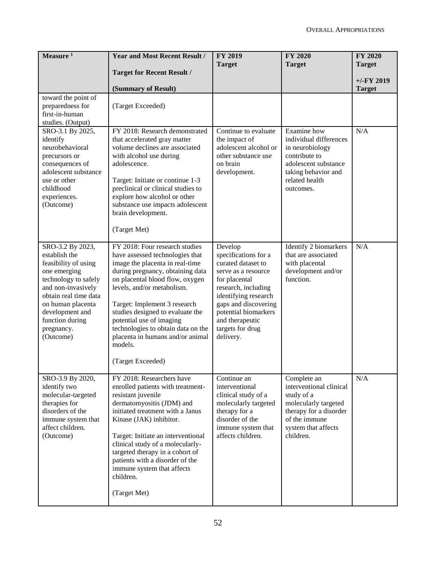| Measure <sup>1</sup>                                                                                                                                                                                                                   | <b>Year and Most Recent Result /</b>                                                                                                                                                                                                                                                                                                                                                                                | <b>FY 2019</b><br><b>Target</b>                                                                                                                                                                                                                  | <b>FY 2020</b><br><b>Target</b>                                                                                                                             | <b>FY 2020</b><br><b>Target</b> |
|----------------------------------------------------------------------------------------------------------------------------------------------------------------------------------------------------------------------------------------|---------------------------------------------------------------------------------------------------------------------------------------------------------------------------------------------------------------------------------------------------------------------------------------------------------------------------------------------------------------------------------------------------------------------|--------------------------------------------------------------------------------------------------------------------------------------------------------------------------------------------------------------------------------------------------|-------------------------------------------------------------------------------------------------------------------------------------------------------------|---------------------------------|
|                                                                                                                                                                                                                                        | <b>Target for Recent Result /</b>                                                                                                                                                                                                                                                                                                                                                                                   |                                                                                                                                                                                                                                                  |                                                                                                                                                             | $+/-FY$ 2019                    |
|                                                                                                                                                                                                                                        | (Summary of Result)                                                                                                                                                                                                                                                                                                                                                                                                 |                                                                                                                                                                                                                                                  |                                                                                                                                                             | <b>Target</b>                   |
| toward the point of<br>preparedness for<br>first-in-human<br>studies. (Output)                                                                                                                                                         | (Target Exceeded)                                                                                                                                                                                                                                                                                                                                                                                                   |                                                                                                                                                                                                                                                  |                                                                                                                                                             |                                 |
| SRO-3.1 By 2025,<br>identify<br>neurobehavioral<br>precursors or<br>consequences of<br>adolescent substance<br>use or other<br>childhood<br>experiences.<br>(Outcome)                                                                  | FY 2018: Research demonstrated<br>that accelerated gray matter<br>volume declines are associated<br>with alcohol use during<br>adolescence.<br>Target: Initiate or continue 1-3<br>preclinical or clinical studies to<br>explore how alcohol or other<br>substance use impacts adolescent<br>brain development.<br>(Target Met)                                                                                     | Continue to evaluate<br>the impact of<br>adolescent alcohol or<br>other substance use<br>on brain<br>development.                                                                                                                                | Examine how<br>individual differences<br>in neurobiology<br>contribute to<br>adolescent substance<br>taking behavior and<br>related health<br>outcomes.     | N/A                             |
| SRO-3.2 By 2023,<br>establish the<br>feasibility of using<br>one emerging<br>technology to safely<br>and non-invasively<br>obtain real time data<br>on human placenta<br>development and<br>function during<br>pregnancy.<br>(Outcome) | FY 2018: Four research studies<br>have assessed technologies that<br>image the placenta in real-time<br>during pregnancy, obtaining data<br>on placental blood flow, oxygen<br>levels, and/or metabolism.<br>Target: Implement 3 research<br>studies designed to evaluate the<br>potential use of imaging<br>technologies to obtain data on the<br>placenta in humans and/or animal<br>models.<br>(Target Exceeded) | Develop<br>specifications for a<br>curated dataset to<br>serve as a resource<br>for placental<br>research, including<br>identifying research<br>gaps and discovering<br>potential biomarkers<br>and therapeutic<br>targets for drug<br>delivery. | Identify 2 biomarkers<br>that are associated<br>with placental<br>development and/or<br>function.                                                           | N/A                             |
| SRO-3.9 By 2020,<br>identify two<br>molecular-targeted<br>therapies for<br>disorders of the<br>immune system that<br>affect children.<br>(Outcome)                                                                                     | FY 2018: Researchers have<br>enrolled patients with treatment-<br>resistant juvenile<br>dermatomyositis (JDM) and<br>initiated treatment with a Janus<br>Kinase (JAK) inhibitor.<br>Target: Initiate an interventional<br>clinical study of a molecularly-<br>targeted therapy in a cohort of<br>patients with a disorder of the<br>immune system that affects<br>children.<br>(Target Met)                         | Continue an<br>interventional<br>clinical study of a<br>molecularly targeted<br>therapy for a<br>disorder of the<br>immune system that<br>affects children.                                                                                      | Complete an<br>interventional clinical<br>study of a<br>molecularly targeted<br>therapy for a disorder<br>of the immune<br>system that affects<br>children. | N/A                             |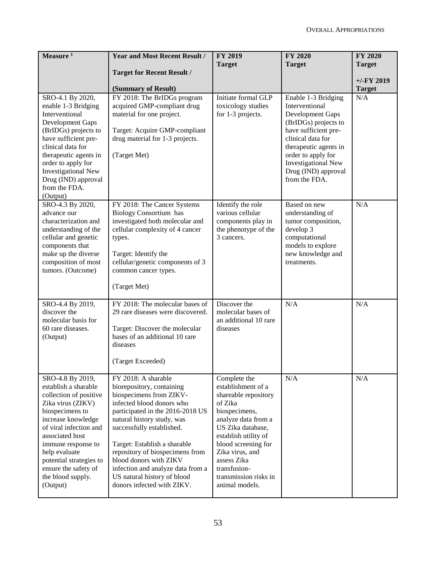| Measure <sup>1</sup>                                                                                                                                                                                                                                                                                     | <b>Year and Most Recent Result /</b>                                                                                                                                                                                                                                                                                                                                                                   | <b>FY 2019</b><br><b>Target</b>                                                                                                                                                                                                                                                | <b>FY 2020</b><br><b>Target</b>                                                                                                                                                                                                                                     | <b>FY 2020</b><br><b>Target</b> |
|----------------------------------------------------------------------------------------------------------------------------------------------------------------------------------------------------------------------------------------------------------------------------------------------------------|--------------------------------------------------------------------------------------------------------------------------------------------------------------------------------------------------------------------------------------------------------------------------------------------------------------------------------------------------------------------------------------------------------|--------------------------------------------------------------------------------------------------------------------------------------------------------------------------------------------------------------------------------------------------------------------------------|---------------------------------------------------------------------------------------------------------------------------------------------------------------------------------------------------------------------------------------------------------------------|---------------------------------|
|                                                                                                                                                                                                                                                                                                          | <b>Target for Recent Result /</b>                                                                                                                                                                                                                                                                                                                                                                      |                                                                                                                                                                                                                                                                                |                                                                                                                                                                                                                                                                     | $+/-FY$ 2019                    |
| SRO-4.1 By 2020,<br>enable 1-3 Bridging<br>Interventional<br>Development Gaps<br>(BrIDGs) projects to<br>have sufficient pre-<br>clinical data for<br>therapeutic agents in<br>order to apply for<br><b>Investigational New</b><br>Drug (IND) approval<br>from the FDA.<br>(Output)<br>SRO-4.3 By 2020,  | (Summary of Result)<br>FY 2018: The BrIDGs program<br>acquired GMP-compliant drug<br>material for one project.<br>Target: Acquire GMP-compliant<br>drug material for 1-3 projects.<br>(Target Met)<br>FY 2018: The Cancer Systems                                                                                                                                                                      | Initiate formal GLP<br>toxicology studies<br>for 1-3 projects.<br>Identify the role                                                                                                                                                                                            | Enable 1-3 Bridging<br>Interventional<br>Development Gaps<br>(BrIDGs) projects to<br>have sufficient pre-<br>clinical data for<br>therapeutic agents in<br>order to apply for<br><b>Investigational New</b><br>Drug (IND) approval<br>from the FDA.<br>Based on new | <b>Target</b><br>N/A<br>N/A     |
| advance our<br>characterization and<br>understanding of the<br>cellular and genetic<br>components that<br>make up the diverse<br>composition of most<br>tumors. (Outcome)                                                                                                                                | <b>Biology Consortium</b> has<br>investigated both molecular and<br>cellular complexity of 4 cancer<br>types.<br>Target: Identify the<br>cellular/genetic components of 3<br>common cancer types.<br>(Target Met)                                                                                                                                                                                      | various cellular<br>components play in<br>the phenotype of the<br>3 cancers.                                                                                                                                                                                                   | understanding of<br>tumor composition,<br>develop 3<br>computational<br>models to explore<br>new knowledge and<br>treatments.                                                                                                                                       |                                 |
| SRO-4.4 By 2019,<br>discover the<br>molecular basis for<br>60 rare diseases.<br>(Output)                                                                                                                                                                                                                 | FY 2018: The molecular bases of<br>29 rare diseases were discovered.<br>Target: Discover the molecular<br>bases of an additional 10 rare<br>diseases<br>(Target Exceeded)                                                                                                                                                                                                                              | Discover the<br>molecular bases of<br>an additional 10 rare<br>diseases                                                                                                                                                                                                        | N/A                                                                                                                                                                                                                                                                 | N/A                             |
| SRO-4.8 By 2019,<br>establish a sharable<br>collection of positive<br>Zika virus (ZIKV)<br>biospecimens to<br>increase knowledge<br>of viral infection and<br>associated host<br>immune response to<br>help evaluate<br>potential strategies to<br>ensure the safety of<br>the blood supply.<br>(Output) | FY 2018: A sharable<br>biorepository, containing<br>biospecimens from ZIKV-<br>infected blood donors who<br>participated in the 2016-2018 US<br>natural history study, was<br>successfully established.<br>Target: Establish a sharable<br>repository of biospecimens from<br>blood donors with ZIKV<br>infection and analyze data from a<br>US natural history of blood<br>donors infected with ZIKV. | Complete the<br>establishment of a<br>shareable repository<br>of Zika<br>biospecimens,<br>analyze data from a<br>US Zika database,<br>establish utility of<br>blood screening for<br>Zika virus, and<br>assess Zika<br>transfusion-<br>transmission risks in<br>animal models. | N/A                                                                                                                                                                                                                                                                 | N/A                             |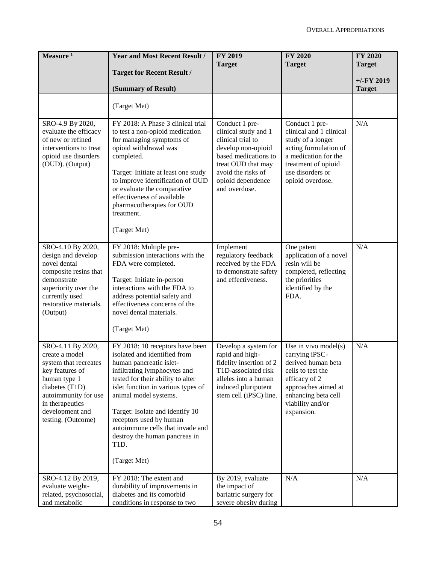| Measure <sup>1</sup>                                                                                                                                                                                  | <b>Year and Most Recent Result /</b>                                                                                                                                                                                                                                                                                                                                                      | <b>FY 2019</b><br><b>Target</b>                                                                                                                                                             | <b>FY 2020</b><br><b>Target</b>                                                                                                                                                       | <b>FY 2020</b><br><b>Target</b> |
|-------------------------------------------------------------------------------------------------------------------------------------------------------------------------------------------------------|-------------------------------------------------------------------------------------------------------------------------------------------------------------------------------------------------------------------------------------------------------------------------------------------------------------------------------------------------------------------------------------------|---------------------------------------------------------------------------------------------------------------------------------------------------------------------------------------------|---------------------------------------------------------------------------------------------------------------------------------------------------------------------------------------|---------------------------------|
|                                                                                                                                                                                                       | <b>Target for Recent Result /</b>                                                                                                                                                                                                                                                                                                                                                         |                                                                                                                                                                                             |                                                                                                                                                                                       | $+/-FY$ 2019                    |
|                                                                                                                                                                                                       | (Summary of Result)                                                                                                                                                                                                                                                                                                                                                                       |                                                                                                                                                                                             |                                                                                                                                                                                       | <b>Target</b>                   |
|                                                                                                                                                                                                       | (Target Met)                                                                                                                                                                                                                                                                                                                                                                              |                                                                                                                                                                                             |                                                                                                                                                                                       |                                 |
| SRO-4.9 By 2020,<br>evaluate the efficacy<br>of new or refined<br>interventions to treat<br>opioid use disorders<br>(OUD). (Output)                                                                   | FY 2018: A Phase 3 clinical trial<br>to test a non-opioid medication<br>for managing symptoms of<br>opioid withdrawal was<br>completed.<br>Target: Initiate at least one study<br>to improve identification of OUD<br>or evaluate the comparative<br>effectiveness of available<br>pharmacotherapies for OUD<br>treatment.<br>(Target Met)                                                | Conduct 1 pre-<br>clinical study and 1<br>clinical trial to<br>develop non-opioid<br>based medications to<br>treat OUD that may<br>avoid the risks of<br>opioid dependence<br>and overdose. | Conduct 1 pre-<br>clinical and 1 clinical<br>study of a longer<br>acting formulation of<br>a medication for the<br>treatment of opioid<br>use disorders or<br>opioid overdose.        | N/A                             |
| SRO-4.10 By 2020,<br>design and develop<br>novel dental<br>composite resins that<br>demonstrate<br>superiority over the<br>currently used<br>restorative materials.<br>(Output)                       | FY 2018: Multiple pre-<br>submission interactions with the<br>FDA were completed.<br>Target: Initiate in-person<br>interactions with the FDA to<br>address potential safety and<br>effectiveness concerns of the<br>novel dental materials.<br>(Target Met)                                                                                                                               | Implement<br>regulatory feedback<br>received by the FDA<br>to demonstrate safety<br>and effectiveness.                                                                                      | One patent<br>application of a novel<br>resin will be<br>completed, reflecting<br>the priorities<br>identified by the<br>FDA.                                                         | N/A                             |
| SRO-4.11 By 2020,<br>create a model<br>system that recreates<br>key features of<br>human type 1<br>diabetes (T1D)<br>autoimmunity for use<br>in therapeutics<br>development and<br>testing. (Outcome) | FY 2018: 10 receptors have been<br>isolated and identified from<br>human pancreatic islet-<br>infiltrating lymphocytes and<br>tested for their ability to alter<br>islet function in various types of<br>animal model systems.<br>Target: Isolate and identify 10<br>receptors used by human<br>autoimmune cells that invade and<br>destroy the human pancreas in<br>T1D.<br>(Target Met) | Develop a system for<br>rapid and high-<br>fidelity insertion of 2<br>T1D-associated risk<br>alleles into a human<br>induced pluripotent<br>stem cell (iPSC) line.                          | Use in vivo model $(s)$<br>carrying iPSC-<br>derived human beta<br>cells to test the<br>efficacy of 2<br>approaches aimed at<br>enhancing beta cell<br>viability and/or<br>expansion. | N/A                             |
| SRO-4.12 By 2019,<br>evaluate weight-<br>related, psychosocial,<br>and metabolic                                                                                                                      | FY 2018: The extent and<br>durability of improvements in<br>diabetes and its comorbid<br>conditions in response to two                                                                                                                                                                                                                                                                    | By 2019, evaluate<br>the impact of<br>bariatric surgery for<br>severe obesity during                                                                                                        | N/A                                                                                                                                                                                   | N/A                             |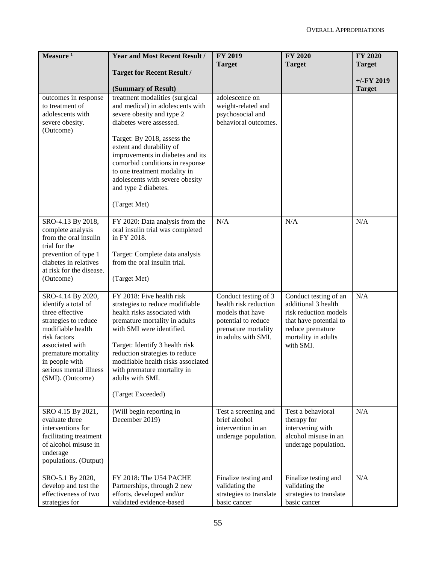| Measure $1$                                                                                                                                                                                                                        | <b>Year and Most Recent Result /</b>                                                                                                                                                                                                                                                                                                                                    | <b>FY 2019</b><br><b>Target</b>                                                                                                        | <b>FY 2020</b><br><b>Target</b>                                                                                                                         | <b>FY 2020</b><br><b>Target</b> |
|------------------------------------------------------------------------------------------------------------------------------------------------------------------------------------------------------------------------------------|-------------------------------------------------------------------------------------------------------------------------------------------------------------------------------------------------------------------------------------------------------------------------------------------------------------------------------------------------------------------------|----------------------------------------------------------------------------------------------------------------------------------------|---------------------------------------------------------------------------------------------------------------------------------------------------------|---------------------------------|
|                                                                                                                                                                                                                                    | <b>Target for Recent Result /</b>                                                                                                                                                                                                                                                                                                                                       |                                                                                                                                        |                                                                                                                                                         | $+/-FY$ 2019                    |
|                                                                                                                                                                                                                                    | (Summary of Result)                                                                                                                                                                                                                                                                                                                                                     |                                                                                                                                        |                                                                                                                                                         | <b>Target</b>                   |
| outcomes in response<br>to treatment of<br>adolescents with<br>severe obesity.<br>(Outcome)                                                                                                                                        | treatment modalities (surgical<br>and medical) in adolescents with<br>severe obesity and type 2<br>diabetes were assessed.<br>Target: By 2018, assess the<br>extent and durability of<br>improvements in diabetes and its<br>comorbid conditions in response<br>to one treatment modality in<br>adolescents with severe obesity<br>and type 2 diabetes.<br>(Target Met) | adolescence on<br>weight-related and<br>psychosocial and<br>behavioral outcomes.                                                       |                                                                                                                                                         |                                 |
| SRO-4.13 By 2018,<br>complete analysis<br>from the oral insulin<br>trial for the<br>prevention of type 1<br>diabetes in relatives<br>at risk for the disease.<br>(Outcome)                                                         | FY 2020: Data analysis from the<br>oral insulin trial was completed<br>in FY 2018.<br>Target: Complete data analysis<br>from the oral insulin trial.<br>(Target Met)                                                                                                                                                                                                    | N/A                                                                                                                                    | N/A                                                                                                                                                     | N/A                             |
| SRO-4.14 By 2020,<br>identify a total of<br>three effective<br>strategies to reduce<br>modifiable health<br>risk factors<br>associated with<br>premature mortality<br>in people with<br>serious mental illness<br>(SMI). (Outcome) | FY 2018: Five health risk<br>strategies to reduce modifiable<br>health risks associated with<br>premature mortality in adults<br>with SMI were identified.<br>Target: Identify 3 health risk<br>reduction strategies to reduce<br>modifiable health risks associated<br>with premature mortality in<br>adults with SMI.<br>(Target Exceeded)                            | Conduct testing of 3<br>health risk reduction<br>models that have<br>potential to reduce<br>premature mortality<br>in adults with SMI. | Conduct testing of an<br>additional 3 health<br>risk reduction models<br>that have potential to<br>reduce premature<br>mortality in adults<br>with SMI. | N/A                             |
| SRO 4.15 By 2021,<br>evaluate three<br>interventions for<br>facilitating treatment<br>of alcohol misuse in<br>underage<br>populations. (Output)                                                                                    | (Will begin reporting in<br>December 2019)                                                                                                                                                                                                                                                                                                                              | Test a screening and<br>brief alcohol<br>intervention in an<br>underage population.                                                    | Test a behavioral<br>therapy for<br>intervening with<br>alcohol misuse in an<br>underage population.                                                    | N/A                             |
| SRO-5.1 By 2020,<br>develop and test the<br>effectiveness of two<br>strategies for                                                                                                                                                 | FY 2018: The U54 PACHE<br>Partnerships, through 2 new<br>efforts, developed and/or<br>validated evidence-based                                                                                                                                                                                                                                                          | Finalize testing and<br>validating the<br>strategies to translate<br>basic cancer                                                      | Finalize testing and<br>validating the<br>strategies to translate<br>basic cancer                                                                       | N/A                             |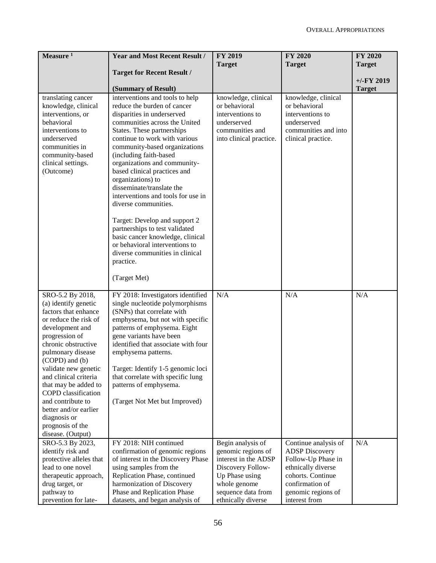| Measure <sup>1</sup>                          | <b>Year and Most Recent Result /</b>                        | <b>FY 2019</b>                     | <b>FY 2020</b>                        | <b>FY 2020</b> |
|-----------------------------------------------|-------------------------------------------------------------|------------------------------------|---------------------------------------|----------------|
|                                               |                                                             | <b>Target</b>                      | <b>Target</b>                         | <b>Target</b>  |
|                                               | <b>Target for Recent Result /</b>                           |                                    |                                       |                |
|                                               |                                                             |                                    |                                       | $+/-$ FY 2019  |
|                                               | (Summary of Result)                                         |                                    |                                       | <b>Target</b>  |
| translating cancer                            | interventions and tools to help                             | knowledge, clinical                | knowledge, clinical                   |                |
| knowledge, clinical                           | reduce the burden of cancer                                 | or behavioral                      | or behavioral                         |                |
| interventions, or                             | disparities in underserved                                  | interventions to                   | interventions to                      |                |
| behavioral                                    | communities across the United                               | underserved                        | underserved                           |                |
| interventions to                              | States. These partnerships                                  | communities and                    | communities and into                  |                |
| underserved<br>communities in                 | continue to work with various                               | into clinical practice.            | clinical practice.                    |                |
| community-based                               | community-based organizations<br>(including faith-based     |                                    |                                       |                |
| clinical settings.                            | organizations and community-                                |                                    |                                       |                |
| (Outcome)                                     | based clinical practices and                                |                                    |                                       |                |
|                                               | organizations) to                                           |                                    |                                       |                |
|                                               | disseminate/translate the                                   |                                    |                                       |                |
|                                               | interventions and tools for use in                          |                                    |                                       |                |
|                                               | diverse communities.                                        |                                    |                                       |                |
|                                               |                                                             |                                    |                                       |                |
|                                               | Target: Develop and support 2                               |                                    |                                       |                |
|                                               | partnerships to test validated                              |                                    |                                       |                |
|                                               | basic cancer knowledge, clinical                            |                                    |                                       |                |
|                                               | or behavioral interventions to                              |                                    |                                       |                |
|                                               | diverse communities in clinical                             |                                    |                                       |                |
|                                               | practice.                                                   |                                    |                                       |                |
|                                               | (Target Met)                                                |                                    |                                       |                |
|                                               |                                                             |                                    |                                       |                |
| SRO-5.2 By 2018,                              | FY 2018: Investigators identified                           | N/A                                | N/A                                   | N/A            |
| (a) identify genetic                          | single nucleotide polymorphisms                             |                                    |                                       |                |
| factors that enhance                          | (SNPs) that correlate with                                  |                                    |                                       |                |
| or reduce the risk of                         | emphysema, but not with specific                            |                                    |                                       |                |
| development and                               | patterns of emphysema. Eight                                |                                    |                                       |                |
| progression of                                | gene variants have been                                     |                                    |                                       |                |
| chronic obstructive                           | identified that associate with four                         |                                    |                                       |                |
| pulmonary disease                             | emphysema patterns.                                         |                                    |                                       |                |
| (COPD) and (b)                                |                                                             |                                    |                                       |                |
| validate new genetic                          | Target: Identify 1-5 genomic loci                           |                                    |                                       |                |
| and clinical criteria<br>that may be added to | that correlate with specific lung<br>patterns of emphysema. |                                    |                                       |                |
| COPD classification                           |                                                             |                                    |                                       |                |
| and contribute to                             | (Target Not Met but Improved)                               |                                    |                                       |                |
| better and/or earlier                         |                                                             |                                    |                                       |                |
| diagnosis or                                  |                                                             |                                    |                                       |                |
| prognosis of the                              |                                                             |                                    |                                       |                |
| disease. (Output)                             |                                                             |                                    |                                       |                |
| SRO-5.3 By 2023,                              | FY 2018: NIH continued                                      | Begin analysis of                  | Continue analysis of                  | N/A            |
| identify risk and                             | confirmation of genomic regions                             | genomic regions of                 | <b>ADSP</b> Discovery                 |                |
| protective alleles that                       | of interest in the Discovery Phase                          | interest in the ADSP               | Follow-Up Phase in                    |                |
| lead to one novel                             | using samples from the                                      | Discovery Follow-                  | ethnically diverse                    |                |
| therapeutic approach,                         | Replication Phase, continued                                | Up Phase using                     | cohorts. Continue                     |                |
| drug target, or<br>pathway to                 | harmonization of Discovery<br>Phase and Replication Phase   | whole genome<br>sequence data from | confirmation of<br>genomic regions of |                |
| prevention for late-                          | datasets, and began analysis of                             | ethnically diverse                 | interest from                         |                |
|                                               |                                                             |                                    |                                       |                |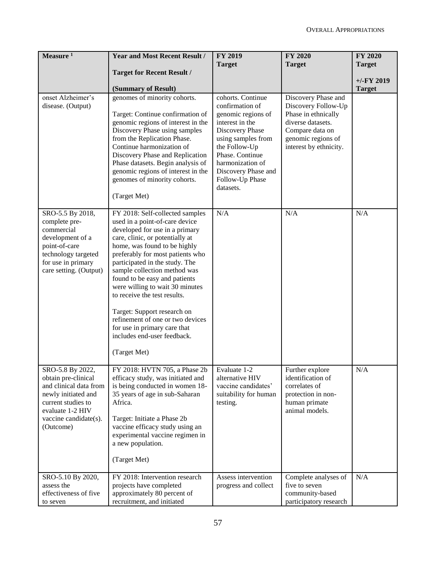| Measure $1$                                                                                                                                                              | <b>Year and Most Recent Result /</b>                                                                                                                                                                                                                                                                                                                                                                                                                                                                                               | <b>FY 2019</b><br><b>Target</b>                                                                                                                                                                                                       | <b>FY 2020</b><br><b>Target</b>                                                                                                                           | FY 2020<br><b>Target</b>      |
|--------------------------------------------------------------------------------------------------------------------------------------------------------------------------|------------------------------------------------------------------------------------------------------------------------------------------------------------------------------------------------------------------------------------------------------------------------------------------------------------------------------------------------------------------------------------------------------------------------------------------------------------------------------------------------------------------------------------|---------------------------------------------------------------------------------------------------------------------------------------------------------------------------------------------------------------------------------------|-----------------------------------------------------------------------------------------------------------------------------------------------------------|-------------------------------|
|                                                                                                                                                                          | <b>Target for Recent Result /</b>                                                                                                                                                                                                                                                                                                                                                                                                                                                                                                  |                                                                                                                                                                                                                                       |                                                                                                                                                           |                               |
|                                                                                                                                                                          | (Summary of Result)                                                                                                                                                                                                                                                                                                                                                                                                                                                                                                                |                                                                                                                                                                                                                                       |                                                                                                                                                           | $+/-FY$ 2019<br><b>Target</b> |
| onset Alzheimer's<br>disease. (Output)                                                                                                                                   | genomes of minority cohorts.<br>Target: Continue confirmation of<br>genomic regions of interest in the<br>Discovery Phase using samples<br>from the Replication Phase.<br>Continue harmonization of<br>Discovery Phase and Replication<br>Phase datasets. Begin analysis of<br>genomic regions of interest in the<br>genomes of minority cohorts.<br>(Target Met)                                                                                                                                                                  | cohorts. Continue<br>confirmation of<br>genomic regions of<br>interest in the<br>Discovery Phase<br>using samples from<br>the Follow-Up<br>Phase. Continue<br>harmonization of<br>Discovery Phase and<br>Follow-Up Phase<br>datasets. | Discovery Phase and<br>Discovery Follow-Up<br>Phase in ethnically<br>diverse datasets.<br>Compare data on<br>genomic regions of<br>interest by ethnicity. |                               |
| SRO-5.5 By 2018,<br>complete pre-<br>commercial<br>development of a<br>point-of-care<br>technology targeted<br>for use in primary<br>care setting. (Output)              | FY 2018: Self-collected samples<br>used in a point-of-care device<br>developed for use in a primary<br>care, clinic, or potentially at<br>home, was found to be highly<br>preferably for most patients who<br>participated in the study. The<br>sample collection method was<br>found to be easy and patients<br>were willing to wait 30 minutes<br>to receive the test results.<br>Target: Support research on<br>refinement of one or two devices<br>for use in primary care that<br>includes end-user feedback.<br>(Target Met) | N/A                                                                                                                                                                                                                                   | N/A                                                                                                                                                       | N/A                           |
| SRO-5.8 By 2022,<br>obtain pre-clinical<br>and clinical data from<br>newly initiated and<br>current studies to<br>evaluate 1-2 HIV<br>vaccine candidate(s).<br>(Outcome) | FY 2018: HVTN 705, a Phase 2b<br>efficacy study, was initiated and<br>is being conducted in women 18-<br>35 years of age in sub-Saharan<br>Africa.<br>Target: Initiate a Phase 2b<br>vaccine efficacy study using an<br>experimental vaccine regimen in<br>a new population.<br>(Target Met)                                                                                                                                                                                                                                       | Evaluate 1-2<br>alternative HIV<br>vaccine candidates'<br>suitability for human<br>testing.                                                                                                                                           | Further explore<br>identification of<br>correlates of<br>protection in non-<br>human primate<br>animal models.                                            | $\rm N/A$                     |
| SRO-5.10 By 2020,<br>assess the<br>effectiveness of five<br>to seven                                                                                                     | FY 2018: Intervention research<br>projects have completed<br>approximately 80 percent of<br>recruitment, and initiated                                                                                                                                                                                                                                                                                                                                                                                                             | Assess intervention<br>progress and collect                                                                                                                                                                                           | Complete analyses of<br>five to seven<br>community-based<br>participatory research                                                                        | N/A                           |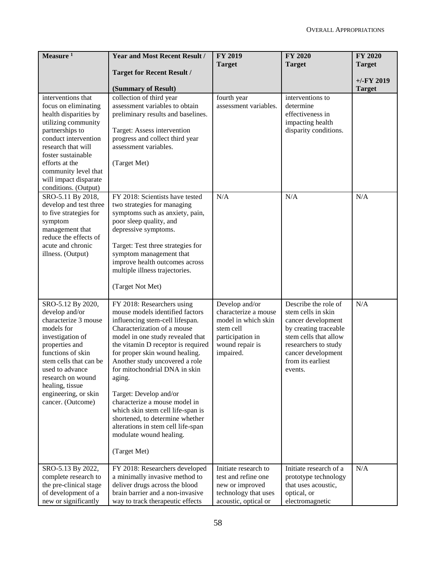| Measure $1$                                                                                                                                                                                                                                                                  | <b>Year and Most Recent Result /</b><br><b>Target for Recent Result /</b>                                                                                                                                                                                                                                                                                                                                                                                                                                                                    | <b>FY 2019</b><br><b>Target</b>                                                                                                | <b>FY 2020</b><br><b>Target</b>                                                                                                                                                                  | <b>FY 2020</b><br><b>Target</b> |
|------------------------------------------------------------------------------------------------------------------------------------------------------------------------------------------------------------------------------------------------------------------------------|----------------------------------------------------------------------------------------------------------------------------------------------------------------------------------------------------------------------------------------------------------------------------------------------------------------------------------------------------------------------------------------------------------------------------------------------------------------------------------------------------------------------------------------------|--------------------------------------------------------------------------------------------------------------------------------|--------------------------------------------------------------------------------------------------------------------------------------------------------------------------------------------------|---------------------------------|
|                                                                                                                                                                                                                                                                              | (Summary of Result)                                                                                                                                                                                                                                                                                                                                                                                                                                                                                                                          |                                                                                                                                |                                                                                                                                                                                                  | $+/-$ FY 2019<br><b>Target</b>  |
| interventions that<br>focus on eliminating<br>health disparities by<br>utilizing community<br>partnerships to<br>conduct intervention<br>research that will<br>foster sustainable<br>efforts at the<br>community level that<br>will impact disparate<br>conditions. (Output) | collection of third year<br>assessment variables to obtain<br>preliminary results and baselines.<br>Target: Assess intervention<br>progress and collect third year<br>assessment variables.<br>(Target Met)                                                                                                                                                                                                                                                                                                                                  | fourth year<br>assessment variables.                                                                                           | interventions to<br>determine<br>effectiveness in<br>impacting health<br>disparity conditions.                                                                                                   |                                 |
| SRO-5.11 By 2018,<br>develop and test three<br>to five strategies for<br>symptom<br>management that<br>reduce the effects of<br>acute and chronic<br>illness. (Output)                                                                                                       | FY 2018: Scientists have tested<br>two strategies for managing<br>symptoms such as anxiety, pain,<br>poor sleep quality, and<br>depressive symptoms.<br>Target: Test three strategies for<br>symptom management that<br>improve health outcomes across<br>multiple illness trajectories.<br>(Target Not Met)                                                                                                                                                                                                                                 | N/A                                                                                                                            | N/A                                                                                                                                                                                              | N/A                             |
| SRO-5.12 By 2020,<br>develop and/or<br>characterize 3 mouse<br>models for<br>investigation of<br>properties and<br>functions of skin<br>stem cells that can be<br>used to advance<br>research on wound<br>healing, tissue<br>engineering, or skin<br>cancer. (Outcome)       | FY 2018: Researchers using<br>mouse models identified factors<br>influencing stem-cell lifespan.<br>Characterization of a mouse<br>model in one study revealed that<br>the vitamin D receptor is required<br>for proper skin wound healing.<br>Another study uncovered a role<br>for mitochondrial DNA in skin<br>aging.<br>Target: Develop and/or<br>characterize a mouse model in<br>which skin stem cell life-span is<br>shortened, to determine whether<br>alterations in stem cell life-span<br>modulate wound healing.<br>(Target Met) | Develop and/or<br>characterize a mouse<br>model in which skin<br>stem cell<br>participation in<br>wound repair is<br>impaired. | Describe the role of<br>stem cells in skin<br>cancer development<br>by creating traceable<br>stem cells that allow<br>researchers to study<br>cancer development<br>from its earliest<br>events. | N/A                             |
| SRO-5.13 By 2022,<br>complete research to<br>the pre-clinical stage<br>of development of a<br>new or significantly                                                                                                                                                           | FY 2018: Researchers developed<br>a minimally invasive method to<br>deliver drugs across the blood<br>brain barrier and a non-invasive<br>way to track therapeutic effects                                                                                                                                                                                                                                                                                                                                                                   | Initiate research to<br>test and refine one<br>new or improved<br>technology that uses<br>acoustic, optical or                 | Initiate research of a<br>prototype technology<br>that uses acoustic,<br>optical, or<br>electromagnetic                                                                                          | N/A                             |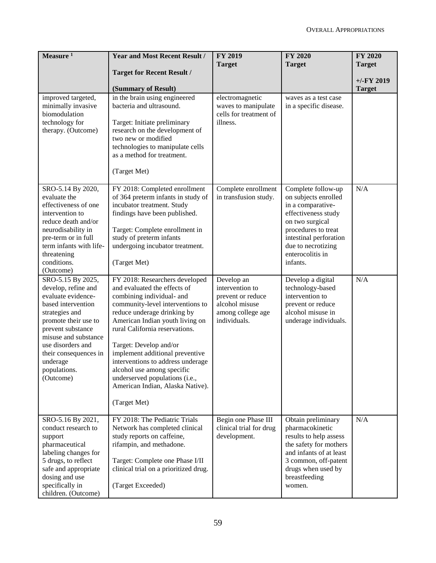| Measure <sup>1</sup>                                                                                                                                                                                                                                               | <b>Year and Most Recent Result /</b>                                                                                                                                                                                                                                                                                                                                                                                                                      | <b>FY 2019</b><br><b>Target</b>                                                                           | <b>FY 2020</b><br><b>Target</b>                                                                                                                                                                                  | <b>FY 2020</b><br><b>Target</b> |
|--------------------------------------------------------------------------------------------------------------------------------------------------------------------------------------------------------------------------------------------------------------------|-----------------------------------------------------------------------------------------------------------------------------------------------------------------------------------------------------------------------------------------------------------------------------------------------------------------------------------------------------------------------------------------------------------------------------------------------------------|-----------------------------------------------------------------------------------------------------------|------------------------------------------------------------------------------------------------------------------------------------------------------------------------------------------------------------------|---------------------------------|
|                                                                                                                                                                                                                                                                    | <b>Target for Recent Result /</b><br>(Summary of Result)                                                                                                                                                                                                                                                                                                                                                                                                  |                                                                                                           |                                                                                                                                                                                                                  | $+/-FY$ 2019<br><b>Target</b>   |
| improved targeted,<br>minimally invasive<br>biomodulation<br>technology for<br>therapy. (Outcome)                                                                                                                                                                  | in the brain using engineered<br>bacteria and ultrasound.<br>Target: Initiate preliminary<br>research on the development of<br>two new or modified<br>technologies to manipulate cells<br>as a method for treatment.<br>(Target Met)                                                                                                                                                                                                                      | electromagnetic<br>waves to manipulate<br>cells for treatment of<br>illness.                              | waves as a test case<br>in a specific disease.                                                                                                                                                                   |                                 |
| SRO-5.14 By 2020,<br>evaluate the<br>effectiveness of one<br>intervention to<br>reduce death and/or<br>neurodisability in<br>pre-term or in full<br>term infants with life-<br>threatening<br>conditions.<br>(Outcome)                                             | FY 2018: Completed enrollment<br>of 364 preterm infants in study of<br>incubator treatment. Study<br>findings have been published.<br>Target: Complete enrollment in<br>study of preterm infants<br>undergoing incubator treatment.<br>(Target Met)                                                                                                                                                                                                       | Complete enrollment<br>in transfusion study.                                                              | Complete follow-up<br>on subjects enrolled<br>in a comparative-<br>effectiveness study<br>on two surgical<br>procedures to treat<br>intestinal perforation<br>due to necrotizing<br>enterocolitis in<br>infants. | N/A                             |
| SRO-5.15 By 2025,<br>develop, refine and<br>evaluate evidence-<br>based intervention<br>strategies and<br>promote their use to<br>prevent substance<br>misuse and substance<br>use disorders and<br>their consequences in<br>underage<br>populations.<br>(Outcome) | FY 2018: Researchers developed<br>and evaluated the effects of<br>combining individual- and<br>community-level interventions to<br>reduce underage drinking by<br>American Indian youth living on<br>rural California reservations.<br>Target: Develop and/or<br>implement additional preventive<br>interventions to address underage<br>alcohol use among specific<br>underserved populations (i.e.,<br>American Indian, Alaska Native).<br>(Target Met) | Develop an<br>intervention to<br>prevent or reduce<br>alcohol misuse<br>among college age<br>individuals. | Develop a digital<br>technology-based<br>intervention to<br>prevent or reduce<br>alcohol misuse in<br>underage individuals.                                                                                      | N/A                             |
| SRO-5.16 By 2021,<br>conduct research to<br>support<br>pharmaceutical<br>labeling changes for<br>5 drugs, to reflect<br>safe and appropriate<br>dosing and use<br>specifically in<br>children. (Outcome)                                                           | FY 2018: The Pediatric Trials<br>Network has completed clinical<br>study reports on caffeine,<br>rifampin, and methadone.<br>Target: Complete one Phase I/II<br>clinical trial on a prioritized drug.<br>(Target Exceeded)                                                                                                                                                                                                                                | Begin one Phase III<br>clinical trial for drug<br>development.                                            | Obtain preliminary<br>pharmacokinetic<br>results to help assess<br>the safety for mothers<br>and infants of at least<br>3 common, off-patent<br>drugs when used by<br>breastfeeding<br>women.                    | N/A                             |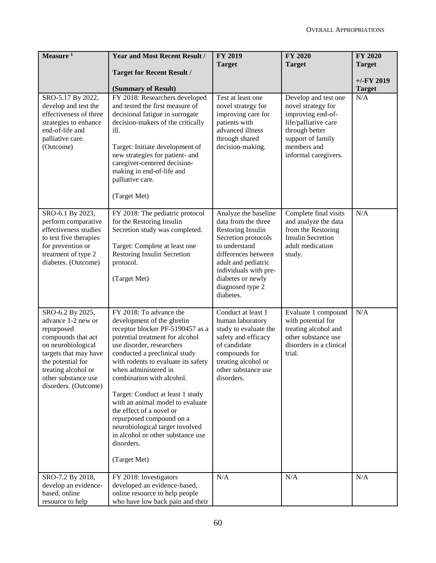| Measure <sup>1</sup>                                                                                                                                                                                                 | <b>Year and Most Recent Result /</b>                                                                                                                                                                                                                                                                                                                                                                                                                                                                                         | <b>FY 2019</b><br><b>Target</b>                                                                                                                                                                                                       | <b>FY 2020</b><br><b>Target</b>                                                                                                                                       | FY 2020<br><b>Target</b> |
|----------------------------------------------------------------------------------------------------------------------------------------------------------------------------------------------------------------------|------------------------------------------------------------------------------------------------------------------------------------------------------------------------------------------------------------------------------------------------------------------------------------------------------------------------------------------------------------------------------------------------------------------------------------------------------------------------------------------------------------------------------|---------------------------------------------------------------------------------------------------------------------------------------------------------------------------------------------------------------------------------------|-----------------------------------------------------------------------------------------------------------------------------------------------------------------------|--------------------------|
|                                                                                                                                                                                                                      | <b>Target for Recent Result /</b>                                                                                                                                                                                                                                                                                                                                                                                                                                                                                            |                                                                                                                                                                                                                                       |                                                                                                                                                                       | $+/-FY$ 2019             |
|                                                                                                                                                                                                                      | (Summary of Result)                                                                                                                                                                                                                                                                                                                                                                                                                                                                                                          |                                                                                                                                                                                                                                       |                                                                                                                                                                       | <b>Target</b>            |
| SRO-5.17 By 2022,<br>develop and test the<br>effectiveness of three<br>strategies to enhance<br>end-of-life and<br>palliative care.<br>(Outcome)                                                                     | FY 2018: Researchers developed<br>and tested the first measure of<br>decisional fatigue in surrogate<br>decision-makers of the critically<br>ill.<br>Target: Initiate development of<br>new strategies for patient- and<br>caregiver-centered decision-<br>making in end-of-life and<br>palliative care.<br>(Target Met)                                                                                                                                                                                                     | Test at least one<br>novel strategy for<br>improving care for<br>patients with<br>advanced illness<br>through shared<br>decision-making.                                                                                              | Develop and test one<br>novel strategy for<br>improving end-of-<br>life/palliative care<br>through better<br>support of family<br>members and<br>informal caregivers. | N/A                      |
| SRO-6.1 By 2023,<br>perform comparative<br>effectiveness studies<br>to test five therapies<br>for prevention or<br>treatment of type 2<br>diabetes. (Outcome)                                                        | FY 2018: The pediatric protocol<br>for the Restoring Insulin<br>Secretion study was completed.<br>Target: Complete at least one<br>Restoring Insulin Secretion<br>protocol.<br>(Target Met)                                                                                                                                                                                                                                                                                                                                  | Analyze the baseline<br>data from the three<br>Restoring Insulin<br>Secretion protocols<br>to understand<br>differences between<br>adult and pediatric<br>individuals with pre-<br>diabetes or newly<br>diagnosed type 2<br>diabetes. | Complete final visits<br>and analyze the data<br>from the Restoring<br><b>Insulin Secretion</b><br>adult medication<br>study.                                         | N/A                      |
| SRO-6.2 By 2025,<br>advance 1-2 new or<br>repurposed<br>compounds that act<br>on neurobiological<br>targets that may have<br>the potential for<br>treating alcohol or<br>other substance use<br>disorders. (Outcome) | FY 2018: To advance the<br>development of the ghrelin<br>receptor blocker PF-5190457 as a<br>potential treatment for alcohol<br>use disorder, researchers<br>conducted a preclinical study<br>with rodents to evaluate its safety<br>when administered in<br>combination with alcohol.<br>Target: Conduct at least 1 study<br>with an animal model to evaluate<br>the effect of a novel or<br>repurposed compound on a<br>neurobiological target involved<br>in alcohol or other substance use<br>disorders.<br>(Target Met) | Conduct at least 1<br>human laboratory<br>study to evaluate the<br>safety and efficacy<br>of candidate<br>compounds for<br>treating alcohol or<br>other substance use<br>disorders.                                                   | Evaluate 1 compound<br>with potential for<br>treating alcohol and<br>other substance use<br>disorders in a clinical<br>trial.                                         | N/A                      |
| SRO-7.2 By 2018,<br>develop an evidence-<br>based, online<br>resource to help                                                                                                                                        | FY 2018: Investigators<br>developed an evidence-based,<br>online resource to help people<br>who have low back pain and their                                                                                                                                                                                                                                                                                                                                                                                                 | N/A                                                                                                                                                                                                                                   | N/A                                                                                                                                                                   | N/A                      |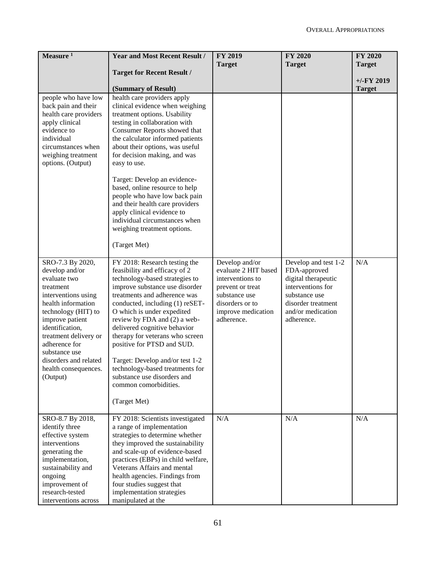| Measure $1$                                                                                                                                                                                                                                                                                       | <b>Year and Most Recent Result /</b>                                                                                                                                                                                                                                                                                                                                                                                                                                                                                       | <b>FY 2019</b><br><b>Target</b>                                                                                                                        | <b>FY 2020</b><br><b>Target</b>                                                                                                                            | <b>FY 2020</b><br><b>Target</b> |
|---------------------------------------------------------------------------------------------------------------------------------------------------------------------------------------------------------------------------------------------------------------------------------------------------|----------------------------------------------------------------------------------------------------------------------------------------------------------------------------------------------------------------------------------------------------------------------------------------------------------------------------------------------------------------------------------------------------------------------------------------------------------------------------------------------------------------------------|--------------------------------------------------------------------------------------------------------------------------------------------------------|------------------------------------------------------------------------------------------------------------------------------------------------------------|---------------------------------|
|                                                                                                                                                                                                                                                                                                   | <b>Target for Recent Result /</b>                                                                                                                                                                                                                                                                                                                                                                                                                                                                                          |                                                                                                                                                        |                                                                                                                                                            |                                 |
|                                                                                                                                                                                                                                                                                                   |                                                                                                                                                                                                                                                                                                                                                                                                                                                                                                                            |                                                                                                                                                        |                                                                                                                                                            | $+/-FY$ 2019                    |
|                                                                                                                                                                                                                                                                                                   | (Summary of Result)                                                                                                                                                                                                                                                                                                                                                                                                                                                                                                        |                                                                                                                                                        |                                                                                                                                                            | <b>Target</b>                   |
| people who have low<br>back pain and their<br>health care providers<br>apply clinical<br>evidence to<br>individual<br>circumstances when<br>weighing treatment<br>options. (Output)                                                                                                               | health care providers apply<br>clinical evidence when weighing<br>treatment options. Usability<br>testing in collaboration with<br>Consumer Reports showed that<br>the calculator informed patients<br>about their options, was useful<br>for decision making, and was<br>easy to use.<br>Target: Develop an evidence-<br>based, online resource to help<br>people who have low back pain<br>and their health care providers<br>apply clinical evidence to<br>individual circumstances when<br>weighing treatment options. |                                                                                                                                                        |                                                                                                                                                            |                                 |
|                                                                                                                                                                                                                                                                                                   | (Target Met)                                                                                                                                                                                                                                                                                                                                                                                                                                                                                                               |                                                                                                                                                        |                                                                                                                                                            |                                 |
| SRO-7.3 By 2020,<br>develop and/or<br>evaluate two<br>treatment<br>interventions using<br>health information<br>technology (HIT) to<br>improve patient<br>identification,<br>treatment delivery or<br>adherence for<br>substance use<br>disorders and related<br>health consequences.<br>(Output) | FY 2018: Research testing the<br>feasibility and efficacy of 2<br>technology-based strategies to<br>improve substance use disorder<br>treatments and adherence was<br>conducted, including (1) reSET-<br>O which is under expedited<br>review by FDA and (2) a web-<br>delivered cognitive behavior<br>therapy for veterans who screen<br>positive for PTSD and SUD.<br>Target: Develop and/or test 1-2<br>technology-based treatments for<br>substance use disorders and<br>common comorbidities.<br>(Target Met)         | Develop and/or<br>evaluate 2 HIT based<br>interventions to<br>prevent or treat<br>substance use<br>disorders or to<br>improve medication<br>adherence. | Develop and test 1-2<br>FDA-approved<br>digital therapeutic<br>interventions for<br>substance use<br>disorder treatment<br>and/or medication<br>adherence. | N/A                             |
| SRO-8.7 By 2018,<br>identify three<br>effective system<br>interventions<br>generating the<br>implementation,<br>sustainability and<br>ongoing<br>improvement of<br>research-tested<br>interventions across                                                                                        | FY 2018: Scientists investigated<br>a range of implementation<br>strategies to determine whether<br>they improved the sustainability<br>and scale-up of evidence-based<br>practices (EBPs) in child welfare,<br>Veterans Affairs and mental<br>health agencies. Findings from<br>four studies suggest that<br>implementation strategies<br>manipulated at the                                                                                                                                                              | N/A                                                                                                                                                    | N/A                                                                                                                                                        | N/A                             |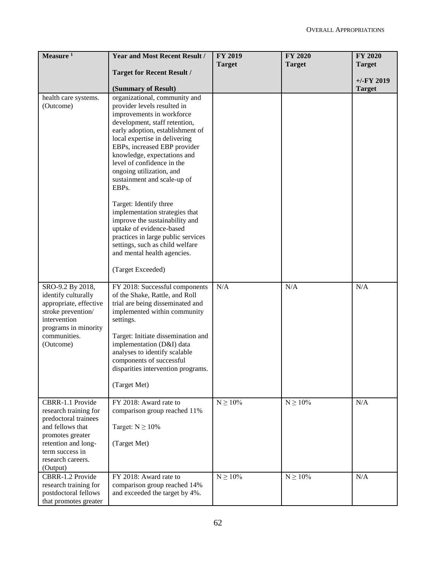| Measure $1$                                   | <b>Year and Most Recent Result /</b>                               | <b>FY 2019</b><br><b>Target</b> | <b>FY 2020</b><br><b>Target</b> | <b>FY 2020</b><br><b>Target</b> |
|-----------------------------------------------|--------------------------------------------------------------------|---------------------------------|---------------------------------|---------------------------------|
|                                               | <b>Target for Recent Result /</b>                                  |                                 |                                 |                                 |
|                                               | (Summary of Result)                                                |                                 |                                 | $+/-FY$ 2019<br><b>Target</b>   |
| health care systems.                          | organizational, community and                                      |                                 |                                 |                                 |
| (Outcome)                                     | provider levels resulted in                                        |                                 |                                 |                                 |
|                                               | improvements in workforce                                          |                                 |                                 |                                 |
|                                               | development, staff retention,                                      |                                 |                                 |                                 |
|                                               | early adoption, establishment of                                   |                                 |                                 |                                 |
|                                               | local expertise in delivering<br>EBPs, increased EBP provider      |                                 |                                 |                                 |
|                                               | knowledge, expectations and                                        |                                 |                                 |                                 |
|                                               | level of confidence in the                                         |                                 |                                 |                                 |
|                                               | ongoing utilization, and                                           |                                 |                                 |                                 |
|                                               | sustainment and scale-up of                                        |                                 |                                 |                                 |
|                                               | EBPs.                                                              |                                 |                                 |                                 |
|                                               | Target: Identify three                                             |                                 |                                 |                                 |
|                                               | implementation strategies that                                     |                                 |                                 |                                 |
|                                               | improve the sustainability and                                     |                                 |                                 |                                 |
|                                               | uptake of evidence-based<br>practices in large public services     |                                 |                                 |                                 |
|                                               | settings, such as child welfare                                    |                                 |                                 |                                 |
|                                               | and mental health agencies.                                        |                                 |                                 |                                 |
|                                               | (Target Exceeded)                                                  |                                 |                                 |                                 |
|                                               |                                                                    |                                 |                                 |                                 |
| SRO-9.2 By 2018,                              | FY 2018: Successful components                                     | N/A                             | N/A                             | N/A                             |
| identify culturally<br>appropriate, effective | of the Shake, Rattle, and Roll<br>trial are being disseminated and |                                 |                                 |                                 |
| stroke prevention/                            | implemented within community                                       |                                 |                                 |                                 |
| intervention                                  | settings.                                                          |                                 |                                 |                                 |
| programs in minority<br>communities.          | Target: Initiate dissemination and                                 |                                 |                                 |                                 |
| (Outcome)                                     | implementation (D&I) data                                          |                                 |                                 |                                 |
|                                               | analyses to identify scalable                                      |                                 |                                 |                                 |
|                                               | components of successful                                           |                                 |                                 |                                 |
|                                               | disparities intervention programs.                                 |                                 |                                 |                                 |
|                                               | (Target Met)                                                       |                                 |                                 |                                 |
|                                               |                                                                    |                                 |                                 |                                 |
| CBRR-1.1 Provide                              | FY 2018: Award rate to                                             | $N\geq 10\%$                    | $N\geq 10\%$                    | N/A                             |
| research training for<br>predoctoral trainees | comparison group reached 11%                                       |                                 |                                 |                                 |
| and fellows that                              | Target: $N \ge 10\%$                                               |                                 |                                 |                                 |
| promotes greater                              |                                                                    |                                 |                                 |                                 |
| retention and long-                           | (Target Met)                                                       |                                 |                                 |                                 |
| term success in<br>research careers.          |                                                                    |                                 |                                 |                                 |
| (Output)                                      |                                                                    |                                 |                                 |                                 |
| CBRR-1.2 Provide                              | FY 2018: Award rate to                                             | $N\geq 10\%$                    | $N\geq 10\%$                    | N/A                             |
| research training for                         | comparison group reached 14%                                       |                                 |                                 |                                 |
| postdoctoral fellows                          | and exceeded the target by 4%.                                     |                                 |                                 |                                 |
| that promotes greater                         |                                                                    |                                 |                                 |                                 |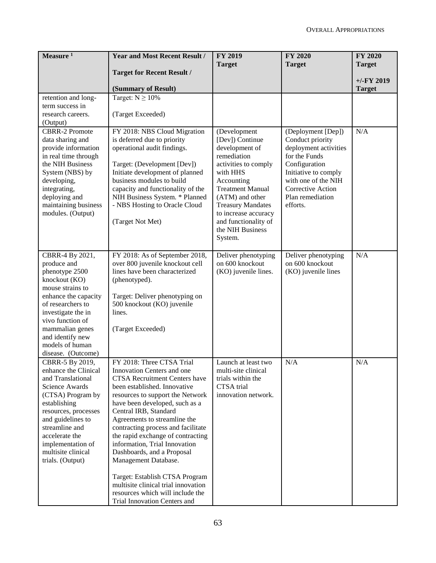| Measure $1$                               | <b>Year and Most Recent Result /</b>                                  | <b>FY 2019</b><br><b>Target</b>  | <b>FY 2020</b><br><b>Target</b>       | <b>FY 2020</b><br><b>Target</b> |
|-------------------------------------------|-----------------------------------------------------------------------|----------------------------------|---------------------------------------|---------------------------------|
|                                           | <b>Target for Recent Result /</b>                                     |                                  |                                       |                                 |
|                                           |                                                                       |                                  |                                       | $+/-FY$ 2019                    |
| retention and long-                       | (Summary of Result)<br>Target: $N \ge 10\%$                           |                                  |                                       | <b>Target</b>                   |
| term success in                           |                                                                       |                                  |                                       |                                 |
| research careers.                         | (Target Exceeded)                                                     |                                  |                                       |                                 |
| (Output)                                  |                                                                       |                                  |                                       |                                 |
| <b>CBRR-2 Promote</b>                     | FY 2018: NBS Cloud Migration                                          | (Development                     | (Deployment [Dep])                    | N/A                             |
| data sharing and                          | is deferred due to priority                                           | [Dev]) Continue                  | Conduct priority                      |                                 |
| provide information                       | operational audit findings.                                           | development of                   | deployment activities                 |                                 |
| in real time through                      |                                                                       | remediation                      | for the Funds                         |                                 |
| the NIH Business                          | Target: (Development [Dev])<br>Initiate development of planned        | activities to comply<br>with HHS | Configuration<br>Initiative to comply |                                 |
| System (NBS) by<br>developing,            | business modules to build                                             | Accounting                       | with one of the NIH                   |                                 |
| integrating,                              | capacity and functionality of the                                     | <b>Treatment Manual</b>          | Corrective Action                     |                                 |
| deploying and                             | NIH Business System. * Planned                                        | (ATM) and other                  | Plan remediation                      |                                 |
| maintaining business                      | - NBS Hosting to Oracle Cloud                                         | <b>Treasury Mandates</b>         | efforts.                              |                                 |
| modules. (Output)                         |                                                                       | to increase accuracy             |                                       |                                 |
|                                           | (Target Not Met)                                                      | and functionality of             |                                       |                                 |
|                                           |                                                                       | the NIH Business                 |                                       |                                 |
|                                           |                                                                       | System.                          |                                       |                                 |
| CBRR-4 By 2021,                           | FY 2018: As of September 2018,                                        | Deliver phenotyping              | Deliver phenotyping                   | N/A                             |
| produce and                               | over 800 juvenile knockout cell                                       | on 600 knockout                  | on 600 knockout                       |                                 |
| phenotype 2500                            | lines have been characterized                                         | (KO) juvenile lines.             | (KO) juvenile lines                   |                                 |
| knockout (KO)                             | (phenotyped).                                                         |                                  |                                       |                                 |
| mouse strains to                          |                                                                       |                                  |                                       |                                 |
| enhance the capacity                      | Target: Deliver phenotyping on                                        |                                  |                                       |                                 |
| of researchers to                         | 500 knockout (KO) juvenile                                            |                                  |                                       |                                 |
| investigate the in                        | lines.                                                                |                                  |                                       |                                 |
| vivo function of                          |                                                                       |                                  |                                       |                                 |
| mammalian genes<br>and identify new       | (Target Exceeded)                                                     |                                  |                                       |                                 |
| models of human                           |                                                                       |                                  |                                       |                                 |
| disease. (Outcome)                        |                                                                       |                                  |                                       |                                 |
| CBRR-5 By 2019,                           | FY 2018: Three CTSA Trial                                             | Launch at least two              | N/A                                   | N/A                             |
| enhance the Clinical                      | Innovation Centers and one                                            | multi-site clinical              |                                       |                                 |
| and Translational                         | <b>CTSA Recruitment Centers have</b>                                  | trials within the                |                                       |                                 |
| <b>Science Awards</b>                     | been established. Innovative                                          | CTSA trial                       |                                       |                                 |
| (CTSA) Program by                         | resources to support the Network                                      | innovation network.              |                                       |                                 |
| establishing                              | have been developed, such as a                                        |                                  |                                       |                                 |
| resources, processes<br>and guidelines to | Central IRB, Standard<br>Agreements to streamline the                 |                                  |                                       |                                 |
| streamline and                            | contracting process and facilitate                                    |                                  |                                       |                                 |
| accelerate the                            | the rapid exchange of contracting                                     |                                  |                                       |                                 |
| implementation of                         | information, Trial Innovation                                         |                                  |                                       |                                 |
| multisite clinical                        | Dashboards, and a Proposal                                            |                                  |                                       |                                 |
| trials. (Output)                          | Management Database.                                                  |                                  |                                       |                                 |
|                                           |                                                                       |                                  |                                       |                                 |
|                                           | Target: Establish CTSA Program<br>multisite clinical trial innovation |                                  |                                       |                                 |
|                                           | resources which will include the                                      |                                  |                                       |                                 |
|                                           | Trial Innovation Centers and                                          |                                  |                                       |                                 |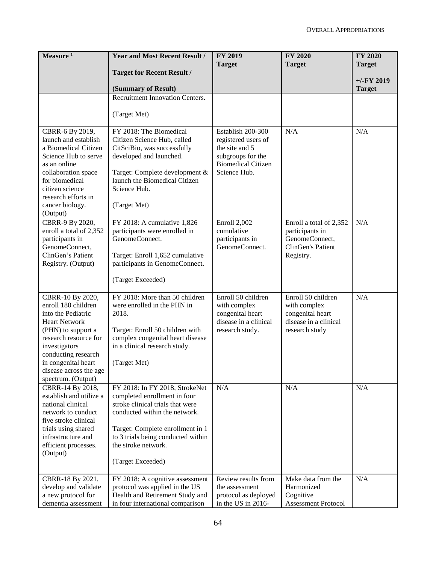| <b>Target for Recent Result /</b><br>$+/-$ FY 2019<br>(Summary of Result)<br><b>Target</b><br>Recruitment Innovation Centers.<br>(Target Met)<br>FY 2018: The Biomedical<br>N/A<br>Establish 200-300<br>N/A<br>CBRR-6 By 2019,<br>launch and establish<br>Citizen Science Hub, called<br>registered users of<br>the site and 5<br>a Biomedical Citizen<br>CitSciBio, was successfully<br>developed and launched.<br>subgroups for the<br>Science Hub to serve<br><b>Biomedical Citizen</b><br>as an online<br>Science Hub.<br>collaboration space<br>Target: Complete development &<br>launch the Biomedical Citizen<br>for biomedical<br>Science Hub.<br>citizen science<br>research efforts in<br>(Target Met)<br>cancer biology.<br>(Output)<br>CBRR-9 By 2020,<br>FY 2018: A cumulative 1,826<br>N/A<br>Enroll 2,002<br>Enroll a total of 2,352<br>enroll a total of 2,352<br>participants were enrolled in<br>cumulative<br>participants in<br>participants in<br>GenomeConnect.<br>GenomeConnect,<br>participants in<br>GenomeConnect,<br>ClinGen's Patient<br>GenomeConnect.<br>ClinGen's Patient<br>Target: Enroll 1,652 cumulative<br>Registry.<br>Registry. (Output)<br>participants in GenomeConnect.<br>(Target Exceeded)<br>Enroll 50 children<br>CBRR-10 By 2020,<br>FY 2018: More than 50 children<br>Enroll 50 children<br>N/A<br>enroll 180 children<br>were enrolled in the PHN in<br>with complex<br>with complex<br>into the Pediatric<br>2018.<br>congenital heart<br>congenital heart<br>disease in a clinical<br>disease in a clinical<br><b>Heart Network</b><br>(PHN) to support a<br>Target: Enroll 50 children with<br>research study.<br>research study<br>research resource for<br>complex congenital heart disease<br>investigators<br>in a clinical research study.<br>conducting research<br>in congenital heart<br>(Target Met)<br>disease across the age<br>spectrum. (Output)<br>N/A<br>N/A<br>N/A<br>CBRR-14 By 2018,<br>FY 2018: In FY 2018, StrokeNet<br>establish and utilize a<br>completed enrollment in four<br>national clinical<br>stroke clinical trials that were<br>conducted within the network.<br>network to conduct<br>five stroke clinical<br>trials using shared<br>Target: Complete enrollment in 1<br>infrastructure and<br>to 3 trials being conducted within<br>the stroke network.<br>efficient processes.<br>(Output)<br>(Target Exceeded)<br>N/A<br>Review results from<br>Make data from the<br>CBRR-18 By 2021,<br>FY 2018: A cognitive assessment<br>Harmonized<br>develop and validate<br>protocol was applied in the US<br>the assessment<br>Health and Retirement Study and<br>Cognitive<br>a new protocol for<br>protocol as deployed | Measure <sup>1</sup> | <b>Year and Most Recent Result /</b> | <b>FY 2019</b><br><b>Target</b> | <b>FY 2020</b><br><b>Target</b> | <b>FY 2020</b><br><b>Target</b> |
|----------------------------------------------------------------------------------------------------------------------------------------------------------------------------------------------------------------------------------------------------------------------------------------------------------------------------------------------------------------------------------------------------------------------------------------------------------------------------------------------------------------------------------------------------------------------------------------------------------------------------------------------------------------------------------------------------------------------------------------------------------------------------------------------------------------------------------------------------------------------------------------------------------------------------------------------------------------------------------------------------------------------------------------------------------------------------------------------------------------------------------------------------------------------------------------------------------------------------------------------------------------------------------------------------------------------------------------------------------------------------------------------------------------------------------------------------------------------------------------------------------------------------------------------------------------------------------------------------------------------------------------------------------------------------------------------------------------------------------------------------------------------------------------------------------------------------------------------------------------------------------------------------------------------------------------------------------------------------------------------------------------------------------------------------------------------------------------------------------------------------------------------------------------------------------------------------------------------------------------------------------------------------------------------------------------------------------------------------------------------------------------------------------------------------------------------------------------------------------------------------------------------------------------------------------------------------------------------------------------------------------------------------------------------------------------------------------|----------------------|--------------------------------------|---------------------------------|---------------------------------|---------------------------------|
|                                                                                                                                                                                                                                                                                                                                                                                                                                                                                                                                                                                                                                                                                                                                                                                                                                                                                                                                                                                                                                                                                                                                                                                                                                                                                                                                                                                                                                                                                                                                                                                                                                                                                                                                                                                                                                                                                                                                                                                                                                                                                                                                                                                                                                                                                                                                                                                                                                                                                                                                                                                                                                                                                                          |                      |                                      |                                 |                                 |                                 |
|                                                                                                                                                                                                                                                                                                                                                                                                                                                                                                                                                                                                                                                                                                                                                                                                                                                                                                                                                                                                                                                                                                                                                                                                                                                                                                                                                                                                                                                                                                                                                                                                                                                                                                                                                                                                                                                                                                                                                                                                                                                                                                                                                                                                                                                                                                                                                                                                                                                                                                                                                                                                                                                                                                          |                      |                                      |                                 |                                 |                                 |
|                                                                                                                                                                                                                                                                                                                                                                                                                                                                                                                                                                                                                                                                                                                                                                                                                                                                                                                                                                                                                                                                                                                                                                                                                                                                                                                                                                                                                                                                                                                                                                                                                                                                                                                                                                                                                                                                                                                                                                                                                                                                                                                                                                                                                                                                                                                                                                                                                                                                                                                                                                                                                                                                                                          |                      |                                      |                                 |                                 |                                 |
|                                                                                                                                                                                                                                                                                                                                                                                                                                                                                                                                                                                                                                                                                                                                                                                                                                                                                                                                                                                                                                                                                                                                                                                                                                                                                                                                                                                                                                                                                                                                                                                                                                                                                                                                                                                                                                                                                                                                                                                                                                                                                                                                                                                                                                                                                                                                                                                                                                                                                                                                                                                                                                                                                                          |                      |                                      |                                 |                                 |                                 |
|                                                                                                                                                                                                                                                                                                                                                                                                                                                                                                                                                                                                                                                                                                                                                                                                                                                                                                                                                                                                                                                                                                                                                                                                                                                                                                                                                                                                                                                                                                                                                                                                                                                                                                                                                                                                                                                                                                                                                                                                                                                                                                                                                                                                                                                                                                                                                                                                                                                                                                                                                                                                                                                                                                          |                      |                                      |                                 |                                 |                                 |
|                                                                                                                                                                                                                                                                                                                                                                                                                                                                                                                                                                                                                                                                                                                                                                                                                                                                                                                                                                                                                                                                                                                                                                                                                                                                                                                                                                                                                                                                                                                                                                                                                                                                                                                                                                                                                                                                                                                                                                                                                                                                                                                                                                                                                                                                                                                                                                                                                                                                                                                                                                                                                                                                                                          |                      |                                      |                                 |                                 |                                 |
|                                                                                                                                                                                                                                                                                                                                                                                                                                                                                                                                                                                                                                                                                                                                                                                                                                                                                                                                                                                                                                                                                                                                                                                                                                                                                                                                                                                                                                                                                                                                                                                                                                                                                                                                                                                                                                                                                                                                                                                                                                                                                                                                                                                                                                                                                                                                                                                                                                                                                                                                                                                                                                                                                                          |                      |                                      |                                 |                                 |                                 |
|                                                                                                                                                                                                                                                                                                                                                                                                                                                                                                                                                                                                                                                                                                                                                                                                                                                                                                                                                                                                                                                                                                                                                                                                                                                                                                                                                                                                                                                                                                                                                                                                                                                                                                                                                                                                                                                                                                                                                                                                                                                                                                                                                                                                                                                                                                                                                                                                                                                                                                                                                                                                                                                                                                          |                      |                                      |                                 |                                 |                                 |
|                                                                                                                                                                                                                                                                                                                                                                                                                                                                                                                                                                                                                                                                                                                                                                                                                                                                                                                                                                                                                                                                                                                                                                                                                                                                                                                                                                                                                                                                                                                                                                                                                                                                                                                                                                                                                                                                                                                                                                                                                                                                                                                                                                                                                                                                                                                                                                                                                                                                                                                                                                                                                                                                                                          |                      |                                      |                                 |                                 |                                 |
|                                                                                                                                                                                                                                                                                                                                                                                                                                                                                                                                                                                                                                                                                                                                                                                                                                                                                                                                                                                                                                                                                                                                                                                                                                                                                                                                                                                                                                                                                                                                                                                                                                                                                                                                                                                                                                                                                                                                                                                                                                                                                                                                                                                                                                                                                                                                                                                                                                                                                                                                                                                                                                                                                                          |                      |                                      |                                 |                                 |                                 |
|                                                                                                                                                                                                                                                                                                                                                                                                                                                                                                                                                                                                                                                                                                                                                                                                                                                                                                                                                                                                                                                                                                                                                                                                                                                                                                                                                                                                                                                                                                                                                                                                                                                                                                                                                                                                                                                                                                                                                                                                                                                                                                                                                                                                                                                                                                                                                                                                                                                                                                                                                                                                                                                                                                          |                      |                                      |                                 |                                 |                                 |
|                                                                                                                                                                                                                                                                                                                                                                                                                                                                                                                                                                                                                                                                                                                                                                                                                                                                                                                                                                                                                                                                                                                                                                                                                                                                                                                                                                                                                                                                                                                                                                                                                                                                                                                                                                                                                                                                                                                                                                                                                                                                                                                                                                                                                                                                                                                                                                                                                                                                                                                                                                                                                                                                                                          |                      |                                      |                                 |                                 |                                 |
|                                                                                                                                                                                                                                                                                                                                                                                                                                                                                                                                                                                                                                                                                                                                                                                                                                                                                                                                                                                                                                                                                                                                                                                                                                                                                                                                                                                                                                                                                                                                                                                                                                                                                                                                                                                                                                                                                                                                                                                                                                                                                                                                                                                                                                                                                                                                                                                                                                                                                                                                                                                                                                                                                                          |                      |                                      |                                 |                                 |                                 |
|                                                                                                                                                                                                                                                                                                                                                                                                                                                                                                                                                                                                                                                                                                                                                                                                                                                                                                                                                                                                                                                                                                                                                                                                                                                                                                                                                                                                                                                                                                                                                                                                                                                                                                                                                                                                                                                                                                                                                                                                                                                                                                                                                                                                                                                                                                                                                                                                                                                                                                                                                                                                                                                                                                          |                      |                                      |                                 |                                 |                                 |
|                                                                                                                                                                                                                                                                                                                                                                                                                                                                                                                                                                                                                                                                                                                                                                                                                                                                                                                                                                                                                                                                                                                                                                                                                                                                                                                                                                                                                                                                                                                                                                                                                                                                                                                                                                                                                                                                                                                                                                                                                                                                                                                                                                                                                                                                                                                                                                                                                                                                                                                                                                                                                                                                                                          |                      |                                      |                                 |                                 |                                 |
|                                                                                                                                                                                                                                                                                                                                                                                                                                                                                                                                                                                                                                                                                                                                                                                                                                                                                                                                                                                                                                                                                                                                                                                                                                                                                                                                                                                                                                                                                                                                                                                                                                                                                                                                                                                                                                                                                                                                                                                                                                                                                                                                                                                                                                                                                                                                                                                                                                                                                                                                                                                                                                                                                                          |                      |                                      |                                 |                                 |                                 |
|                                                                                                                                                                                                                                                                                                                                                                                                                                                                                                                                                                                                                                                                                                                                                                                                                                                                                                                                                                                                                                                                                                                                                                                                                                                                                                                                                                                                                                                                                                                                                                                                                                                                                                                                                                                                                                                                                                                                                                                                                                                                                                                                                                                                                                                                                                                                                                                                                                                                                                                                                                                                                                                                                                          |                      |                                      |                                 |                                 |                                 |
|                                                                                                                                                                                                                                                                                                                                                                                                                                                                                                                                                                                                                                                                                                                                                                                                                                                                                                                                                                                                                                                                                                                                                                                                                                                                                                                                                                                                                                                                                                                                                                                                                                                                                                                                                                                                                                                                                                                                                                                                                                                                                                                                                                                                                                                                                                                                                                                                                                                                                                                                                                                                                                                                                                          |                      |                                      |                                 |                                 |                                 |
|                                                                                                                                                                                                                                                                                                                                                                                                                                                                                                                                                                                                                                                                                                                                                                                                                                                                                                                                                                                                                                                                                                                                                                                                                                                                                                                                                                                                                                                                                                                                                                                                                                                                                                                                                                                                                                                                                                                                                                                                                                                                                                                                                                                                                                                                                                                                                                                                                                                                                                                                                                                                                                                                                                          |                      |                                      |                                 |                                 |                                 |
|                                                                                                                                                                                                                                                                                                                                                                                                                                                                                                                                                                                                                                                                                                                                                                                                                                                                                                                                                                                                                                                                                                                                                                                                                                                                                                                                                                                                                                                                                                                                                                                                                                                                                                                                                                                                                                                                                                                                                                                                                                                                                                                                                                                                                                                                                                                                                                                                                                                                                                                                                                                                                                                                                                          |                      |                                      |                                 |                                 |                                 |
|                                                                                                                                                                                                                                                                                                                                                                                                                                                                                                                                                                                                                                                                                                                                                                                                                                                                                                                                                                                                                                                                                                                                                                                                                                                                                                                                                                                                                                                                                                                                                                                                                                                                                                                                                                                                                                                                                                                                                                                                                                                                                                                                                                                                                                                                                                                                                                                                                                                                                                                                                                                                                                                                                                          |                      |                                      |                                 |                                 |                                 |
|                                                                                                                                                                                                                                                                                                                                                                                                                                                                                                                                                                                                                                                                                                                                                                                                                                                                                                                                                                                                                                                                                                                                                                                                                                                                                                                                                                                                                                                                                                                                                                                                                                                                                                                                                                                                                                                                                                                                                                                                                                                                                                                                                                                                                                                                                                                                                                                                                                                                                                                                                                                                                                                                                                          |                      |                                      |                                 |                                 |                                 |
|                                                                                                                                                                                                                                                                                                                                                                                                                                                                                                                                                                                                                                                                                                                                                                                                                                                                                                                                                                                                                                                                                                                                                                                                                                                                                                                                                                                                                                                                                                                                                                                                                                                                                                                                                                                                                                                                                                                                                                                                                                                                                                                                                                                                                                                                                                                                                                                                                                                                                                                                                                                                                                                                                                          |                      |                                      |                                 |                                 |                                 |
|                                                                                                                                                                                                                                                                                                                                                                                                                                                                                                                                                                                                                                                                                                                                                                                                                                                                                                                                                                                                                                                                                                                                                                                                                                                                                                                                                                                                                                                                                                                                                                                                                                                                                                                                                                                                                                                                                                                                                                                                                                                                                                                                                                                                                                                                                                                                                                                                                                                                                                                                                                                                                                                                                                          |                      |                                      |                                 |                                 |                                 |
|                                                                                                                                                                                                                                                                                                                                                                                                                                                                                                                                                                                                                                                                                                                                                                                                                                                                                                                                                                                                                                                                                                                                                                                                                                                                                                                                                                                                                                                                                                                                                                                                                                                                                                                                                                                                                                                                                                                                                                                                                                                                                                                                                                                                                                                                                                                                                                                                                                                                                                                                                                                                                                                                                                          |                      |                                      |                                 |                                 |                                 |
|                                                                                                                                                                                                                                                                                                                                                                                                                                                                                                                                                                                                                                                                                                                                                                                                                                                                                                                                                                                                                                                                                                                                                                                                                                                                                                                                                                                                                                                                                                                                                                                                                                                                                                                                                                                                                                                                                                                                                                                                                                                                                                                                                                                                                                                                                                                                                                                                                                                                                                                                                                                                                                                                                                          |                      |                                      |                                 |                                 |                                 |
|                                                                                                                                                                                                                                                                                                                                                                                                                                                                                                                                                                                                                                                                                                                                                                                                                                                                                                                                                                                                                                                                                                                                                                                                                                                                                                                                                                                                                                                                                                                                                                                                                                                                                                                                                                                                                                                                                                                                                                                                                                                                                                                                                                                                                                                                                                                                                                                                                                                                                                                                                                                                                                                                                                          |                      |                                      |                                 |                                 |                                 |
|                                                                                                                                                                                                                                                                                                                                                                                                                                                                                                                                                                                                                                                                                                                                                                                                                                                                                                                                                                                                                                                                                                                                                                                                                                                                                                                                                                                                                                                                                                                                                                                                                                                                                                                                                                                                                                                                                                                                                                                                                                                                                                                                                                                                                                                                                                                                                                                                                                                                                                                                                                                                                                                                                                          |                      |                                      |                                 |                                 |                                 |
|                                                                                                                                                                                                                                                                                                                                                                                                                                                                                                                                                                                                                                                                                                                                                                                                                                                                                                                                                                                                                                                                                                                                                                                                                                                                                                                                                                                                                                                                                                                                                                                                                                                                                                                                                                                                                                                                                                                                                                                                                                                                                                                                                                                                                                                                                                                                                                                                                                                                                                                                                                                                                                                                                                          |                      |                                      |                                 |                                 |                                 |
|                                                                                                                                                                                                                                                                                                                                                                                                                                                                                                                                                                                                                                                                                                                                                                                                                                                                                                                                                                                                                                                                                                                                                                                                                                                                                                                                                                                                                                                                                                                                                                                                                                                                                                                                                                                                                                                                                                                                                                                                                                                                                                                                                                                                                                                                                                                                                                                                                                                                                                                                                                                                                                                                                                          |                      |                                      |                                 |                                 |                                 |
|                                                                                                                                                                                                                                                                                                                                                                                                                                                                                                                                                                                                                                                                                                                                                                                                                                                                                                                                                                                                                                                                                                                                                                                                                                                                                                                                                                                                                                                                                                                                                                                                                                                                                                                                                                                                                                                                                                                                                                                                                                                                                                                                                                                                                                                                                                                                                                                                                                                                                                                                                                                                                                                                                                          |                      |                                      |                                 |                                 |                                 |
|                                                                                                                                                                                                                                                                                                                                                                                                                                                                                                                                                                                                                                                                                                                                                                                                                                                                                                                                                                                                                                                                                                                                                                                                                                                                                                                                                                                                                                                                                                                                                                                                                                                                                                                                                                                                                                                                                                                                                                                                                                                                                                                                                                                                                                                                                                                                                                                                                                                                                                                                                                                                                                                                                                          |                      |                                      |                                 |                                 |                                 |
|                                                                                                                                                                                                                                                                                                                                                                                                                                                                                                                                                                                                                                                                                                                                                                                                                                                                                                                                                                                                                                                                                                                                                                                                                                                                                                                                                                                                                                                                                                                                                                                                                                                                                                                                                                                                                                                                                                                                                                                                                                                                                                                                                                                                                                                                                                                                                                                                                                                                                                                                                                                                                                                                                                          |                      |                                      |                                 |                                 |                                 |
|                                                                                                                                                                                                                                                                                                                                                                                                                                                                                                                                                                                                                                                                                                                                                                                                                                                                                                                                                                                                                                                                                                                                                                                                                                                                                                                                                                                                                                                                                                                                                                                                                                                                                                                                                                                                                                                                                                                                                                                                                                                                                                                                                                                                                                                                                                                                                                                                                                                                                                                                                                                                                                                                                                          |                      |                                      |                                 |                                 |                                 |
|                                                                                                                                                                                                                                                                                                                                                                                                                                                                                                                                                                                                                                                                                                                                                                                                                                                                                                                                                                                                                                                                                                                                                                                                                                                                                                                                                                                                                                                                                                                                                                                                                                                                                                                                                                                                                                                                                                                                                                                                                                                                                                                                                                                                                                                                                                                                                                                                                                                                                                                                                                                                                                                                                                          |                      |                                      |                                 |                                 |                                 |
|                                                                                                                                                                                                                                                                                                                                                                                                                                                                                                                                                                                                                                                                                                                                                                                                                                                                                                                                                                                                                                                                                                                                                                                                                                                                                                                                                                                                                                                                                                                                                                                                                                                                                                                                                                                                                                                                                                                                                                                                                                                                                                                                                                                                                                                                                                                                                                                                                                                                                                                                                                                                                                                                                                          |                      |                                      |                                 |                                 |                                 |
|                                                                                                                                                                                                                                                                                                                                                                                                                                                                                                                                                                                                                                                                                                                                                                                                                                                                                                                                                                                                                                                                                                                                                                                                                                                                                                                                                                                                                                                                                                                                                                                                                                                                                                                                                                                                                                                                                                                                                                                                                                                                                                                                                                                                                                                                                                                                                                                                                                                                                                                                                                                                                                                                                                          |                      |                                      |                                 |                                 |                                 |
|                                                                                                                                                                                                                                                                                                                                                                                                                                                                                                                                                                                                                                                                                                                                                                                                                                                                                                                                                                                                                                                                                                                                                                                                                                                                                                                                                                                                                                                                                                                                                                                                                                                                                                                                                                                                                                                                                                                                                                                                                                                                                                                                                                                                                                                                                                                                                                                                                                                                                                                                                                                                                                                                                                          |                      |                                      |                                 |                                 |                                 |
|                                                                                                                                                                                                                                                                                                                                                                                                                                                                                                                                                                                                                                                                                                                                                                                                                                                                                                                                                                                                                                                                                                                                                                                                                                                                                                                                                                                                                                                                                                                                                                                                                                                                                                                                                                                                                                                                                                                                                                                                                                                                                                                                                                                                                                                                                                                                                                                                                                                                                                                                                                                                                                                                                                          |                      |                                      |                                 |                                 |                                 |
|                                                                                                                                                                                                                                                                                                                                                                                                                                                                                                                                                                                                                                                                                                                                                                                                                                                                                                                                                                                                                                                                                                                                                                                                                                                                                                                                                                                                                                                                                                                                                                                                                                                                                                                                                                                                                                                                                                                                                                                                                                                                                                                                                                                                                                                                                                                                                                                                                                                                                                                                                                                                                                                                                                          |                      |                                      |                                 |                                 |                                 |
|                                                                                                                                                                                                                                                                                                                                                                                                                                                                                                                                                                                                                                                                                                                                                                                                                                                                                                                                                                                                                                                                                                                                                                                                                                                                                                                                                                                                                                                                                                                                                                                                                                                                                                                                                                                                                                                                                                                                                                                                                                                                                                                                                                                                                                                                                                                                                                                                                                                                                                                                                                                                                                                                                                          |                      |                                      |                                 |                                 |                                 |
|                                                                                                                                                                                                                                                                                                                                                                                                                                                                                                                                                                                                                                                                                                                                                                                                                                                                                                                                                                                                                                                                                                                                                                                                                                                                                                                                                                                                                                                                                                                                                                                                                                                                                                                                                                                                                                                                                                                                                                                                                                                                                                                                                                                                                                                                                                                                                                                                                                                                                                                                                                                                                                                                                                          |                      |                                      |                                 |                                 |                                 |
|                                                                                                                                                                                                                                                                                                                                                                                                                                                                                                                                                                                                                                                                                                                                                                                                                                                                                                                                                                                                                                                                                                                                                                                                                                                                                                                                                                                                                                                                                                                                                                                                                                                                                                                                                                                                                                                                                                                                                                                                                                                                                                                                                                                                                                                                                                                                                                                                                                                                                                                                                                                                                                                                                                          | dementia assessment  | in four international comparison     | in the US in 2016-              | <b>Assessment Protocol</b>      |                                 |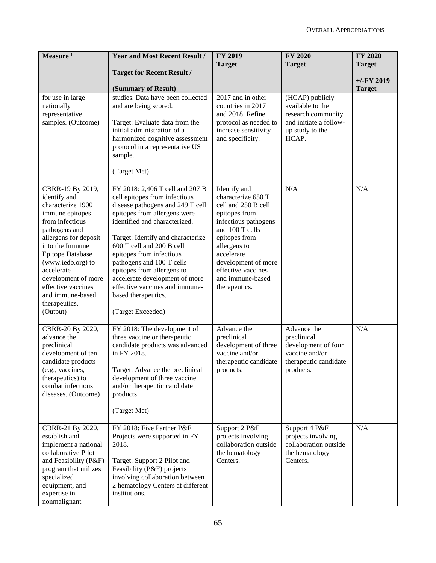| Measure <sup>1</sup>                                                                                                                                                                                                                                                                                                 | <b>Year and Most Recent Result /</b>                                                                                                                                                                                                                                                                                                                                                                                                           | <b>FY 2019</b><br><b>Target</b>                                                                                                                                                                                                                        | <b>FY 2020</b><br><b>Target</b>                                                                                 | <b>FY 2020</b><br><b>Target</b> |
|----------------------------------------------------------------------------------------------------------------------------------------------------------------------------------------------------------------------------------------------------------------------------------------------------------------------|------------------------------------------------------------------------------------------------------------------------------------------------------------------------------------------------------------------------------------------------------------------------------------------------------------------------------------------------------------------------------------------------------------------------------------------------|--------------------------------------------------------------------------------------------------------------------------------------------------------------------------------------------------------------------------------------------------------|-----------------------------------------------------------------------------------------------------------------|---------------------------------|
|                                                                                                                                                                                                                                                                                                                      | <b>Target for Recent Result /</b><br>(Summary of Result)                                                                                                                                                                                                                                                                                                                                                                                       |                                                                                                                                                                                                                                                        |                                                                                                                 | $+/-$ FY 2019<br><b>Target</b>  |
| for use in large<br>nationally<br>representative<br>samples. (Outcome)                                                                                                                                                                                                                                               | studies. Data have been collected<br>and are being scored.<br>Target: Evaluate data from the<br>initial administration of a<br>harmonized cognitive assessment<br>protocol in a representative US<br>sample.<br>(Target Met)                                                                                                                                                                                                                   | 2017 and in other<br>countries in 2017<br>and 2018. Refine<br>protocol as needed to<br>increase sensitivity<br>and specificity.                                                                                                                        | (HCAP) publicly<br>available to the<br>research community<br>and initiate a follow-<br>up study to the<br>HCAP. |                                 |
| CBRR-19 By 2019,<br>identify and<br>characterize 1900<br>immune epitopes<br>from infectious<br>pathogens and<br>allergens for deposit<br>into the Immune<br><b>Epitope Database</b><br>(www.iedb.org) to<br>accelerate<br>development of more<br>effective vaccines<br>and immune-based<br>therapeutics.<br>(Output) | FY 2018: 2,406 T cell and 207 B<br>cell epitopes from infectious<br>disease pathogens and 249 T cell<br>epitopes from allergens were<br>identified and characterized.<br>Target: Identify and characterize<br>600 T cell and 200 B cell<br>epitopes from infectious<br>pathogens and 100 T cells<br>epitopes from allergens to<br>accelerate development of more<br>effective vaccines and immune-<br>based therapeutics.<br>(Target Exceeded) | Identify and<br>characterize 650 T<br>cell and 250 B cell<br>epitopes from<br>infectious pathogens<br>and 100 T cells<br>epitopes from<br>allergens to<br>accelerate<br>development of more<br>effective vaccines<br>and immune-based<br>therapeutics. | N/A                                                                                                             | N/A                             |
| CBRR-20 By 2020,<br>advance the<br>preclinical<br>development of ten<br>candidate products<br>(e.g., vaccines,<br>therapeutics) to<br>combat infectious<br>diseases. (Outcome)                                                                                                                                       | FY 2018: The development of<br>three vaccine or therapeutic<br>candidate products was advanced<br>in FY 2018.<br>Target: Advance the preclinical<br>development of three vaccine<br>and/or therapeutic candidate<br>products.<br>(Target Met)                                                                                                                                                                                                  | Advance the<br>preclinical<br>development of three<br>vaccine and/or<br>therapeutic candidate<br>products.                                                                                                                                             | Advance the<br>preclinical<br>development of four<br>vaccine and/or<br>therapeutic candidate<br>products.       | N/A                             |
| CBRR-21 By 2020,<br>establish and<br>implement a national<br>collaborative Pilot<br>and Feasibility (P&F)<br>program that utilizes<br>specialized<br>equipment, and<br>expertise in<br>nonmalignant                                                                                                                  | FY 2018: Five Partner P&F<br>Projects were supported in FY<br>2018.<br>Target: Support 2 Pilot and<br>Feasibility (P&F) projects<br>involving collaboration between<br>2 hematology Centers at different<br>institutions.                                                                                                                                                                                                                      | Support 2 P&F<br>projects involving<br>collaboration outside<br>the hematology<br>Centers.                                                                                                                                                             | Support 4 P&F<br>projects involving<br>collaboration outside<br>the hematology<br>Centers.                      | N/A                             |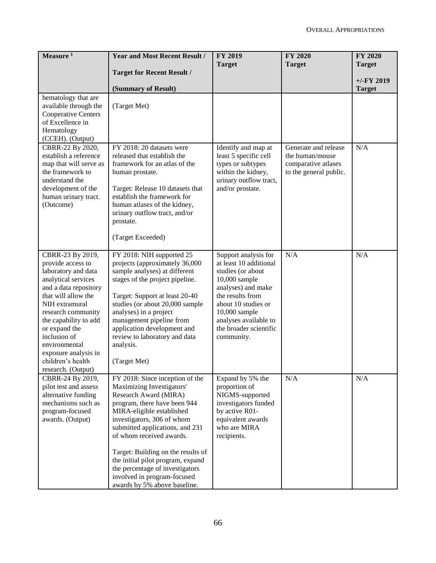| Measure $1$                                                                                                                                                                                                                                                                                                               | <b>Year and Most Recent Result /</b>                                                                                                                                                                                                                                                                                                                                                                                         | <b>FY 2019</b><br><b>Target</b>                                                                                                                                                                                                         | <b>FY 2020</b><br><b>Target</b>                                                          | <b>FY 2020</b><br><b>Target</b> |
|---------------------------------------------------------------------------------------------------------------------------------------------------------------------------------------------------------------------------------------------------------------------------------------------------------------------------|------------------------------------------------------------------------------------------------------------------------------------------------------------------------------------------------------------------------------------------------------------------------------------------------------------------------------------------------------------------------------------------------------------------------------|-----------------------------------------------------------------------------------------------------------------------------------------------------------------------------------------------------------------------------------------|------------------------------------------------------------------------------------------|---------------------------------|
|                                                                                                                                                                                                                                                                                                                           | <b>Target for Recent Result /</b>                                                                                                                                                                                                                                                                                                                                                                                            |                                                                                                                                                                                                                                         |                                                                                          |                                 |
|                                                                                                                                                                                                                                                                                                                           | (Summary of Result)                                                                                                                                                                                                                                                                                                                                                                                                          |                                                                                                                                                                                                                                         |                                                                                          | $+/-FY$ 2019<br><b>Target</b>   |
| hematology that are<br>available through the<br>Cooperative Centers<br>of Excellence in<br>Hematology<br>(CCEH). (Output)                                                                                                                                                                                                 | (Target Met)                                                                                                                                                                                                                                                                                                                                                                                                                 |                                                                                                                                                                                                                                         |                                                                                          |                                 |
| CBRR-22 By 2020,<br>establish a reference<br>map that will serve as<br>the framework to<br>understand the<br>development of the<br>human urinary tract.<br>(Outcome)                                                                                                                                                      | FY 2018: 20 datasets were<br>released that establish the<br>framework for an atlas of the<br>human prostate.<br>Target: Release 10 datasets that<br>establish the framework for<br>human atlases of the kidney,<br>urinary outflow tract, and/or<br>prostate.<br>(Target Exceeded)                                                                                                                                           | Identify and map at<br>least 5 specific cell<br>types or subtypes<br>within the kidney,<br>urinary outflow tract,<br>and/or prostate.                                                                                                   | Generate and release<br>the human/mouse<br>comparative atlases<br>to the general public. | N/A                             |
| CBRR-23 By 2019,<br>provide access to<br>laboratory and data<br>analytical services<br>and a data repository<br>that will allow the<br>NIH extramural<br>research community<br>the capability to add<br>or expand the<br>inclusion of<br>environmental<br>exposure analysis in<br>children's health<br>research. (Output) | FY 2018: NIH supported 25<br>projects (approximately 36,000<br>sample analyses) at different<br>stages of the project pipeline.<br>Target: Support at least 20-40<br>studies (or about 20,000 sample<br>analyses) in a project<br>management pipeline from<br>application development and<br>review to laboratory and data<br>analysis.<br>(Target Met)                                                                      | Support analysis for<br>at least 10 additional<br>studies (or about<br>10,000 sample<br>analyses) and make<br>the results from<br>about 10 studies or<br>10,000 sample<br>analyses available to<br>the broader scientific<br>community. | N/A                                                                                      | N/A                             |
| CBRR-24 By 2019,<br>pilot test and assess<br>alternative funding<br>mechanisms such as<br>program-focused<br>awards. (Output)                                                                                                                                                                                             | FY 2018: Since inception of the<br>Maximizing Investigators'<br>Research Award (MIRA)<br>program, there have been 944<br>MIRA-eligible established<br>investigators, 306 of whom<br>submitted applications, and 231<br>of whom received awards.<br>Target: Building on the results of<br>the initial pilot program, expand<br>the percentage of investigators<br>involved in program-focused<br>awards by 5% above baseline. | Expand by 5% the<br>proportion of<br>NIGMS-supported<br>investigators funded<br>by active R01-<br>equivalent awards<br>who are MIRA<br>recipients.                                                                                      | N/A                                                                                      | N/A                             |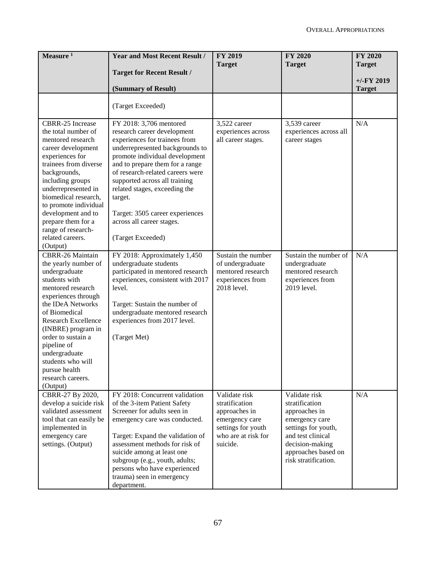| Measure $1$                           | <b>Year and Most Recent Result /</b>                               | <b>FY 2019</b>                  | <b>FY 2020</b>                       | <b>FY 2020</b> |
|---------------------------------------|--------------------------------------------------------------------|---------------------------------|--------------------------------------|----------------|
|                                       | <b>Target for Recent Result /</b>                                  | <b>Target</b>                   | <b>Target</b>                        | <b>Target</b>  |
|                                       |                                                                    |                                 |                                      | $+/-FY$ 2019   |
|                                       | (Summary of Result)                                                |                                 |                                      | <b>Target</b>  |
|                                       | (Target Exceeded)                                                  |                                 |                                      |                |
|                                       |                                                                    |                                 |                                      |                |
| CBRR-25 Increase                      | FY 2018: 3,706 mentored                                            | 3,522 career                    | 3,539 career                         | N/A            |
| the total number of                   | research career development                                        | experiences across              | experiences across all               |                |
| mentored research                     | experiences for trainees from                                      | all career stages.              | career stages                        |                |
| career development<br>experiences for | underrepresented backgrounds to<br>promote individual development  |                                 |                                      |                |
| trainees from diverse                 | and to prepare them for a range                                    |                                 |                                      |                |
| backgrounds,                          | of research-related careers were                                   |                                 |                                      |                |
| including groups                      | supported across all training                                      |                                 |                                      |                |
| underrepresented in                   | related stages, exceeding the                                      |                                 |                                      |                |
| biomedical research,                  | target.                                                            |                                 |                                      |                |
| to promote individual                 |                                                                    |                                 |                                      |                |
| development and to                    | Target: 3505 career experiences                                    |                                 |                                      |                |
| prepare them for a                    | across all career stages.                                          |                                 |                                      |                |
| range of research-                    |                                                                    |                                 |                                      |                |
| related careers.<br>(Output)          | (Target Exceeded)                                                  |                                 |                                      |                |
| <b>CBRR-26 Maintain</b>               | FY 2018: Approximately 1,450                                       | Sustain the number              | Sustain the number of                | N/A            |
| the yearly number of                  | undergraduate students                                             | of undergraduate                | undergraduate                        |                |
| undergraduate                         | participated in mentored research                                  | mentored research               | mentored research                    |                |
| students with                         | experiences, consistent with 2017                                  | experiences from                | experiences from                     |                |
| mentored research                     | level.                                                             | 2018 level.                     | 2019 level.                          |                |
| experiences through                   |                                                                    |                                 |                                      |                |
| the IDeA Networks                     | Target: Sustain the number of                                      |                                 |                                      |                |
| of Biomedical                         | undergraduate mentored research                                    |                                 |                                      |                |
| <b>Research Excellence</b>            | experiences from 2017 level.                                       |                                 |                                      |                |
| (INBRE) program in                    |                                                                    |                                 |                                      |                |
| order to sustain a<br>pipeline of     | (Target Met)                                                       |                                 |                                      |                |
| undergraduate                         |                                                                    |                                 |                                      |                |
| students who will                     |                                                                    |                                 |                                      |                |
| pursue health                         |                                                                    |                                 |                                      |                |
| research careers.                     |                                                                    |                                 |                                      |                |
| (Output)                              |                                                                    |                                 |                                      |                |
| CBRR-27 By 2020,                      | FY 2018: Concurrent validation                                     | Validate risk                   | Validate risk                        | N/A            |
| develop a suicide risk                | of the 3-item Patient Safety                                       | stratification                  | stratification                       |                |
| validated assessment                  | Screener for adults seen in                                        | approaches in                   | approaches in                        |                |
| tool that can easily be               | emergency care was conducted.                                      | emergency care                  | emergency care                       |                |
| implemented in                        |                                                                    | settings for youth              | settings for youth,                  |                |
| emergency care<br>settings. (Output)  | Target: Expand the validation of<br>assessment methods for risk of | who are at risk for<br>suicide. | and test clinical<br>decision-making |                |
|                                       | suicide among at least one                                         |                                 | approaches based on                  |                |
|                                       | subgroup (e.g., youth, adults;                                     |                                 | risk stratification.                 |                |
|                                       | persons who have experienced                                       |                                 |                                      |                |
|                                       | trauma) seen in emergency                                          |                                 |                                      |                |
|                                       | department.                                                        |                                 |                                      |                |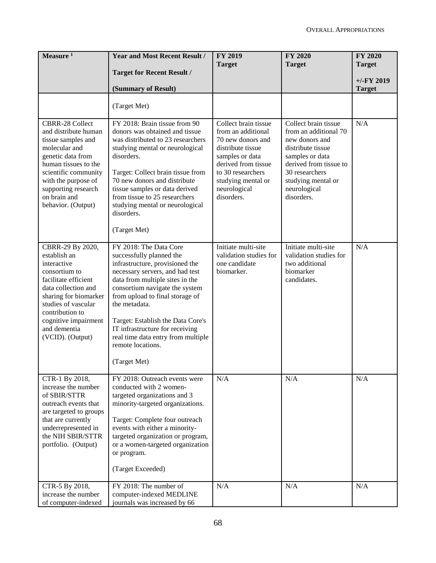| Measure $1$                                                                                                                                                                                                                                    | <b>Year and Most Recent Result /</b>                                                                                                                                                                                                                                                                                                                                                                 | <b>FY 2019</b><br><b>Target</b>                                                                                                                                                                         | FY 2020<br><b>Target</b>                                                                                                                                                                                | <b>FY 2020</b><br><b>Target</b> |
|------------------------------------------------------------------------------------------------------------------------------------------------------------------------------------------------------------------------------------------------|------------------------------------------------------------------------------------------------------------------------------------------------------------------------------------------------------------------------------------------------------------------------------------------------------------------------------------------------------------------------------------------------------|---------------------------------------------------------------------------------------------------------------------------------------------------------------------------------------------------------|---------------------------------------------------------------------------------------------------------------------------------------------------------------------------------------------------------|---------------------------------|
|                                                                                                                                                                                                                                                | <b>Target for Recent Result /</b><br>(Summary of Result)                                                                                                                                                                                                                                                                                                                                             |                                                                                                                                                                                                         |                                                                                                                                                                                                         | $+/-FY$ 2019<br><b>Target</b>   |
|                                                                                                                                                                                                                                                | (Target Met)                                                                                                                                                                                                                                                                                                                                                                                         |                                                                                                                                                                                                         |                                                                                                                                                                                                         |                                 |
| <b>CBRR-28 Collect</b><br>and distribute human<br>tissue samples and<br>molecular and<br>genetic data from<br>human tissues to the<br>scientific community<br>with the purpose of<br>supporting research<br>on brain and<br>behavior. (Output) | FY 2018: Brain tissue from 90<br>donors was obtained and tissue<br>was distributed to 23 researchers<br>studying mental or neurological<br>disorders.<br>Target: Collect brain tissue from<br>70 new donors and distribute<br>tissue samples or data derived<br>from tissue to 25 researchers<br>studying mental or neurological<br>disorders.<br>(Target Met)                                       | Collect brain tissue<br>from an additional<br>70 new donors and<br>distribute tissue<br>samples or data<br>derived from tissue<br>to 30 researchers<br>studying mental or<br>neurological<br>disorders. | Collect brain tissue<br>from an additional 70<br>new donors and<br>distribute tissue<br>samples or data<br>derived from tissue to<br>30 researchers<br>studying mental or<br>neurological<br>disorders. | N/A                             |
| CBRR-29 By 2020,<br>establish an<br>interactive<br>consortium to<br>facilitate efficient<br>data collection and<br>sharing for biomarker<br>studies of vascular<br>contribution to<br>cognitive impairment<br>and dementia<br>(VCID). (Output) | FY 2018: The Data Core<br>successfully planned the<br>infrastructure, provisioned the<br>necessary servers, and had test<br>data from multiple sites in the<br>consortium navigate the system<br>from upload to final storage of<br>the metadata.<br>Target: Establish the Data Core's<br>IT infrastructure for receiving<br>real time data entry from multiple<br>remote locations.<br>(Target Met) | Initiate multi-site<br>validation studies for<br>one candidate<br>biomarker.                                                                                                                            | Initiate multi-site<br>validation studies for<br>two additional<br>biomarker<br>candidates.                                                                                                             | N/A                             |
| CTR-1 By 2018,<br>increase the number<br>of SBIR/STTR<br>outreach events that<br>are targeted to groups<br>that are currently<br>underrepresented in<br>the NIH SBIR/STTR<br>portfolio. (Output)                                               | FY 2018: Outreach events were<br>conducted with 2 women-<br>targeted organizations and 3<br>minority-targeted organizations.<br>Target: Complete four outreach<br>events with either a minority-<br>targeted organization or program,<br>or a women-targeted organization<br>or program.<br>(Target Exceeded)                                                                                        | N/A                                                                                                                                                                                                     | N/A                                                                                                                                                                                                     | N/A                             |
| CTR-5 By 2018,<br>increase the number<br>of computer-indexed                                                                                                                                                                                   | FY 2018: The number of<br>computer-indexed MEDLINE<br>journals was increased by 66                                                                                                                                                                                                                                                                                                                   | N/A                                                                                                                                                                                                     | N/A                                                                                                                                                                                                     | N/A                             |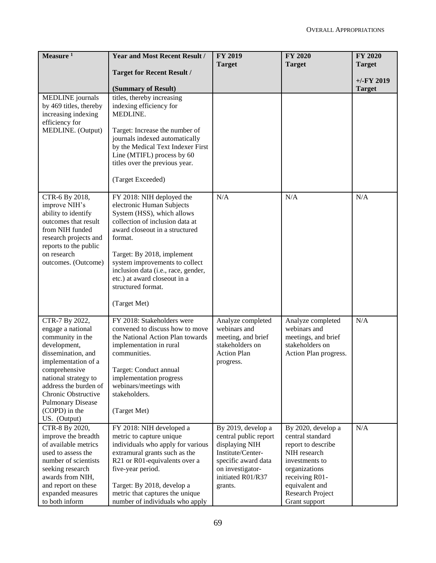| Measure $1$                               | <b>Year and Most Recent Result /</b>                                | <b>FY 2019</b>                        | <b>FY 2020</b>                           | <b>FY 2020</b> |
|-------------------------------------------|---------------------------------------------------------------------|---------------------------------------|------------------------------------------|----------------|
|                                           | <b>Target for Recent Result /</b>                                   | <b>Target</b>                         | <b>Target</b>                            | <b>Target</b>  |
|                                           |                                                                     |                                       |                                          | $+/-FY$ 2019   |
|                                           | (Summary of Result)                                                 |                                       |                                          | <b>Target</b>  |
| MEDLINE journals                          | titles, thereby increasing                                          |                                       |                                          |                |
| by 469 titles, thereby                    | indexing efficiency for                                             |                                       |                                          |                |
| increasing indexing                       | MEDLINE.                                                            |                                       |                                          |                |
| efficiency for                            |                                                                     |                                       |                                          |                |
| MEDLINE. (Output)                         | Target: Increase the number of<br>journals indexed automatically    |                                       |                                          |                |
|                                           | by the Medical Text Indexer First                                   |                                       |                                          |                |
|                                           | Line (MTIFL) process by 60                                          |                                       |                                          |                |
|                                           | titles over the previous year.                                      |                                       |                                          |                |
|                                           |                                                                     |                                       |                                          |                |
|                                           | (Target Exceeded)                                                   |                                       |                                          |                |
| CTR-6 By 2018,                            | FY 2018: NIH deployed the                                           | N/A                                   | N/A                                      | N/A            |
| improve NIH's                             | electronic Human Subjects                                           |                                       |                                          |                |
| ability to identify                       | System (HSS), which allows<br>collection of inclusion data at       |                                       |                                          |                |
| outcomes that result<br>from NIH funded   | award closeout in a structured                                      |                                       |                                          |                |
| research projects and                     | format.                                                             |                                       |                                          |                |
| reports to the public                     |                                                                     |                                       |                                          |                |
| on research                               | Target: By 2018, implement                                          |                                       |                                          |                |
| outcomes. (Outcome)                       | system improvements to collect                                      |                                       |                                          |                |
|                                           | inclusion data (i.e., race, gender,<br>etc.) at award closeout in a |                                       |                                          |                |
|                                           | structured format.                                                  |                                       |                                          |                |
|                                           |                                                                     |                                       |                                          |                |
|                                           | (Target Met)                                                        |                                       |                                          |                |
| CTR-7 By 2022,                            | FY 2018: Stakeholders were                                          | Analyze completed                     | Analyze completed                        | N/A            |
| engage a national                         | convened to discuss how to move                                     | webinars and                          | webinars and                             |                |
| community in the                          | the National Action Plan towards                                    | meeting, and brief                    | meetings, and brief                      |                |
| development,<br>dissemination, and        | implementation in rural<br>communities.                             | stakeholders on<br><b>Action Plan</b> | stakeholders on<br>Action Plan progress. |                |
| implementation of a                       |                                                                     | progress.                             |                                          |                |
| comprehensive                             | Target: Conduct annual                                              |                                       |                                          |                |
| national strategy to                      | implementation progress                                             |                                       |                                          |                |
| address the burden of                     | webinars/meetings with                                              |                                       |                                          |                |
| Chronic Obstructive                       | stakeholders.                                                       |                                       |                                          |                |
| <b>Pulmonary Disease</b><br>(COPD) in the | (Target Met)                                                        |                                       |                                          |                |
| US. (Output)                              |                                                                     |                                       |                                          |                |
| CTR-8 By 2020,                            | FY 2018: NIH developed a                                            | By 2019, develop a                    | By 2020, develop a                       | N/A            |
| improve the breadth                       | metric to capture unique                                            | central public report                 | central standard                         |                |
| of available metrics                      | individuals who apply for various                                   | displaying NIH                        | report to describe                       |                |
| used to assess the                        | extramural grants such as the                                       | Institute/Center-                     | NIH research                             |                |
| number of scientists                      | R21 or R01-equivalents over a                                       | specific award data                   | investments to                           |                |
| seeking research<br>awards from NIH,      | five-year period.                                                   | on investigator-<br>initiated R01/R37 | organizations<br>receiving R01-          |                |
| and report on these                       | Target: By 2018, develop a                                          | grants.                               | equivalent and                           |                |
| expanded measures                         | metric that captures the unique                                     |                                       | Research Project                         |                |
| to both inform                            | number of individuals who apply                                     |                                       | Grant support                            |                |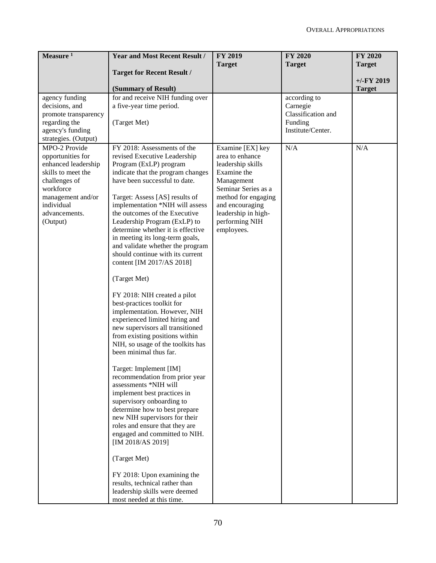| Measure $1$                              | <b>Year and Most Recent Result /</b>                                 | <b>FY 2019</b>                        | <b>FY 2020</b>           | <b>FY 2020</b> |
|------------------------------------------|----------------------------------------------------------------------|---------------------------------------|--------------------------|----------------|
|                                          | <b>Target for Recent Result /</b>                                    | <b>Target</b>                         | <b>Target</b>            | <b>Target</b>  |
|                                          |                                                                      |                                       |                          | $+/-FY$ 2019   |
|                                          | (Summary of Result)                                                  |                                       |                          | <b>Target</b>  |
| agency funding<br>decisions, and         | for and receive NIH funding over<br>a five-year time period.         |                                       | according to<br>Carnegie |                |
| promote transparency                     |                                                                      |                                       | Classification and       |                |
| regarding the                            | (Target Met)                                                         |                                       | Funding                  |                |
| agency's funding<br>strategies. (Output) |                                                                      |                                       | Institute/Center.        |                |
| MPO-2 Provide                            | FY 2018: Assessments of the                                          | Examine [EX] key                      | N/A                      | N/A            |
| opportunities for                        | revised Executive Leadership                                         | area to enhance                       |                          |                |
| enhanced leadership                      | Program (ExLP) program                                               | leadership skills                     |                          |                |
| skills to meet the<br>challenges of      | indicate that the program changes<br>have been successful to date.   | Examine the<br>Management             |                          |                |
| workforce                                |                                                                      | Seminar Series as a                   |                          |                |
| management and/or                        | Target: Assess [AS] results of                                       | method for engaging                   |                          |                |
| individual                               | implementation *NIH will assess<br>the outcomes of the Executive     | and encouraging                       |                          |                |
| advancements.<br>(Output)                | Leadership Program (ExLP) to                                         | leadership in high-<br>performing NIH |                          |                |
|                                          | determine whether it is effective                                    | employees.                            |                          |                |
|                                          | in meeting its long-term goals,                                      |                                       |                          |                |
|                                          | and validate whether the program<br>should continue with its current |                                       |                          |                |
|                                          | content [IM 2017/AS 2018]                                            |                                       |                          |                |
|                                          | (Target Met)                                                         |                                       |                          |                |
|                                          |                                                                      |                                       |                          |                |
|                                          | FY 2018: NIH created a pilot<br>best-practices toolkit for           |                                       |                          |                |
|                                          | implementation. However, NIH                                         |                                       |                          |                |
|                                          | experienced limited hiring and                                       |                                       |                          |                |
|                                          | new supervisors all transitioned                                     |                                       |                          |                |
|                                          | from existing positions within<br>NIH, so usage of the toolkits has  |                                       |                          |                |
|                                          | been minimal thus far.                                               |                                       |                          |                |
|                                          | Target: Implement [IM]                                               |                                       |                          |                |
|                                          | recommendation from prior year                                       |                                       |                          |                |
|                                          | assessments *NIH will<br>implement best practices in                 |                                       |                          |                |
|                                          | supervisory onboarding to                                            |                                       |                          |                |
|                                          | determine how to best prepare                                        |                                       |                          |                |
|                                          | new NIH supervisors for their                                        |                                       |                          |                |
|                                          | roles and ensure that they are<br>engaged and committed to NIH.      |                                       |                          |                |
|                                          | [IM 2018/AS 2019]                                                    |                                       |                          |                |
|                                          | (Target Met)                                                         |                                       |                          |                |
|                                          | FY 2018: Upon examining the                                          |                                       |                          |                |
|                                          | results, technical rather than<br>leadership skills were deemed      |                                       |                          |                |
|                                          | most needed at this time.                                            |                                       |                          |                |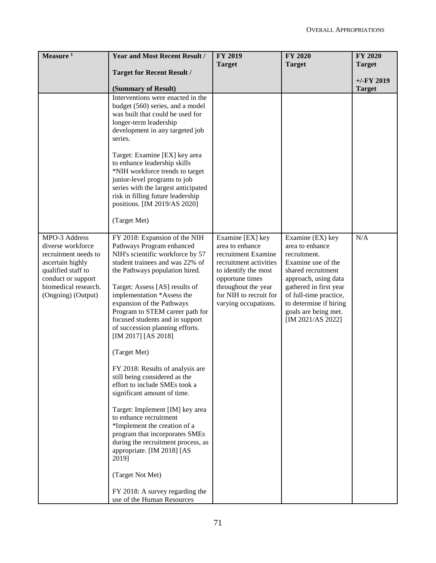| <b>Target for Recent Result /</b><br>(Summary of Result)<br>Interventions were enacted in the<br>budget (560) series, and a model<br>was built that could be used for<br>longer-term leadership                                                                                                                                                                                                                                                                                                                                                                                                                                                                                                                                                                              | <b>Target</b>                                                                                                                                                                                            | <b>Target</b>                                                                                                                                                                                                                                      | <b>Target</b><br>$+/-FY$ 2019 |
|------------------------------------------------------------------------------------------------------------------------------------------------------------------------------------------------------------------------------------------------------------------------------------------------------------------------------------------------------------------------------------------------------------------------------------------------------------------------------------------------------------------------------------------------------------------------------------------------------------------------------------------------------------------------------------------------------------------------------------------------------------------------------|----------------------------------------------------------------------------------------------------------------------------------------------------------------------------------------------------------|----------------------------------------------------------------------------------------------------------------------------------------------------------------------------------------------------------------------------------------------------|-------------------------------|
|                                                                                                                                                                                                                                                                                                                                                                                                                                                                                                                                                                                                                                                                                                                                                                              |                                                                                                                                                                                                          |                                                                                                                                                                                                                                                    |                               |
|                                                                                                                                                                                                                                                                                                                                                                                                                                                                                                                                                                                                                                                                                                                                                                              |                                                                                                                                                                                                          |                                                                                                                                                                                                                                                    |                               |
|                                                                                                                                                                                                                                                                                                                                                                                                                                                                                                                                                                                                                                                                                                                                                                              |                                                                                                                                                                                                          |                                                                                                                                                                                                                                                    | <b>Target</b>                 |
| development in any targeted job<br>Target: Examine [EX] key area<br>to enhance leadership skills<br>*NIH workforce trends to target<br>junior-level programs to job<br>series with the largest anticipated<br>risk in filling future leadership<br>positions. [IM 2019/AS 2020]<br>(Target Met)                                                                                                                                                                                                                                                                                                                                                                                                                                                                              |                                                                                                                                                                                                          |                                                                                                                                                                                                                                                    |                               |
|                                                                                                                                                                                                                                                                                                                                                                                                                                                                                                                                                                                                                                                                                                                                                                              |                                                                                                                                                                                                          |                                                                                                                                                                                                                                                    |                               |
| FY 2018: Expansion of the NIH<br>Pathways Program enhanced<br>NIH's scientific workforce by 57<br>student trainees and was 22% of<br>the Pathways population hired.<br>Target: Assess [AS] results of<br>implementation *Assess the<br>expansion of the Pathways<br>Program to STEM career path for<br>focused students and in support<br>of succession planning efforts.<br>[IM 2017] [AS 2018]<br>(Target Met)<br>FY 2018: Results of analysis are<br>still being considered as the<br>effort to include SMEs took a<br>significant amount of time.<br>Target: Implement [IM] key area<br>to enhance recruitment<br>*Implement the creation of a<br>program that incorporates SMEs<br>during the recruitment process, as<br>appropriate. [IM 2018] [AS<br>(Target Not Met) | Examine [EX] key<br>area to enhance<br>recruitment Examine<br>recruitment activities<br>to identify the most<br>opportune times<br>throughout the year<br>for NIH to recruit for<br>varying occupations. | Examine (EX) key<br>area to enhance<br>recruitment.<br>Examine use of the<br>shared recruitment<br>approach, using data<br>gathered in first year<br>of full-time practice,<br>to determine if hiring<br>goals are being met.<br>[IM 2021/AS 2022] | N/A                           |
|                                                                                                                                                                                                                                                                                                                                                                                                                                                                                                                                                                                                                                                                                                                                                                              | FY 2018: A survey regarding the<br>use of the Human Resources                                                                                                                                            |                                                                                                                                                                                                                                                    |                               |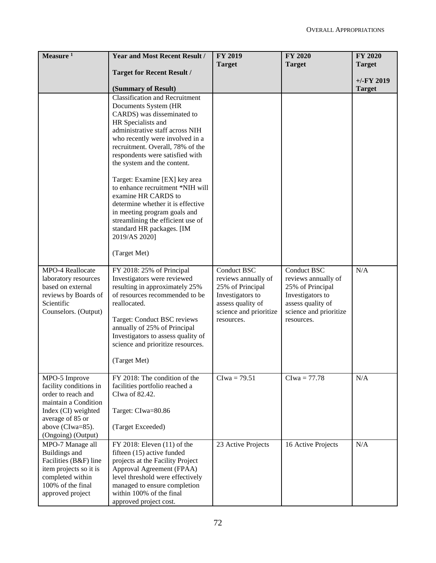| Measure $1$                                | <b>Year and Most Recent Result /</b>                              | <b>FY 2019</b>                        | <b>FY 2020</b>                        | <b>FY 2020</b> |
|--------------------------------------------|-------------------------------------------------------------------|---------------------------------------|---------------------------------------|----------------|
|                                            |                                                                   | <b>Target</b>                         | <b>Target</b>                         | <b>Target</b>  |
|                                            | <b>Target for Recent Result /</b>                                 |                                       |                                       | $+/-FY$ 2019   |
|                                            | (Summary of Result)                                               |                                       |                                       | <b>Target</b>  |
|                                            | <b>Classification and Recruitment</b>                             |                                       |                                       |                |
|                                            | Documents System (HR                                              |                                       |                                       |                |
|                                            | CARDS) was disseminated to                                        |                                       |                                       |                |
|                                            | HR Specialists and<br>administrative staff across NIH             |                                       |                                       |                |
|                                            | who recently were involved in a                                   |                                       |                                       |                |
|                                            | recruitment. Overall, 78% of the                                  |                                       |                                       |                |
|                                            | respondents were satisfied with                                   |                                       |                                       |                |
|                                            | the system and the content.                                       |                                       |                                       |                |
|                                            | Target: Examine [EX] key area                                     |                                       |                                       |                |
|                                            | to enhance recruitment *NIH will                                  |                                       |                                       |                |
|                                            | examine HR CARDS to                                               |                                       |                                       |                |
|                                            | determine whether it is effective<br>in meeting program goals and |                                       |                                       |                |
|                                            | streamlining the efficient use of                                 |                                       |                                       |                |
|                                            | standard HR packages. [IM                                         |                                       |                                       |                |
|                                            | 2019/AS 2020]                                                     |                                       |                                       |                |
|                                            | (Target Met)                                                      |                                       |                                       |                |
| MPO-4 Reallocate                           | FY 2018: 25% of Principal                                         | Conduct BSC                           | Conduct BSC                           | N/A            |
| laboratory resources                       | Investigators were reviewed                                       | reviews annually of                   | reviews annually of                   |                |
| based on external                          | resulting in approximately 25%                                    | 25% of Principal                      | 25% of Principal                      |                |
| reviews by Boards of<br>Scientific         | of resources recommended to be<br>reallocated.                    | Investigators to<br>assess quality of | Investigators to<br>assess quality of |                |
| Counselors. (Output)                       |                                                                   | science and prioritize                | science and prioritize                |                |
|                                            | Target: Conduct BSC reviews                                       | resources.                            | resources.                            |                |
|                                            | annually of 25% of Principal                                      |                                       |                                       |                |
|                                            | Investigators to assess quality of                                |                                       |                                       |                |
|                                            | science and prioritize resources.                                 |                                       |                                       |                |
|                                            | (Target Met)                                                      |                                       |                                       |                |
| MPO-5 Improve                              | FY 2018: The condition of the                                     | $Clwa = 79.51$                        | $Clwa = 77.78$                        | N/A            |
| facility conditions in                     | facilities portfolio reached a                                    |                                       |                                       |                |
| order to reach and                         | CIwa of 82.42.                                                    |                                       |                                       |                |
| maintain a Condition                       |                                                                   |                                       |                                       |                |
| Index (CI) weighted<br>average of 85 or    | Target: CIwa=80.86                                                |                                       |                                       |                |
| above (CIwa=85).                           | (Target Exceeded)                                                 |                                       |                                       |                |
| (Ongoing) (Output)                         |                                                                   |                                       |                                       |                |
| MPO-7 Manage all                           | FY 2018: Eleven (11) of the                                       | 23 Active Projects                    | 16 Active Projects                    | N/A            |
| Buildings and                              | fifteen (15) active funded                                        |                                       |                                       |                |
| Facilities (B&F) line                      | projects at the Facility Project                                  |                                       |                                       |                |
| item projects so it is<br>completed within | Approval Agreement (FPAA)<br>level threshold were effectively     |                                       |                                       |                |
| 100% of the final                          | managed to ensure completion                                      |                                       |                                       |                |
| approved project                           | within 100% of the final                                          |                                       |                                       |                |
|                                            | approved project cost.                                            |                                       |                                       |                |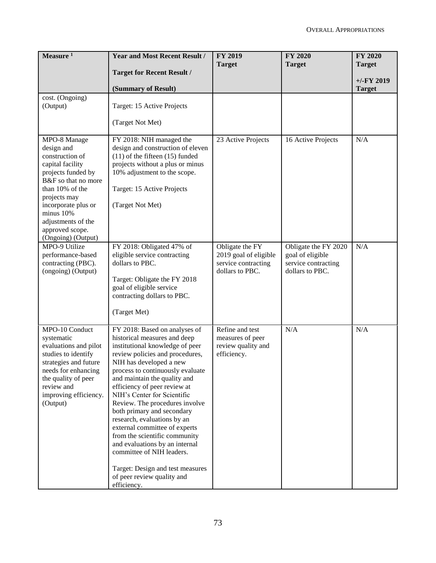| Measure <sup>1</sup>                                                                                                                                                                                                                                 | <b>Year and Most Recent Result /</b>                                                                                                                                                                                                                                                                                                                                                                                                                                                                                                                                  | <b>FY 2019</b><br><b>Target</b>                                                    | <b>FY 2020</b><br><b>Target</b>                                                    | <b>FY 2020</b><br><b>Target</b> |
|------------------------------------------------------------------------------------------------------------------------------------------------------------------------------------------------------------------------------------------------------|-----------------------------------------------------------------------------------------------------------------------------------------------------------------------------------------------------------------------------------------------------------------------------------------------------------------------------------------------------------------------------------------------------------------------------------------------------------------------------------------------------------------------------------------------------------------------|------------------------------------------------------------------------------------|------------------------------------------------------------------------------------|---------------------------------|
|                                                                                                                                                                                                                                                      | <b>Target for Recent Result /</b>                                                                                                                                                                                                                                                                                                                                                                                                                                                                                                                                     |                                                                                    |                                                                                    | $+/-FY$ 2019                    |
|                                                                                                                                                                                                                                                      | (Summary of Result)                                                                                                                                                                                                                                                                                                                                                                                                                                                                                                                                                   |                                                                                    |                                                                                    | <b>Target</b>                   |
| cost. (Ongoing)<br>(Output)                                                                                                                                                                                                                          | Target: 15 Active Projects<br>(Target Not Met)                                                                                                                                                                                                                                                                                                                                                                                                                                                                                                                        |                                                                                    |                                                                                    |                                 |
| MPO-8 Manage<br>design and<br>construction of<br>capital facility<br>projects funded by<br>B&F so that no more<br>than 10% of the<br>projects may<br>incorporate plus or<br>minus 10%<br>adjustments of the<br>approved scope.<br>(Ongoing) (Output) | FY 2018: NIH managed the<br>design and construction of eleven<br>$(11)$ of the fifteen $(15)$ funded<br>projects without a plus or minus<br>10% adjustment to the scope.<br>Target: 15 Active Projects<br>(Target Not Met)                                                                                                                                                                                                                                                                                                                                            | 23 Active Projects                                                                 | 16 Active Projects                                                                 | N/A                             |
| MPO-9 Utilize<br>performance-based<br>contracting (PBC).<br>(ongoing) (Output)                                                                                                                                                                       | FY 2018: Obligated 47% of<br>eligible service contracting<br>dollars to PBC.<br>Target: Obligate the FY 2018<br>goal of eligible service<br>contracting dollars to PBC.<br>(Target Met)                                                                                                                                                                                                                                                                                                                                                                               | Obligate the FY<br>2019 goal of eligible<br>service contracting<br>dollars to PBC. | Obligate the FY 2020<br>goal of eligible<br>service contracting<br>dollars to PBC. | N/A                             |
| MPO-10 Conduct<br>systematic<br>evaluations and pilot<br>studies to identify<br>strategies and future<br>needs for enhancing<br>the quality of peer<br>review and<br>improving efficiency.<br>(Output)                                               | FY 2018: Based on analyses of<br>historical measures and deep<br>institutional knowledge of peer<br>review policies and procedures,<br>NIH has developed a new<br>process to continuously evaluate<br>and maintain the quality and<br>efficiency of peer review at<br>NIH's Center for Scientific<br>Review. The procedures involve<br>both primary and secondary<br>research, evaluations by an<br>external committee of experts<br>from the scientific community<br>and evaluations by an internal<br>committee of NIH leaders.<br>Target: Design and test measures | Refine and test<br>measures of peer<br>review quality and<br>efficiency.           | N/A                                                                                | N/A                             |
|                                                                                                                                                                                                                                                      | of peer review quality and<br>efficiency.                                                                                                                                                                                                                                                                                                                                                                                                                                                                                                                             |                                                                                    |                                                                                    |                                 |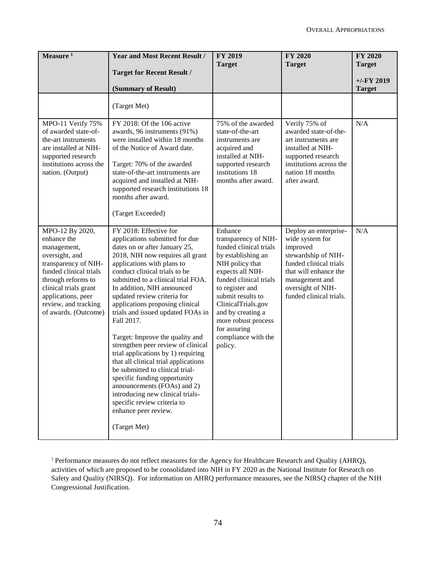| Measure $1$                                                                                                                                                                                                                            | <b>Year and Most Recent Result /</b><br><b>Target for Recent Result /</b>                                                                                                                                                                                                                                                                                                                                                                                                                                                                                                                                                                                                                                                                                 | <b>FY 2019</b><br><b>Target</b>                                                                                                                                                                                                                                                                              | <b>FY 2020</b><br><b>Target</b>                                                                                                                                                                  | <b>FY 2020</b><br><b>Target</b> |
|----------------------------------------------------------------------------------------------------------------------------------------------------------------------------------------------------------------------------------------|-----------------------------------------------------------------------------------------------------------------------------------------------------------------------------------------------------------------------------------------------------------------------------------------------------------------------------------------------------------------------------------------------------------------------------------------------------------------------------------------------------------------------------------------------------------------------------------------------------------------------------------------------------------------------------------------------------------------------------------------------------------|--------------------------------------------------------------------------------------------------------------------------------------------------------------------------------------------------------------------------------------------------------------------------------------------------------------|--------------------------------------------------------------------------------------------------------------------------------------------------------------------------------------------------|---------------------------------|
|                                                                                                                                                                                                                                        | (Summary of Result)                                                                                                                                                                                                                                                                                                                                                                                                                                                                                                                                                                                                                                                                                                                                       |                                                                                                                                                                                                                                                                                                              |                                                                                                                                                                                                  | $+/-FY$ 2019<br><b>Target</b>   |
|                                                                                                                                                                                                                                        | (Target Met)                                                                                                                                                                                                                                                                                                                                                                                                                                                                                                                                                                                                                                                                                                                                              |                                                                                                                                                                                                                                                                                                              |                                                                                                                                                                                                  |                                 |
| MPO-11 Verify 75%<br>of awarded state-of-<br>the-art instruments<br>are installed at NIH-<br>supported research<br>institutions across the<br>nation. (Output)                                                                         | FY 2018: Of the 106 active<br>awards, 96 instruments (91%)<br>were installed within 18 months<br>of the Notice of Award date.<br>Target: 70% of the awarded<br>state-of-the-art instruments are<br>acquired and installed at NIH-<br>supported research institutions 18<br>months after award.<br>(Target Exceeded)                                                                                                                                                                                                                                                                                                                                                                                                                                       | 75% of the awarded<br>state-of-the-art<br>instruments are<br>acquired and<br>installed at NIH-<br>supported research<br>institutions 18<br>months after award.                                                                                                                                               | Verify 75% of<br>awarded state-of-the-<br>art instruments are<br>installed at NIH-<br>supported research<br>institutions across the<br>nation 18 months<br>after award.                          | N/A                             |
| MPO-12 By 2020,<br>enhance the<br>management,<br>oversight, and<br>transparency of NIH-<br>funded clinical trials<br>through reforms to<br>clinical trials grant<br>applications, peer<br>review, and tracking<br>of awards. (Outcome) | FY 2018: Effective for<br>applications submitted for due<br>dates on or after January 25,<br>2018, NIH now requires all grant<br>applications with plans to<br>conduct clinical trials to be<br>submitted to a clinical trial FOA.<br>In addition, NIH announced<br>updated review criteria for<br>applications proposing clinical<br>trials and issued updated FOAs in<br>Fall 2017.<br>Target: Improve the quality and<br>strengthen peer review of clinical<br>trial applications by 1) requiring<br>that all clinical trial applications<br>be submitted to clinical trial-<br>specific funding opportunity<br>announcements (FOAs) and 2)<br>introducing new clinical trials-<br>specific review criteria to<br>enhance peer review.<br>(Target Met) | Enhance<br>transparency of NIH-<br>funded clinical trials<br>by establishing an<br>NIH policy that<br>expects all NIH-<br>funded clinical trials<br>to register and<br>submit results to<br>ClinicalTrials.gov<br>and by creating a<br>more robust process<br>for assuring<br>compliance with the<br>policy. | Deploy an enterprise-<br>wide system for<br>improved<br>stewardship of NIH-<br>funded clinical trials<br>that will enhance the<br>management and<br>oversight of NIH-<br>funded clinical trials. | N/A                             |

<sup>1</sup> Performance measures do not reflect measures for the Agency for Healthcare Research and Quality (AHRQ), activities of which are proposed to be consolidated into NIH in FY 2020 as the National Institute for Research on Safety and Quality (NIRSQ). For information on AHRQ performance measures, see the NIRSQ chapter of the NIH Congressional Justification.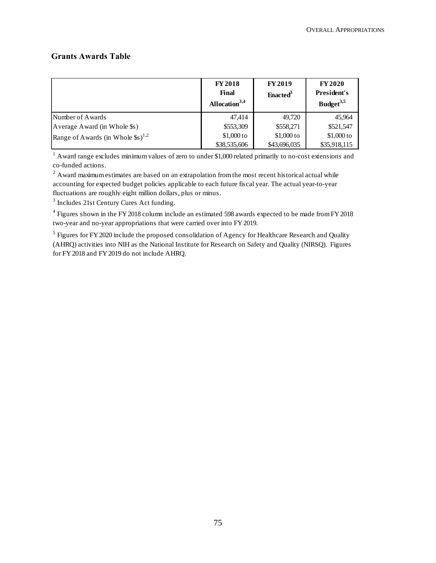## **Grants Awards Table**

|                                                           | <b>FY2018</b><br>Final<br>Allocation $3,4$ | <b>FY2019</b><br>Enacted <sup>3</sup> | <b>FY 2020</b><br>President's<br>Budget <sup>3,5</sup> |
|-----------------------------------------------------------|--------------------------------------------|---------------------------------------|--------------------------------------------------------|
| Number of Awards                                          | 47.414                                     | 49,720                                | 45,964                                                 |
| Average Award (in Whole \$s)                              | \$553,309                                  | \$558,271                             | \$521,547                                              |
| Range of Awards (in Whole $\$\mathrm{s}$ ) <sup>1,2</sup> | $$1,000$ to                                | $$1,000$ to                           | $$1,000$ to                                            |
|                                                           | \$38,535,606                               | \$43,696,035                          | \$35,918,115                                           |

 $1$  Award range excludes minimum values of zero to under \$1,000 related primarily to no-cost extensions and co-funded actions.

 $2 \text{ A}$  ward maximum estimates are based on an extrapolation from the most recent historical actual while accounting for expected budget policies applicable to each future fiscal year. The actual year-to-year fluctuations are roughly eight million dollars, plus or minus.

<sup>3</sup> Includes 21st Century Cures Act funding.

<sup>4</sup> Figures shown in the FY 2018 column include an estimated 598 awards expected to be made from FY 2018 two-year and no-year appropriations that were carried over into FY 2019.

 $<sup>5</sup>$  Figures for FY 2020 include the proposed consolidation of Agency for Healthcare Research and Quality</sup> (AHRQ) activities into NIH as the National Institute for Research on Safety and Quality (NIRSQ). Figures for FY 2018 and FY 2019 do not include AHRQ.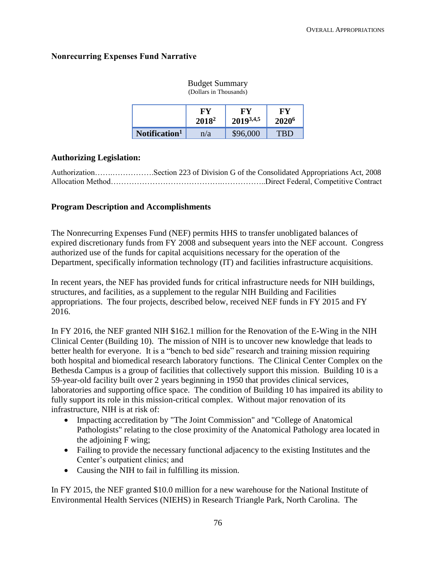## **Nonrecurring Expenses Fund Narrative**

|                           | $\sum$         |                 |                         |
|---------------------------|----------------|-----------------|-------------------------|
|                           | FY<br>$2018^2$ | FУ<br>20193,4,5 | FY<br>2020 <sup>6</sup> |
| Notification <sup>1</sup> | n/a            | \$96,000        | TRD                     |

#### Budget Summary (Dollars in Thousands)

## **Authorizing Legislation:**

| AuthorizationSection 223 of Division G of the Consolidated Appropriations Act, 2008 |
|-------------------------------------------------------------------------------------|
|                                                                                     |

## **Program Description and Accomplishments**

The Nonrecurring Expenses Fund (NEF) permits HHS to transfer unobligated balances of expired discretionary funds from FY 2008 and subsequent years into the NEF account. Congress authorized use of the funds for capital acquisitions necessary for the operation of the Department, specifically information technology (IT) and facilities infrastructure acquisitions.

In recent years, the NEF has provided funds for critical infrastructure needs for NIH buildings, structures, and facilities, as a supplement to the regular NIH Building and Facilities appropriations. The four projects, described below, received NEF funds in FY 2015 and FY 2016.

In FY 2016, the NEF granted NIH \$162.1 million for the Renovation of the E-Wing in the NIH Clinical Center (Building 10). The mission of NIH is to uncover new knowledge that leads to better health for everyone. It is a "bench to bed side" research and training mission requiring both hospital and biomedical research laboratory functions. The Clinical Center Complex on the Bethesda Campus is a group of facilities that collectively support this mission. Building 10 is a 59-year-old facility built over 2 years beginning in 1950 that provides clinical services, laboratories and supporting office space. The condition of Building 10 has impaired its ability to fully support its role in this mission-critical complex. Without major renovation of its infrastructure, NIH is at risk of:

- Impacting accreditation by "The Joint Commission" and "College of Anatomical Pathologists" relating to the close proximity of the Anatomical Pathology area located in the adjoining F wing;
- Failing to provide the necessary functional adjacency to the existing Institutes and the Center's outpatient clinics; and
- Causing the NIH to fail in fulfilling its mission.

In FY 2015, the NEF granted \$10.0 million for a new warehouse for the National Institute of Environmental Health Services (NIEHS) in Research Triangle Park, North Carolina. The